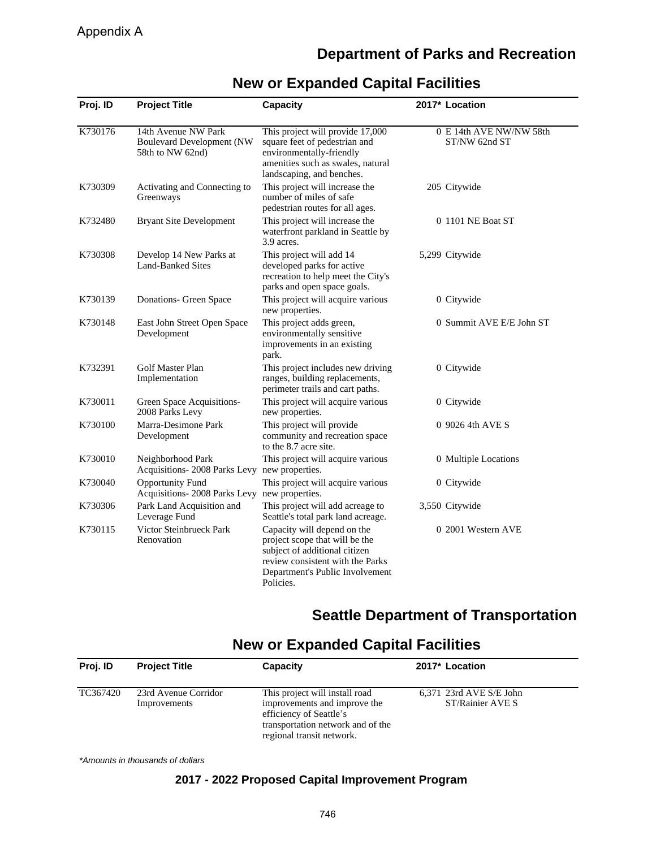## **Department of Parks and Recreation**

| Proj. ID | <b>Project Title</b>                                                        | <b>Capacity</b>                                                                                                                                                                    | 2017* Location                           |
|----------|-----------------------------------------------------------------------------|------------------------------------------------------------------------------------------------------------------------------------------------------------------------------------|------------------------------------------|
| K730176  | 14th Avenue NW Park<br><b>Boulevard Development (NW</b><br>58th to NW 62nd) | This project will provide 17,000<br>square feet of pedestrian and<br>environmentally-friendly<br>amenities such as swales, natural<br>landscaping, and benches.                    | 0 E 14th AVE NW/NW 58th<br>ST/NW 62nd ST |
| K730309  | Activating and Connecting to<br>Greenways                                   | This project will increase the<br>number of miles of safe<br>pedestrian routes for all ages.                                                                                       | 205 Citywide                             |
| K732480  | <b>Bryant Site Development</b>                                              | This project will increase the<br>waterfront parkland in Seattle by<br>3.9 acres.                                                                                                  | 0 1101 NE Boat ST                        |
| K730308  | Develop 14 New Parks at<br>Land-Banked Sites                                | This project will add 14<br>developed parks for active<br>recreation to help meet the City's<br>parks and open space goals.                                                        | 5,299 Citywide                           |
| K730139  | Donations- Green Space                                                      | This project will acquire various<br>new properties.                                                                                                                               | 0 Citywide                               |
| K730148  | East John Street Open Space<br>Development                                  | This project adds green,<br>environmentally sensitive<br>improvements in an existing<br>park.                                                                                      | 0 Summit AVE E/E John ST                 |
| K732391  | Golf Master Plan<br>Implementation                                          | This project includes new driving<br>ranges, building replacements,<br>perimeter trails and cart paths.                                                                            | 0 Citywide                               |
| K730011  | Green Space Acquisitions-<br>2008 Parks Levy                                | This project will acquire various<br>new properties.                                                                                                                               | 0 Citywide                               |
| K730100  | Marra-Desimone Park<br>Development                                          | This project will provide<br>community and recreation space<br>to the 8.7 acre site.                                                                                               | 0 9026 4th AVE S                         |
| K730010  | Neighborhood Park<br>Acquisitions-2008 Parks Levy new properties.           | This project will acquire various                                                                                                                                                  | 0 Multiple Locations                     |
| K730040  | <b>Opportunity Fund</b><br>Acquisitions-2008 Parks Levy                     | This project will acquire various<br>new properties.                                                                                                                               | 0 Citywide                               |
| K730306  | Park Land Acquisition and<br>Leverage Fund                                  | This project will add acreage to<br>Seattle's total park land acreage.                                                                                                             | 3,550 Citywide                           |
| K730115  | Victor Steinbrueck Park<br>Renovation                                       | Capacity will depend on the<br>project scope that will be the<br>subject of additional citizen<br>review consistent with the Parks<br>Department's Public Involvement<br>Policies. | 0 2001 Western AVE                       |

# **New or Expanded Capital Facilities**

## **Seattle Department of Transportation**

# **New or Expanded Capital Facilities**

| Proj. ID | <b>Project Title</b>                 | Capacity                                                                                                                                                    | 2017* Location                                |  |
|----------|--------------------------------------|-------------------------------------------------------------------------------------------------------------------------------------------------------------|-----------------------------------------------|--|
| TC367420 | 23rd Avenue Corridor<br>Improvements | This project will install road<br>improvements and improve the<br>efficiency of Seattle's<br>transportation network and of the<br>regional transit network. | $6,371$ 23rd AVE S/E John<br>ST/Rainier AVE S |  |
|          |                                      |                                                                                                                                                             |                                               |  |

\*Amounts in thousands of dollars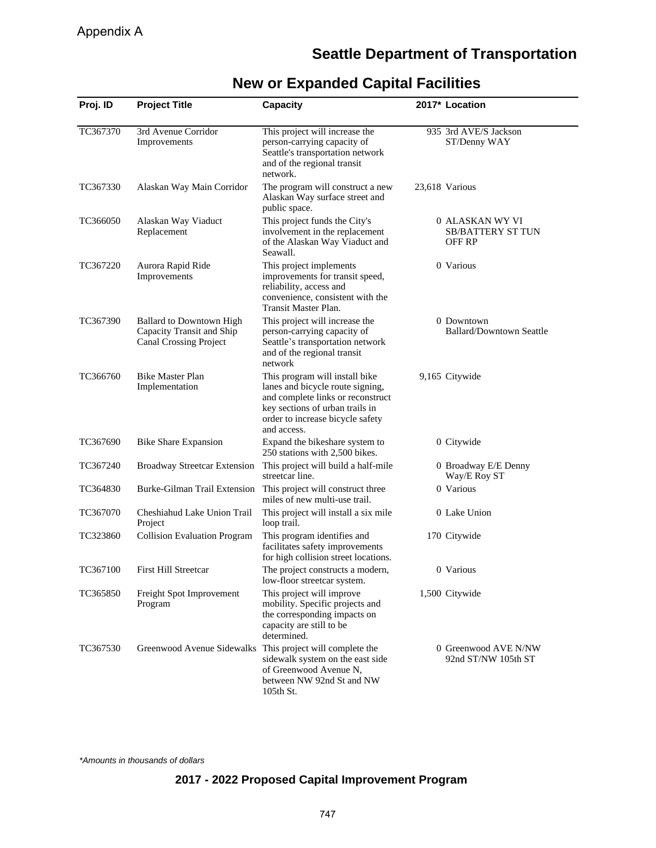## **Seattle Department of Transportation**

| Proj. ID | <b>Project Title</b>                                                                          | <b>Capacity</b>                                                                                                                                                                               | 2017* Location                                        |
|----------|-----------------------------------------------------------------------------------------------|-----------------------------------------------------------------------------------------------------------------------------------------------------------------------------------------------|-------------------------------------------------------|
| TC367370 | 3rd Avenue Corridor<br>Improvements                                                           | This project will increase the<br>person-carrying capacity of<br>Seattle's transportation network<br>and of the regional transit<br>network.                                                  | 935 3rd AVE/S Jackson<br>ST/Denny WAY                 |
| TC367330 | Alaskan Way Main Corridor                                                                     | The program will construct a new<br>Alaskan Way surface street and<br>public space.                                                                                                           | 23,618 Various                                        |
| TC366050 | Alaskan Way Viaduct<br>Replacement                                                            | This project funds the City's<br>involvement in the replacement<br>of the Alaskan Way Viaduct and<br>Seawall.                                                                                 | 0 ALASKAN WY VI<br><b>SB/BATTERY ST TUN</b><br>OFF RP |
| TC367220 | Aurora Rapid Ride<br>Improvements                                                             | This project implements<br>improvements for transit speed,<br>reliability, access and<br>convenience, consistent with the<br>Transit Master Plan.                                             | 0 Various                                             |
| TC367390 | <b>Ballard to Downtown High</b><br>Capacity Transit and Ship<br><b>Canal Crossing Project</b> | This project will increase the<br>person-carrying capacity of<br>Seattle's transportation network<br>and of the regional transit<br>network                                                   | 0 Downtown<br><b>Ballard/Downtown Seattle</b>         |
| TC366760 | <b>Bike Master Plan</b><br>Implementation                                                     | This program will install bike<br>lanes and bicycle route signing,<br>and complete links or reconstruct<br>key sections of urban trails in<br>order to increase bicycle safety<br>and access. | 9,165 Citywide                                        |
| TC367690 | <b>Bike Share Expansion</b>                                                                   | Expand the bikeshare system to<br>250 stations with 2,500 bikes.                                                                                                                              | 0 Citywide                                            |
| TC367240 | <b>Broadway Streetcar Extension</b>                                                           | This project will build a half-mile<br>streetcar line.                                                                                                                                        | 0 Broadway E/E Denny<br>Way/E Roy ST                  |
| TC364830 | Burke-Gilman Trail Extension                                                                  | This project will construct three<br>miles of new multi-use trail.                                                                                                                            | 0 Various                                             |
| TC367070 | Cheshiahud Lake Union Trail<br>Project                                                        | This project will install a six mile<br>loop trail.                                                                                                                                           | 0 Lake Union                                          |
| TC323860 | <b>Collision Evaluation Program</b>                                                           | This program identifies and<br>facilitates safety improvements<br>for high collision street locations.                                                                                        | 170 Citywide                                          |
| TC367100 | <b>First Hill Streetcar</b>                                                                   | The project constructs a modern,<br>low-floor streetcar system.                                                                                                                               | 0 Various                                             |
| TC365850 | Freight Spot Improvement<br>Program                                                           | This project will improve<br>mobility. Specific projects and<br>the corresponding impacts on<br>capacity are still to be<br>determined.                                                       | 1,500 Citywide                                        |
| TC367530 | Greenwood Avenue Sidewalks This project will complete the                                     | sidewalk system on the east side<br>of Greenwood Avenue N,<br>between NW 92nd St and NW<br>105th St.                                                                                          | 0 Greenwood AVE N/NW<br>92nd ST/NW 105th ST           |

# **New or Expanded Capital Facilities**

\*Amounts in thousands of dollars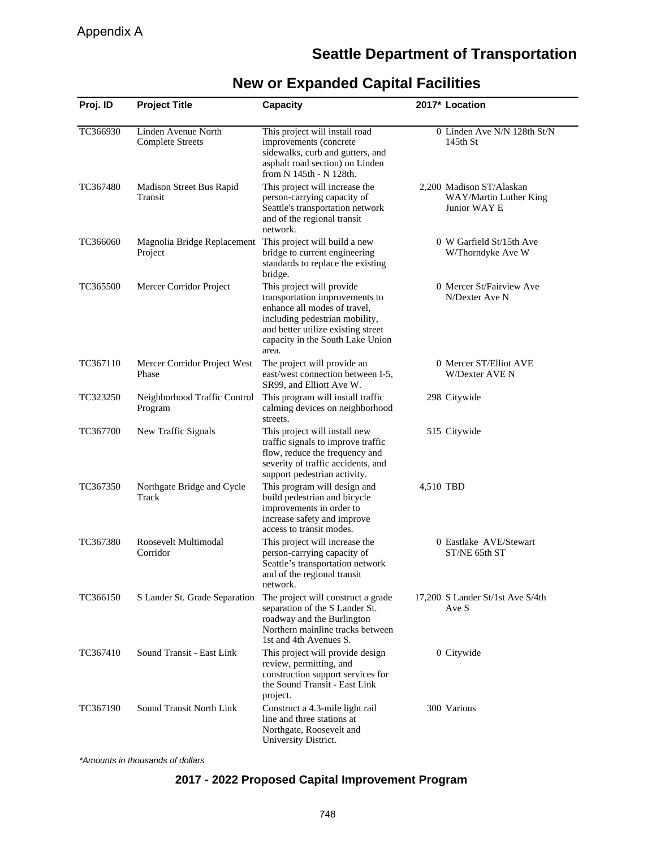## **Seattle Department of Transportation**

| Proj. ID | <b>Project Title</b>                                                 | Capacity                                                                                                                                                                                                         |           | 2017* Location                                                     |
|----------|----------------------------------------------------------------------|------------------------------------------------------------------------------------------------------------------------------------------------------------------------------------------------------------------|-----------|--------------------------------------------------------------------|
| TC366930 | Linden Avenue North<br><b>Complete Streets</b>                       | This project will install road<br>improvements (concrete<br>sidewalks, curb and gutters, and<br>asphalt road section) on Linden<br>from N 145th - N 128th.                                                       |           | 0 Linden Ave N/N 128th St/N<br>$145th$ St                          |
| TC367480 | Madison Street Bus Rapid<br>Transit                                  | This project will increase the<br>person-carrying capacity of<br>Seattle's transportation network<br>and of the regional transit<br>network.                                                                     |           | 2,200 Madison ST/Alaskan<br>WAY/Martin Luther King<br>Junior WAY E |
| TC366060 | Magnolia Bridge Replacement This project will build a new<br>Project | bridge to current engineering<br>standards to replace the existing<br>bridge.                                                                                                                                    |           | 0 W Garfield St/15th Ave<br>W/Thorndyke Ave W                      |
| TC365500 | Mercer Corridor Project                                              | This project will provide<br>transportation improvements to<br>enhance all modes of travel,<br>including pedestrian mobility,<br>and better utilize existing street<br>capacity in the South Lake Union<br>area. |           | 0 Mercer St/Fairview Ave<br>N/Dexter Ave N                         |
| TC367110 | Mercer Corridor Project West<br>Phase                                | The project will provide an<br>east/west connection between I-5,<br>SR99, and Elliott Ave W.                                                                                                                     |           | 0 Mercer ST/Elliot AVE<br>W/Dexter AVE N                           |
| TC323250 | Neighborhood Traffic Control<br>Program                              | This program will install traffic<br>calming devices on neighborhood<br>streets.                                                                                                                                 |           | 298 Citywide                                                       |
| TC367700 | New Traffic Signals                                                  | This project will install new<br>traffic signals to improve traffic<br>flow, reduce the frequency and<br>severity of traffic accidents, and<br>support pedestrian activity.                                      |           | 515 Citywide                                                       |
| TC367350 | Northgate Bridge and Cycle<br>Track                                  | This program will design and<br>build pedestrian and bicycle<br>improvements in order to<br>increase safety and improve<br>access to transit modes.                                                              | 4,510 TBD |                                                                    |
| TC367380 | Roosevelt Multimodal<br>Corridor                                     | This project will increase the<br>person-carrying capacity of<br>Seattle's transportation network<br>and of the regional transit<br>network.                                                                     |           | 0 Eastlake AVE/Stewart<br>ST/NE 65th ST                            |
| TC366150 | S Lander St. Grade Separation                                        | The project will construct a grade<br>separation of the S Lander St.<br>roadway and the Burlington<br>Northern mainline tracks between<br>1st and 4th Avenues S.                                                 |           | 17,200 S Lander St/1st Ave S/4th<br>Ave S                          |
| TC367410 | Sound Transit - East Link                                            | This project will provide design<br>review, permitting, and<br>construction support services for<br>the Sound Transit - East Link<br>project.                                                                    |           | 0 Citywide                                                         |
| TC367190 | Sound Transit North Link                                             | Construct a 4.3-mile light rail<br>line and three stations at<br>Northgate, Roosevelt and<br>University District.                                                                                                |           | 300 Various                                                        |

## **New or Expanded Capital Facilities**

\*Amounts in thousands of dollars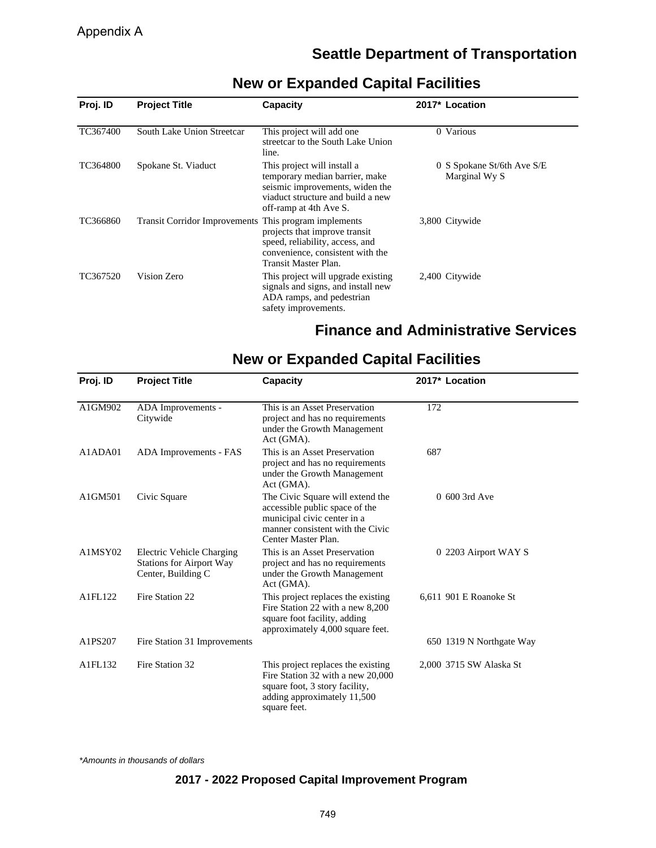## **Seattle Department of Transportation**

| Proj. ID | <b>Project Title</b>                                  | <b>Capacity</b>                                                                                                                                                 | 2017* Location                              |
|----------|-------------------------------------------------------|-----------------------------------------------------------------------------------------------------------------------------------------------------------------|---------------------------------------------|
| TC367400 | South Lake Union Streetcar                            | This project will add one<br>streetcar to the South Lake Union<br>line.                                                                                         | 0 Various                                   |
| TC364800 | Spokane St. Viaduct                                   | This project will install a<br>temporary median barrier, make<br>seismic improvements, widen the<br>viaduct structure and build a new<br>off-ramp at 4th Ave S. | 0 S Spokane St/6th Ave S/E<br>Marginal Wy S |
| TC366860 | Transit Corridor Improvements This program implements | projects that improve transit<br>speed, reliability, access, and<br>convenience, consistent with the<br>Transit Master Plan.                                    | 3,800 Citywide                              |
| TC367520 | Vision Zero                                           | This project will upgrade existing<br>signals and signs, and install new<br>ADA ramps, and pedestrian<br>safety improvements.                                   | 2,400 Citywide                              |

# **New or Expanded Capital Facilities**

## **Finance and Administrative Services**

| Proj. ID | <b>Project Title</b>                                                               | Capacity                                                                                                                                                     | 2017* Location           |
|----------|------------------------------------------------------------------------------------|--------------------------------------------------------------------------------------------------------------------------------------------------------------|--------------------------|
| A1GM902  | ADA Improvements -<br>Citywide                                                     | This is an Asset Preservation<br>project and has no requirements<br>under the Growth Management<br>Act (GMA).                                                | 172                      |
| A1ADA01  | ADA Improvements - FAS                                                             | This is an Asset Preservation<br>project and has no requirements<br>under the Growth Management<br>Act (GMA).                                                | 687                      |
| A1GM501  | Civic Square                                                                       | The Civic Square will extend the<br>accessible public space of the<br>municipal civic center in a<br>manner consistent with the Civic<br>Center Master Plan. | 0 600 3rd Ave            |
| A1MSY02  | Electric Vehicle Charging<br><b>Stations for Airport Way</b><br>Center, Building C | This is an Asset Preservation<br>project and has no requirements<br>under the Growth Management<br>Act (GMA).                                                | 0 2203 Airport WAY S     |
| A1FL122  | Fire Station 22                                                                    | This project replaces the existing<br>Fire Station 22 with a new 8,200<br>square foot facility, adding<br>approximately 4,000 square feet.                   | 6,611 901 E Roanoke St   |
| A1PS207  | Fire Station 31 Improvements                                                       |                                                                                                                                                              | 650 1319 N Northgate Way |
| A1FL132  | Fire Station 32                                                                    | This project replaces the existing<br>Fire Station 32 with a new 20,000<br>square foot, 3 story facility,<br>adding approximately 11,500<br>square feet.     | 2,000 3715 SW Alaska St  |

## **New or Expanded Capital Facilities**

\*Amounts in thousands of dollars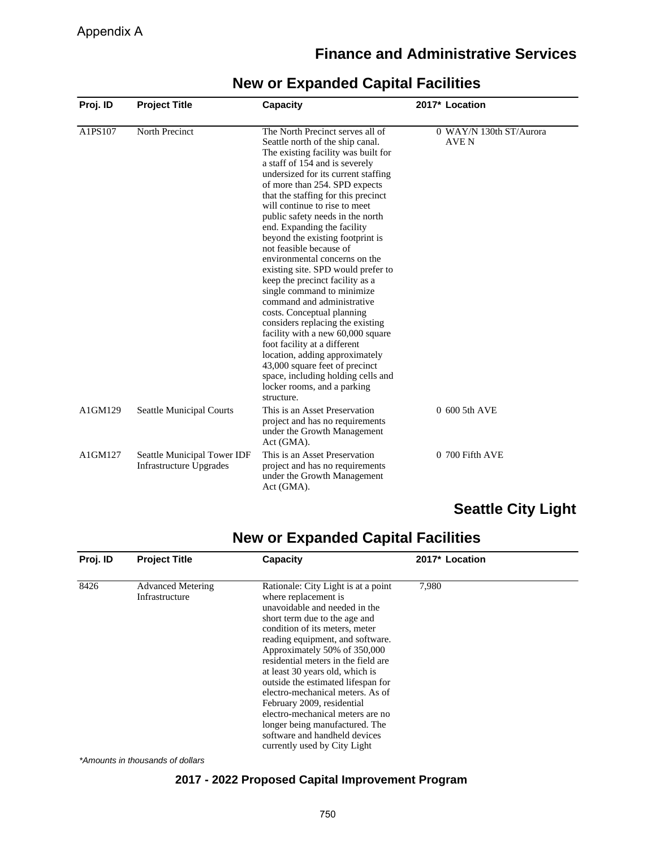## **Finance and Administrative Services**

| Proj. ID | <b>Project Title</b>                                          | <b>Capacity</b>                                                                                                                                                                                                                                                                                                                                                                                                                                                                                                                                                                                                                                                                                                                                                                                                                                                                                     | 2017* Location                   |
|----------|---------------------------------------------------------------|-----------------------------------------------------------------------------------------------------------------------------------------------------------------------------------------------------------------------------------------------------------------------------------------------------------------------------------------------------------------------------------------------------------------------------------------------------------------------------------------------------------------------------------------------------------------------------------------------------------------------------------------------------------------------------------------------------------------------------------------------------------------------------------------------------------------------------------------------------------------------------------------------------|----------------------------------|
| A1PS107  | North Precinct                                                | The North Precinct serves all of<br>Seattle north of the ship canal.<br>The existing facility was built for<br>a staff of 154 and is severely<br>undersized for its current staffing<br>of more than 254. SPD expects<br>that the staffing for this precinct<br>will continue to rise to meet<br>public safety needs in the north<br>end. Expanding the facility<br>beyond the existing footprint is<br>not feasible because of<br>environmental concerns on the<br>existing site. SPD would prefer to<br>keep the precinct facility as a<br>single command to minimize<br>command and administrative<br>costs. Conceptual planning<br>considers replacing the existing<br>facility with a new 60,000 square<br>foot facility at a different<br>location, adding approximately<br>43,000 square feet of precinct<br>space, including holding cells and<br>locker rooms, and a parking<br>structure. | 0 WAY/N 130th ST/Aurora<br>AVE N |
| A1GM129  | <b>Seattle Municipal Courts</b>                               | This is an Asset Preservation<br>project and has no requirements<br>under the Growth Management<br>Act (GMA).                                                                                                                                                                                                                                                                                                                                                                                                                                                                                                                                                                                                                                                                                                                                                                                       | 0 600 5th AVE                    |
| A1GM127  | Seattle Municipal Tower IDF<br><b>Infrastructure Upgrades</b> | This is an Asset Preservation<br>project and has no requirements<br>under the Growth Management<br>Act (GMA).                                                                                                                                                                                                                                                                                                                                                                                                                                                                                                                                                                                                                                                                                                                                                                                       | 0 700 Fifth AVE                  |

## **New or Expanded Capital Facilities**

# **Seattle City Light**

## **New or Expanded Capital Facilities**

| Proj. ID | <b>Project Title</b>                       | <b>Capacity</b>                                                                                                                                                                                                                                                                                                                                                                                                                                                                                                                                              | 2017* Location |  |
|----------|--------------------------------------------|--------------------------------------------------------------------------------------------------------------------------------------------------------------------------------------------------------------------------------------------------------------------------------------------------------------------------------------------------------------------------------------------------------------------------------------------------------------------------------------------------------------------------------------------------------------|----------------|--|
| 8426     | <b>Advanced Metering</b><br>Infrastructure | Rationale: City Light is at a point<br>where replacement is<br>unavoidable and needed in the<br>short term due to the age and<br>condition of its meters, meter<br>reading equipment, and software.<br>Approximately 50% of 350,000<br>residential meters in the field are<br>at least 30 years old, which is<br>outside the estimated lifespan for<br>electro-mechanical meters. As of<br>February 2009, residential<br>electro-mechanical meters are no<br>longer being manufactured. The<br>software and handheld devices<br>currently used by City Light | 7,980          |  |

\*Amounts in thousands of dollars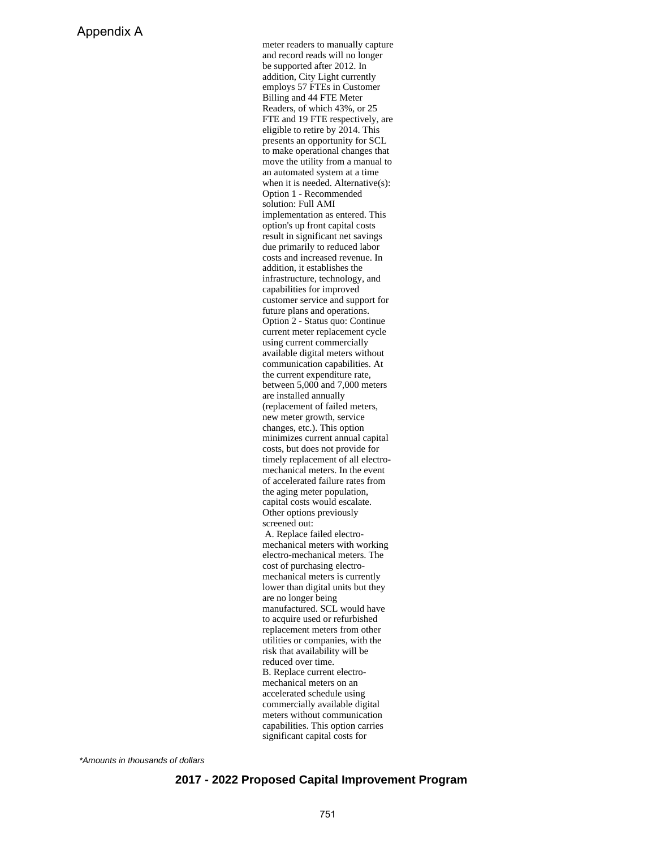meter readers to manually capture and record reads will no longer be supported after 2012. In addition, City Light currently employs 57 FTEs in Customer Billing and 44 FTE Meter Readers, of which 43%, or 25 FTE and 19 FTE respectively, are eligible to retire by 2014. This presents an opportunity for SCL to make operational changes that move the utility from a manual to an automated system at a time when it is needed. Alternative(s): Option 1 - Recommended solution: Full AMI implementation as entered. This option's up front capital costs result in significant net savings due primarily to reduced labor costs and increased revenue. In addition, it establishes the infrastructure, technology, and capabilities for improved customer service and support for future plans and operations. Option 2 - Status quo: Continue current meter replacement cycle using current commercially available digital meters without communication capabilities. At the current expenditure rate, between 5,000 and 7,000 meters are installed annually (replacement of failed meters, new meter growth, service changes, etc.). This option minimizes current annual capital costs, but does not provide for timely replacement of all electromechanical meters. In the event of accelerated failure rates from the aging meter population, capital costs would escalate. Other options previously screened out: A. Replace failed electromechanical meters with working electro-mechanical meters. The cost of purchasing electromechanical meters is currently lower than digital units but they are no longer being manufactured. SCL would have to acquire used or refurbished replacement meters from other utilities or companies, with the risk that availability will be reduced over time. B. Replace current electromechanical meters on an accelerated schedule using commercially available digital meters without communication capabilities. This option carries significant capital costs for

\*Amounts in thousands of dollars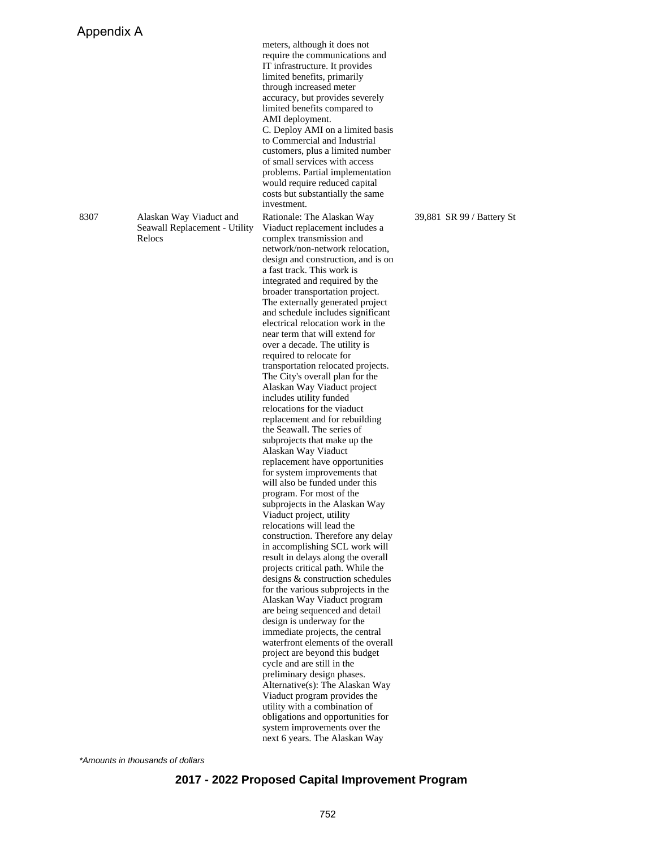8307 Alaskan Way Viaduct and Seawall Replacement - Utility Relocs

limited benefits compared to AMI deployment. C. Deploy AMI on a limited basis to Commercial and Industrial customers, plus a limited number of small services with access problems. Partial implementation would require reduced capital costs but substantially the same investment. Rationale: The Alaskan Way Viaduct replacement includes a complex transmission and network/non-network relocation, design and construction, and is on a fast track. This work is integrated and required by the broader transportation project. The externally generated project and schedule includes significant electrical relocation work in the near term that will extend for over a decade. The utility is required to relocate for transportation relocated projects. The City's overall plan for the Alaskan Way Viaduct project includes utility funded relocations for the viaduct replacement and for rebuilding the Seawall. The series of subprojects that make up the Alaskan Way Viaduct replacement have opportunities for system improvements that will also be funded under this program. For most of the subprojects in the Alaskan Way Viaduct project, utility relocations will lead the construction. Therefore any delay in accomplishing SCL work will result in delays along the overall projects critical path. While the designs & construction schedules for the various subprojects in the Alaskan Way Viaduct program are being sequenced and detail design is underway for the immediate projects, the central waterfront elements of the overall project are beyond this budget cycle and are still in the preliminary design phases. Alternative(s): The Alaskan Way Viaduct program provides the utility with a combination of obligations and opportunities for system improvements over the next 6 years. The Alaskan Way

meters, although it does not require the communications and IT infrastructure. It provides limited benefits, primarily through increased meter accuracy, but provides severely

39,881 SR 99 / Battery St

\*Amounts in thousands of dollars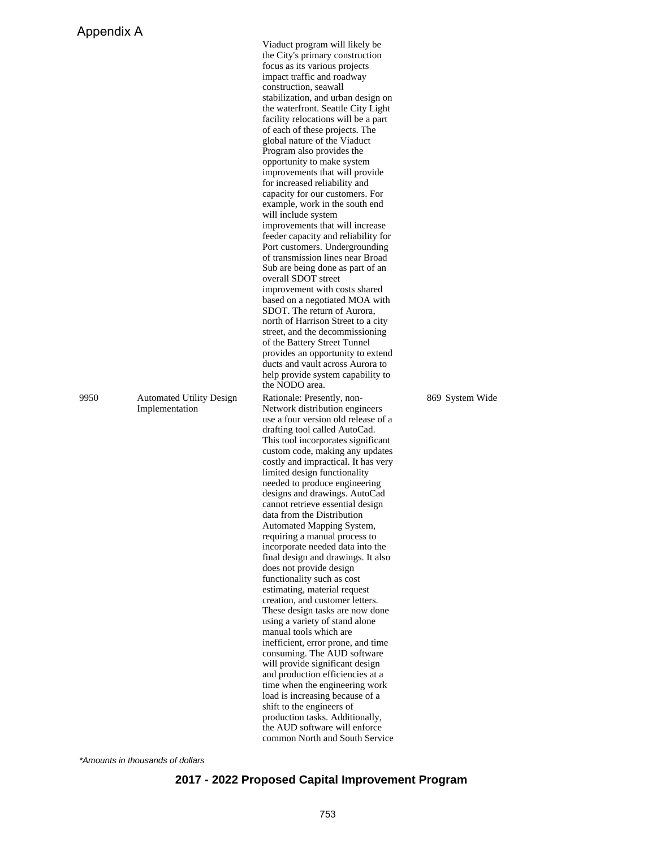9950 Automated Utility Design Implementation

Viaduct program will likely be the City's primary construction focus as its various projects impact traffic and roadway construction, seawall stabilization, and urban design on the waterfront. Seattle City Light facility relocations will be a part of each of these projects. The global nature of the Viaduct Program also provides the opportunity to make system improvements that will provide for increased reliability and capacity for our customers. For example, work in the south end will include system improvements that will increase feeder capacity and reliability for Port customers. Undergrounding of transmission lines near Broad Sub are being done as part of an overall SDOT street improvement with costs shared based on a negotiated MOA with SDOT. The return of Aurora, north of Harrison Street to a city street, and the decommissioning of the Battery Street Tunnel provides an opportunity to extend ducts and vault across Aurora to help provide system capability to the NODO area. Rationale: Presently, non-Network distribution engineers use a four version old release of a drafting tool called AutoCad. This tool incorporates significant custom code, making any updates costly and impractical. It has very limited design functionality needed to produce engineering designs and drawings. AutoCad cannot retrieve essential design data from the Distribution Automated Mapping System, requiring a manual process to incorporate needed data into the final design and drawings. It also does not provide design functionality such as cost estimating, material request creation, and customer letters. These design tasks are now done using a variety of stand alone manual tools which are inefficient, error prone, and time consuming. The AUD software will provide significant design and production efficiencies at a time when the engineering work load is increasing because of a shift to the engineers of production tasks. Additionally, the AUD software will enforce common North and South Service

869 System Wide

\*Amounts in thousands of dollars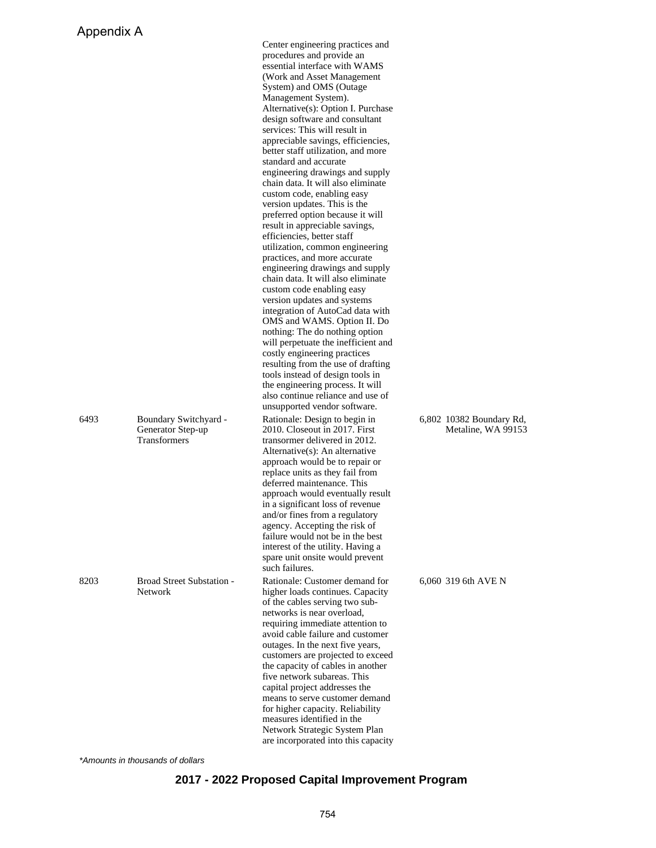|      |                                                                   | Center engineering practices and<br>procedures and provide an<br>essential interface with WAMS<br>(Work and Asset Management)<br>System) and OMS (Outage<br>Management System).<br>Alternative(s): Option I. Purchase<br>design software and consultant<br>services: This will result in<br>appreciable savings, efficiencies,<br>better staff utilization, and more<br>standard and accurate<br>engineering drawings and supply<br>chain data. It will also eliminate<br>custom code, enabling easy<br>version updates. This is the<br>preferred option because it will<br>result in appreciable savings,<br>efficiencies, better staff<br>utilization, common engineering<br>practices, and more accurate<br>engineering drawings and supply<br>chain data. It will also eliminate<br>custom code enabling easy<br>version updates and systems<br>integration of AutoCad data with<br>OMS and WAMS. Option II. Do<br>nothing: The do nothing option<br>will perpetuate the inefficient and<br>costly engineering practices<br>resulting from the use of drafting<br>tools instead of design tools in<br>the engineering process. It will<br>also continue reliance and use of |                                                |
|------|-------------------------------------------------------------------|---------------------------------------------------------------------------------------------------------------------------------------------------------------------------------------------------------------------------------------------------------------------------------------------------------------------------------------------------------------------------------------------------------------------------------------------------------------------------------------------------------------------------------------------------------------------------------------------------------------------------------------------------------------------------------------------------------------------------------------------------------------------------------------------------------------------------------------------------------------------------------------------------------------------------------------------------------------------------------------------------------------------------------------------------------------------------------------------------------------------------------------------------------------------------------|------------------------------------------------|
| 6493 | Boundary Switchyard -<br>Generator Step-up<br><b>Transformers</b> | unsupported vendor software.<br>Rationale: Design to begin in<br>2010. Closeout in 2017. First<br>transormer delivered in 2012.<br>Alternative(s): An alternative<br>approach would be to repair or<br>replace units as they fail from<br>deferred maintenance. This<br>approach would eventually result<br>in a significant loss of revenue<br>and/or fines from a regulatory<br>agency. Accepting the risk of<br>failure would not be in the best<br>interest of the utility. Having a<br>spare unit onsite would prevent<br>such failures.                                                                                                                                                                                                                                                                                                                                                                                                                                                                                                                                                                                                                                   | 6,802 10382 Boundary Rd,<br>Metaline, WA 99153 |
| 8203 | <b>Broad Street Substation -</b><br><b>Network</b>                | Rationale: Customer demand for<br>higher loads continues. Capacity<br>of the cables serving two sub-<br>networks is near overload,<br>requiring immediate attention to<br>avoid cable failure and customer<br>outages. In the next five years,<br>customers are projected to exceed<br>the capacity of cables in another<br>five network subareas. This<br>capital project addresses the<br>means to serve customer demand<br>for higher capacity. Reliability<br>measures identified in the<br>Network Strategic System Plan<br>are incorporated into this capacity                                                                                                                                                                                                                                                                                                                                                                                                                                                                                                                                                                                                            | 6,060 319 6th AVE N                            |

\*Amounts in thousands of dollars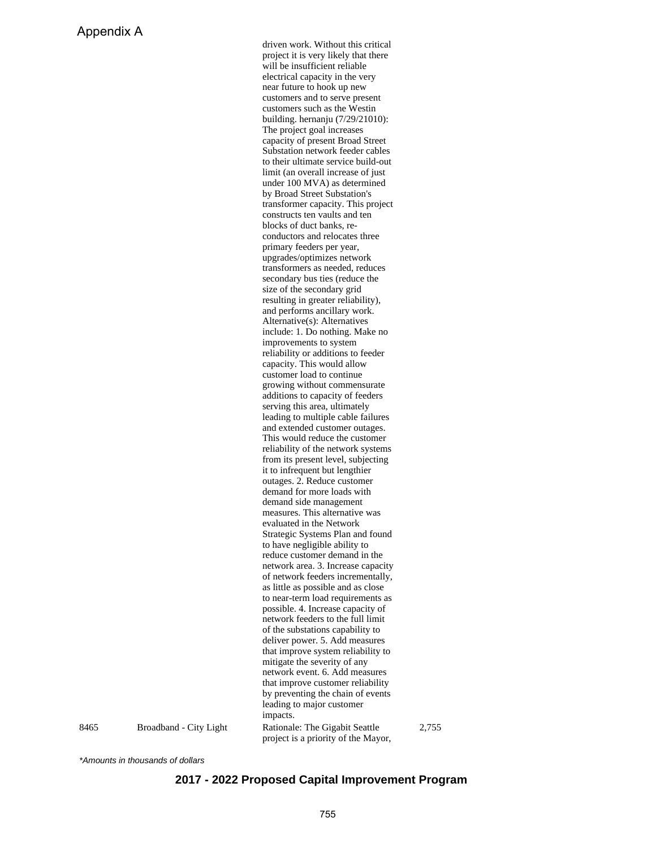driven work. Without this critical project it is very likely that there will be insufficient reliable electrical capacity in the very near future to hook up new customers and to serve present customers such as the Westin building. hernanju (7/29/21010): The project goal increases capacity of present Broad Street Substation network feeder cables to their ultimate service build-out limit (an overall increase of just under 100 MVA) as determined by Broad Street Substation's transformer capacity. This project constructs ten vaults and ten blocks of duct banks, reconductors and relocates three primary feeders per year, upgrades/optimizes network transformers as needed, reduces secondary bus ties (reduce the size of the secondary grid resulting in greater reliability), and performs ancillary work. Alternative(s): Alternatives include: 1. Do nothing. Make no improvements to system reliability or additions to feeder capacity. This would allow customer load to continue growing without commensurate additions to capacity of feeders serving this area, ultimately leading to multiple cable failures and extended customer outages. This would reduce the customer reliability of the network systems from its present level, subjecting it to infrequent but lengthier outages. 2. Reduce customer demand for more loads with demand side management measures. This alternative was evaluated in the Network Strategic Systems Plan and found to have negligible ability to reduce customer demand in the network area. 3. Increase capacity of network feeders incrementally, as little as possible and as close to near-term load requirements as possible. 4. Increase capacity of network feeders to the full limit of the substations capability to deliver power. 5. Add measures that improve system reliability to mitigate the severity of any network event. 6. Add measures that improve customer reliability by preventing the chain of events leading to major customer impacts. 8465 Broadband - City Light Rationale: The Gigabit Seattle

2,755

\*Amounts in thousands of dollars

### **2017 - 2022 Proposed Capital Improvement Program**

project is a priority of the Mayor,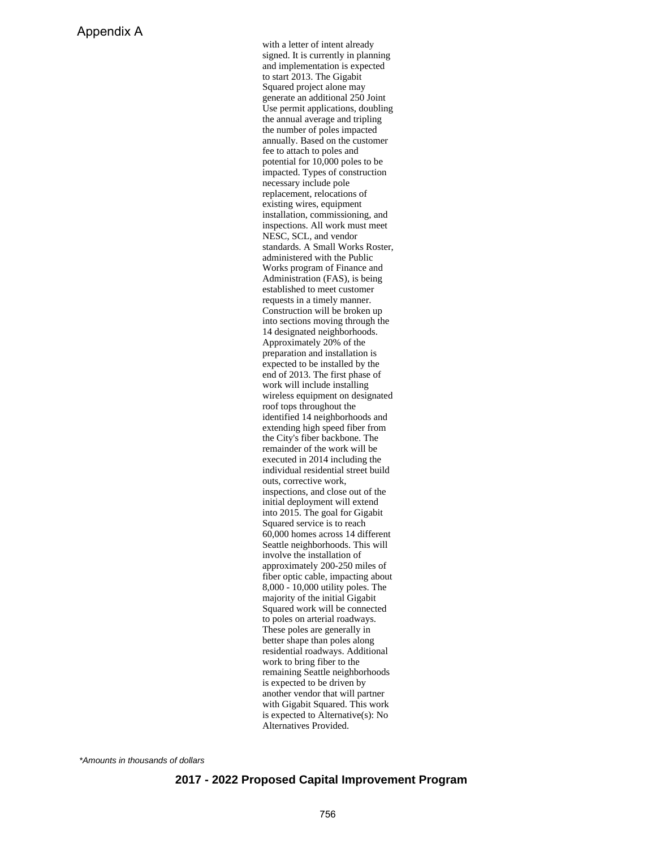with a letter of intent already signed. It is currently in planning and implementation is expected to start 2013. The Gigabit Squared project alone may generate an additional 250 Joint Use permit applications, doubling the annual average and tripling the number of poles impacted annually. Based on the customer fee to attach to poles and potential for 10,000 poles to be impacted. Types of construction necessary include pole replacement, relocations of existing wires, equipment installation, commissioning, and inspections. All work must meet NESC, SCL, and vendor standards. A Small Works Roster, administered with the Public Works program of Finance and Administration (FAS), is being established to meet customer requests in a timely manner. Construction will be broken up into sections moving through the 14 designated neighborhoods. Approximately 20% of the preparation and installation is expected to be installed by the end of 2013. The first phase of work will include installing wireless equipment on designated roof tops throughout the identified 14 neighborhoods and extending high speed fiber from the City's fiber backbone. The remainder of the work will be executed in 2014 including the individual residential street build outs, corrective work, inspections, and close out of the initial deployment will extend into 2015. The goal for Gigabit Squared service is to reach 60,000 homes across 14 different Seattle neighborhoods. This will involve the installation of approximately 200-250 miles of fiber optic cable, impacting about 8,000 - 10,000 utility poles. The majority of the initial Gigabit Squared work will be connected to poles on arterial roadways. These poles are generally in better shape than poles along residential roadways. Additional work to bring fiber to the remaining Seattle neighborhoods is expected to be driven by another vendor that will partner with Gigabit Squared. This work is expected to Alternative(s): No Alternatives Provided.

\*Amounts in thousands of dollars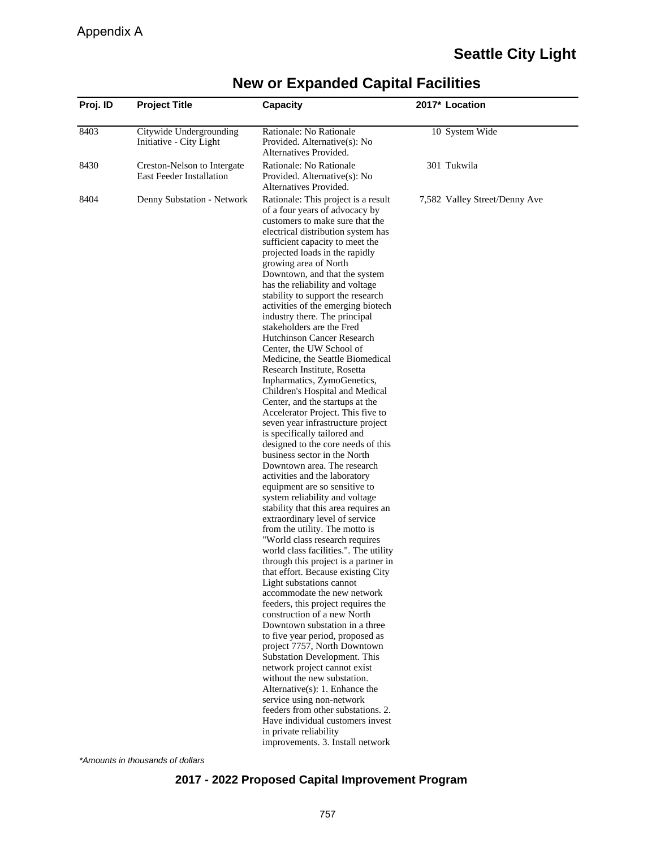# **Seattle City Light**

| Proj. ID | <b>Project Title</b>                                           | Capacity                                                                                                                                                                                                                                                                                                                                                                                                                                                                                                                                                                                                                                                                                                                                                                                                                                                                                                                                                                                                                                                                                                                                                                                                                                                                                                                                                                                                                                                                                                                                                                                                                                                                                                                                                                                                                            | 2017* Location                |
|----------|----------------------------------------------------------------|-------------------------------------------------------------------------------------------------------------------------------------------------------------------------------------------------------------------------------------------------------------------------------------------------------------------------------------------------------------------------------------------------------------------------------------------------------------------------------------------------------------------------------------------------------------------------------------------------------------------------------------------------------------------------------------------------------------------------------------------------------------------------------------------------------------------------------------------------------------------------------------------------------------------------------------------------------------------------------------------------------------------------------------------------------------------------------------------------------------------------------------------------------------------------------------------------------------------------------------------------------------------------------------------------------------------------------------------------------------------------------------------------------------------------------------------------------------------------------------------------------------------------------------------------------------------------------------------------------------------------------------------------------------------------------------------------------------------------------------------------------------------------------------------------------------------------------------|-------------------------------|
| 8403     | Citywide Undergrounding<br>Initiative - City Light             | Rationale: No Rationale<br>Provided. Alternative(s): No<br>Alternatives Provided.                                                                                                                                                                                                                                                                                                                                                                                                                                                                                                                                                                                                                                                                                                                                                                                                                                                                                                                                                                                                                                                                                                                                                                                                                                                                                                                                                                                                                                                                                                                                                                                                                                                                                                                                                   | 10 System Wide                |
| 8430     | Creston-Nelson to Intergate<br><b>East Feeder Installation</b> | Rationale: No Rationale<br>Provided. Alternative(s): No<br>Alternatives Provided.                                                                                                                                                                                                                                                                                                                                                                                                                                                                                                                                                                                                                                                                                                                                                                                                                                                                                                                                                                                                                                                                                                                                                                                                                                                                                                                                                                                                                                                                                                                                                                                                                                                                                                                                                   | 301 Tukwila                   |
| 8404     | Denny Substation - Network                                     | Rationale: This project is a result<br>of a four years of advocacy by<br>customers to make sure that the<br>electrical distribution system has<br>sufficient capacity to meet the<br>projected loads in the rapidly<br>growing area of North<br>Downtown, and that the system<br>has the reliability and voltage<br>stability to support the research<br>activities of the emerging biotech<br>industry there. The principal<br>stakeholders are the Fred<br>Hutchinson Cancer Research<br>Center, the UW School of<br>Medicine, the Seattle Biomedical<br>Research Institute, Rosetta<br>Inpharmatics, ZymoGenetics,<br>Children's Hospital and Medical<br>Center, and the startups at the<br>Accelerator Project. This five to<br>seven year infrastructure project<br>is specifically tailored and<br>designed to the core needs of this<br>business sector in the North<br>Downtown area. The research<br>activities and the laboratory<br>equipment are so sensitive to<br>system reliability and voltage<br>stability that this area requires an<br>extraordinary level of service<br>from the utility. The motto is<br>"World class research requires<br>world class facilities.". The utility<br>through this project is a partner in<br>that effort. Because existing City<br>Light substations cannot<br>accommodate the new network<br>feeders, this project requires the<br>construction of a new North<br>Downtown substation in a three<br>to five year period, proposed as<br>project 7757, North Downtown<br>Substation Development. This<br>network project cannot exist<br>without the new substation.<br>Alternative $(s)$ : 1. Enhance the<br>service using non-network<br>feeders from other substations. 2.<br>Have individual customers invest<br>in private reliability<br>improvements. 3. Install network | 7,582 Valley Street/Denny Ave |

## **New or Expanded Capital Facilities**

\*Amounts in thousands of dollars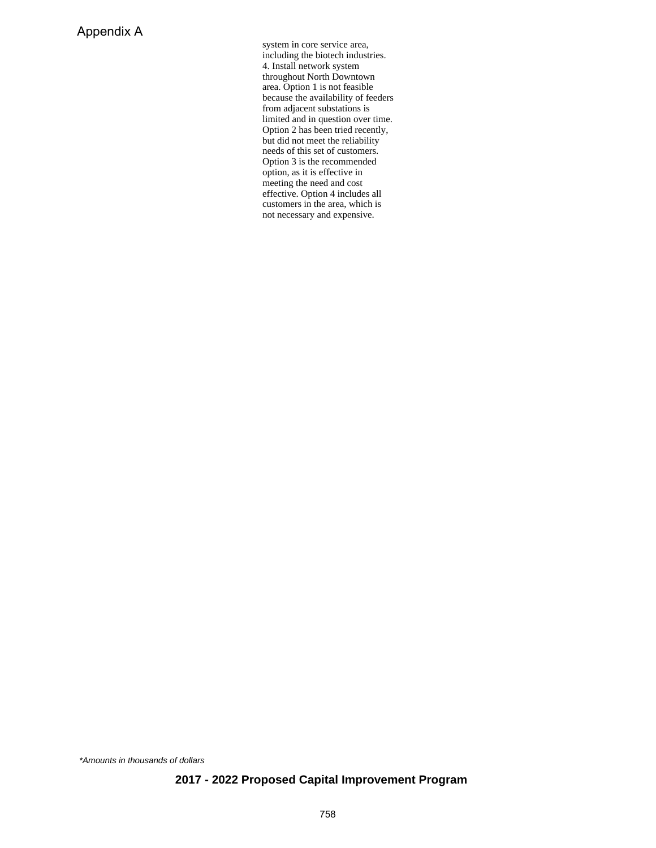system in core service area, including the biotech industries. 4. Install network system throughout North Downtown area. Option 1 is not feasible because the availability of feeders from adjacent substations is limited and in question over time. Option 2 has been tried recently, but did not meet the reliability needs of this set of customers. Option 3 is the recommended option, as it is effective in meeting the need and cost effective. Option 4 includes all customers in the area, which is not necessary and expensive.

\*Amounts in thousands of dollars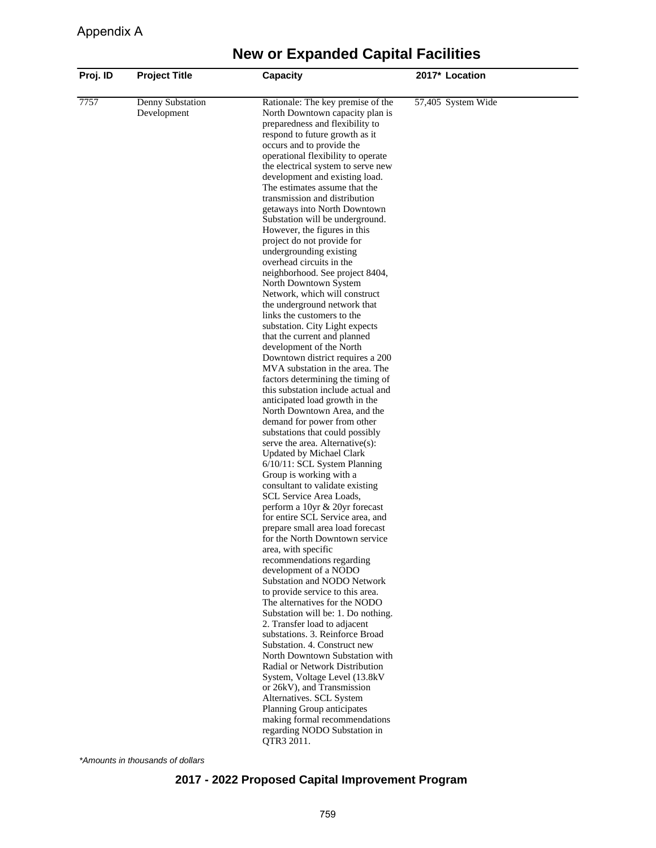| Proj. ID | <b>Project Title</b>            | Capacity                                                                                                                                                                                                                                                                                                                                                                                                                                                                                                                                                                                                                                                                                                                                                                                                                                                                                                                                                                                                                                                                                                                                                                                                                                                                                                                   | 2017* Location     |
|----------|---------------------------------|----------------------------------------------------------------------------------------------------------------------------------------------------------------------------------------------------------------------------------------------------------------------------------------------------------------------------------------------------------------------------------------------------------------------------------------------------------------------------------------------------------------------------------------------------------------------------------------------------------------------------------------------------------------------------------------------------------------------------------------------------------------------------------------------------------------------------------------------------------------------------------------------------------------------------------------------------------------------------------------------------------------------------------------------------------------------------------------------------------------------------------------------------------------------------------------------------------------------------------------------------------------------------------------------------------------------------|--------------------|
| 7757     | Denny Substation<br>Development | Rationale: The key premise of the<br>North Downtown capacity plan is<br>preparedness and flexibility to<br>respond to future growth as it<br>occurs and to provide the<br>operational flexibility to operate<br>the electrical system to serve new<br>development and existing load.<br>The estimates assume that the<br>transmission and distribution<br>getaways into North Downtown<br>Substation will be underground.<br>However, the figures in this<br>project do not provide for<br>undergrounding existing<br>overhead circuits in the<br>neighborhood. See project 8404,<br>North Downtown System<br>Network, which will construct<br>the underground network that<br>links the customers to the<br>substation. City Light expects<br>that the current and planned<br>development of the North<br>Downtown district requires a 200<br>MVA substation in the area. The<br>factors determining the timing of<br>this substation include actual and<br>anticipated load growth in the<br>North Downtown Area, and the<br>demand for power from other<br>substations that could possibly<br>serve the area. Alternative(s):<br>Updated by Michael Clark<br>$6/10/11$ : SCL System Planning<br>Group is working with a<br>consultant to validate existing<br>SCL Service Area Loads,<br>perform a 10yr & 20yr forecast | 57,405 System Wide |
|          |                                 | for entire SCL Service area, and<br>prepare small area load forecast<br>for the North Downtown service<br>area, with specific<br>recommendations regarding<br>development of a NODO<br>Substation and NODO Network                                                                                                                                                                                                                                                                                                                                                                                                                                                                                                                                                                                                                                                                                                                                                                                                                                                                                                                                                                                                                                                                                                         |                    |
|          |                                 | to provide service to this area.<br>The alternatives for the NODO<br>Substation will be: 1. Do nothing.<br>2. Transfer load to adjacent<br>substations. 3. Reinforce Broad<br>Substation. 4. Construct new                                                                                                                                                                                                                                                                                                                                                                                                                                                                                                                                                                                                                                                                                                                                                                                                                                                                                                                                                                                                                                                                                                                 |                    |
|          |                                 | North Downtown Substation with<br>Radial or Network Distribution<br>System, Voltage Level (13.8kV<br>or 26kV), and Transmission<br>Alternatives. SCL System<br>Planning Group anticipates<br>making formal recommendations<br>regarding NODO Substation in<br>QTR3 2011.                                                                                                                                                                                                                                                                                                                                                                                                                                                                                                                                                                                                                                                                                                                                                                                                                                                                                                                                                                                                                                                   |                    |

\*Amounts in thousands of dollars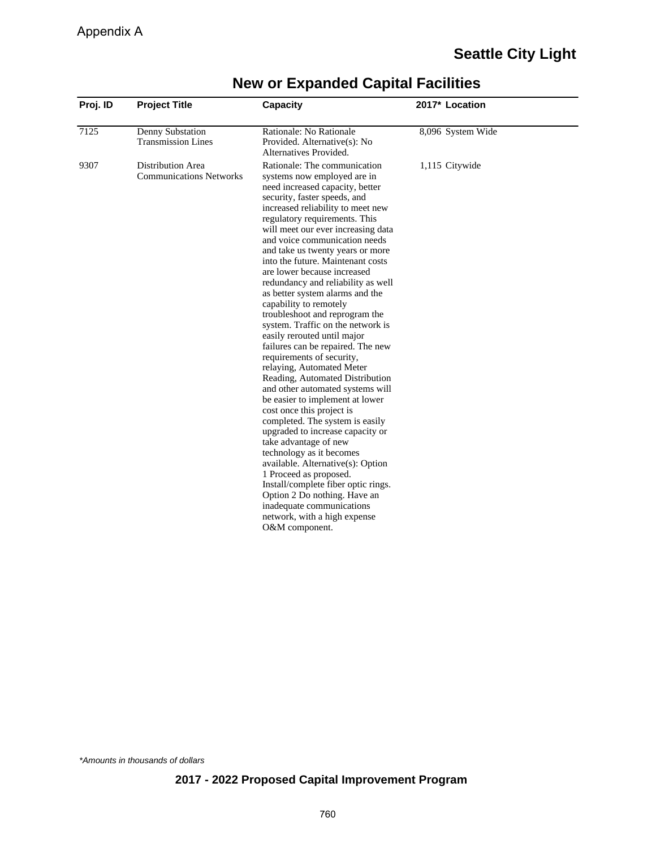| Proj. ID | <b>Project Title</b>                                | <b>Capacity</b>                                                                                                                                                                                                                                                                                                                                                                                                                                                                                                                                                                                                                                                                                                                                                                                                                                                                                                                                                                                                                                                                                                                                                                     | 2017* Location    |  |
|----------|-----------------------------------------------------|-------------------------------------------------------------------------------------------------------------------------------------------------------------------------------------------------------------------------------------------------------------------------------------------------------------------------------------------------------------------------------------------------------------------------------------------------------------------------------------------------------------------------------------------------------------------------------------------------------------------------------------------------------------------------------------------------------------------------------------------------------------------------------------------------------------------------------------------------------------------------------------------------------------------------------------------------------------------------------------------------------------------------------------------------------------------------------------------------------------------------------------------------------------------------------------|-------------------|--|
| 7125     | Denny Substation<br><b>Transmission Lines</b>       | Rationale: No Rationale<br>Provided. Alternative(s): No<br>Alternatives Provided.                                                                                                                                                                                                                                                                                                                                                                                                                                                                                                                                                                                                                                                                                                                                                                                                                                                                                                                                                                                                                                                                                                   | 8,096 System Wide |  |
| 9307     | Distribution Area<br><b>Communications Networks</b> | Rationale: The communication<br>systems now employed are in<br>need increased capacity, better<br>security, faster speeds, and<br>increased reliability to meet new<br>regulatory requirements. This<br>will meet our ever increasing data<br>and voice communication needs<br>and take us twenty years or more<br>into the future. Maintenant costs<br>are lower because increased<br>redundancy and reliability as well<br>as better system alarms and the<br>capability to remotely<br>troubleshoot and reprogram the<br>system. Traffic on the network is<br>easily rerouted until major<br>failures can be repaired. The new<br>requirements of security,<br>relaying, Automated Meter<br>Reading, Automated Distribution<br>and other automated systems will<br>be easier to implement at lower<br>cost once this project is<br>completed. The system is easily<br>upgraded to increase capacity or<br>take advantage of new<br>technology as it becomes<br>available. Alternative(s): Option<br>1 Proceed as proposed.<br>Install/complete fiber optic rings.<br>Option 2 Do nothing. Have an<br>inadequate communications<br>network, with a high expense<br>O&M component. | 1,115 Citywide    |  |

\*Amounts in thousands of dollars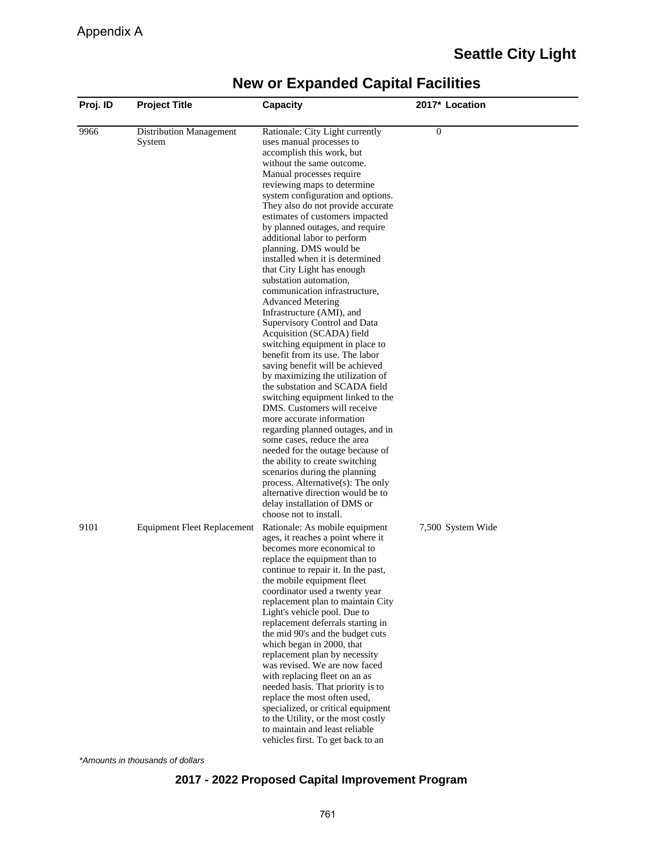| Proj. ID | <b>Project Title</b>               | Capacity                                                              | 2017* Location    |
|----------|------------------------------------|-----------------------------------------------------------------------|-------------------|
| 9966     | Distribution Management            | Rationale: City Light currently                                       | 0                 |
|          | System                             | uses manual processes to                                              |                   |
|          |                                    | accomplish this work, but                                             |                   |
|          |                                    | without the same outcome.                                             |                   |
|          |                                    | Manual processes require                                              |                   |
|          |                                    | reviewing maps to determine<br>system configuration and options.      |                   |
|          |                                    | They also do not provide accurate                                     |                   |
|          |                                    | estimates of customers impacted                                       |                   |
|          |                                    | by planned outages, and require                                       |                   |
|          |                                    | additional labor to perform                                           |                   |
|          |                                    | planning. DMS would be                                                |                   |
|          |                                    | installed when it is determined                                       |                   |
|          |                                    | that City Light has enough                                            |                   |
|          |                                    | substation automation,                                                |                   |
|          |                                    | communication infrastructure,                                         |                   |
|          |                                    | <b>Advanced Metering</b><br>Infrastructure (AMI), and                 |                   |
|          |                                    | Supervisory Control and Data                                          |                   |
|          |                                    | Acquisition (SCADA) field                                             |                   |
|          |                                    | switching equipment in place to                                       |                   |
|          |                                    | benefit from its use. The labor                                       |                   |
|          |                                    | saving benefit will be achieved                                       |                   |
|          |                                    | by maximizing the utilization of                                      |                   |
|          |                                    | the substation and SCADA field                                        |                   |
|          |                                    | switching equipment linked to the                                     |                   |
|          |                                    | DMS. Customers will receive<br>more accurate information              |                   |
|          |                                    | regarding planned outages, and in                                     |                   |
|          |                                    | some cases, reduce the area                                           |                   |
|          |                                    | needed for the outage because of                                      |                   |
|          |                                    | the ability to create switching                                       |                   |
|          |                                    | scenarios during the planning                                         |                   |
|          |                                    | process. Alternative(s): The only                                     |                   |
|          |                                    | alternative direction would be to                                     |                   |
|          |                                    | delay installation of DMS or                                          |                   |
|          |                                    | choose not to install.                                                |                   |
| 9101     | <b>Equipment Fleet Replacement</b> | Rationale: As mobile equipment<br>ages, it reaches a point where it   | 7,500 System Wide |
|          |                                    | becomes more economical to                                            |                   |
|          |                                    | replace the equipment than to                                         |                   |
|          |                                    | continue to repair it. In the past,                                   |                   |
|          |                                    | the mobile equipment fleet                                            |                   |
|          |                                    | coordinator used a twenty year                                        |                   |
|          |                                    | replacement plan to maintain City                                     |                   |
|          |                                    | Light's vehicle pool. Due to                                          |                   |
|          |                                    | replacement deferrals starting in<br>the mid 90's and the budget cuts |                   |
|          |                                    | which began in 2000, that                                             |                   |
|          |                                    | replacement plan by necessity                                         |                   |
|          |                                    | was revised. We are now faced                                         |                   |
|          |                                    | with replacing fleet on an as                                         |                   |
|          |                                    | needed basis. That priority is to                                     |                   |
|          |                                    | replace the most often used,                                          |                   |
|          |                                    | specialized, or critical equipment                                    |                   |
|          |                                    | to the Utility, or the most costly                                    |                   |
|          |                                    | to maintain and least reliable                                        |                   |
|          |                                    | vehicles first. To get back to an                                     |                   |

\*Amounts in thousands of dollars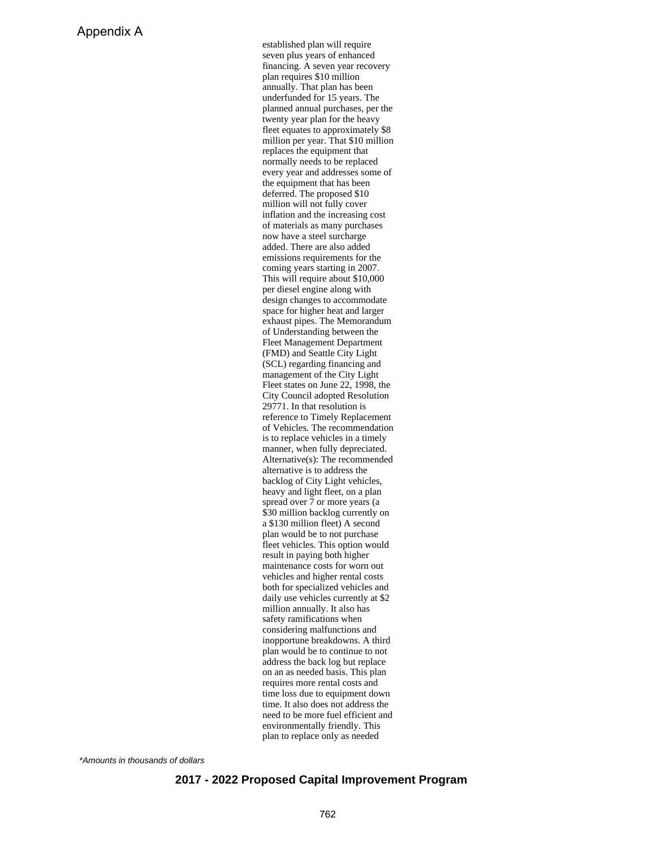established plan will require seven plus years of enhanced financing. A seven year recovery plan requires \$10 million annually. That plan has been underfunded for 15 years. The planned annual purchases, per the twenty year plan for the heavy fleet equates to approximately \$8 million per year. That \$10 million replaces the equipment that normally needs to be replaced every year and addresses some of the equipment that has been deferred. The proposed \$10 million will not fully cover inflation and the increasing cost of materials as many purchases now have a steel surcharge added. There are also added emissions requirements for the coming years starting in 2007. This will require about \$10,000 per diesel engine along with design changes to accommodate space for higher heat and larger exhaust pipes. The Memorandum of Understanding between the Fleet Management Department (FMD) and Seattle City Light (SCL) regarding financing and management of the City Light Fleet states on June 22, 1998, the City Council adopted Resolution 29771. In that resolution is reference to Timely Replacement of Vehicles. The recommendation is to replace vehicles in a timely manner, when fully depreciated. Alternative(s): The recommended alternative is to address the backlog of City Light vehicles, heavy and light fleet, on a plan spread over 7 or more years (a \$30 million backlog currently on a \$130 million fleet) A second plan would be to not purchase fleet vehicles. This option would result in paying both higher maintenance costs for worn out vehicles and higher rental costs both for specialized vehicles and daily use vehicles currently at \$2 million annually. It also has safety ramifications when considering malfunctions and inopportune breakdowns. A third plan would be to continue to not address the back log but replace on an as needed basis. This plan requires more rental costs and time loss due to equipment down time. It also does not address the need to be more fuel efficient and environmentally friendly. This plan to replace only as needed

\*Amounts in thousands of dollars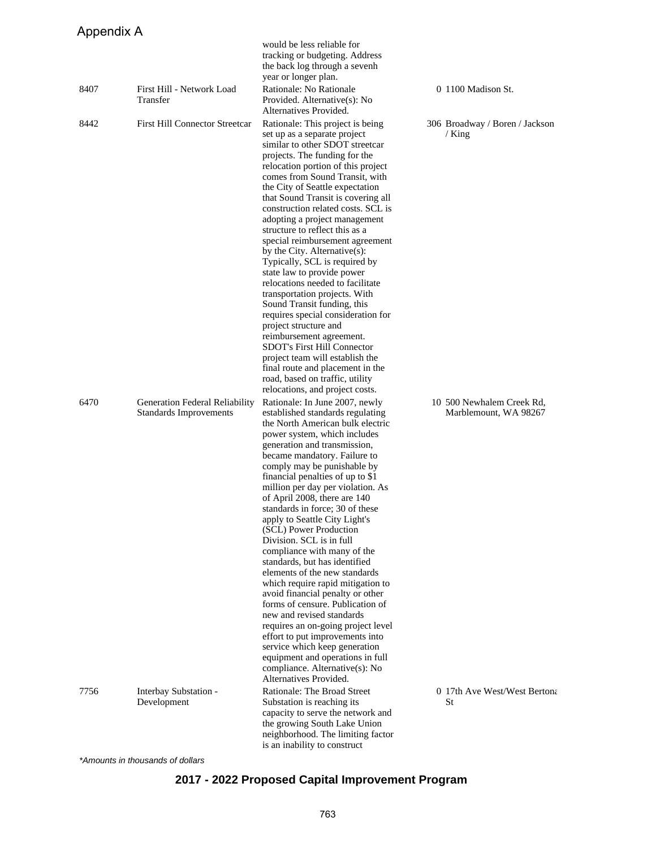## Appendix A

|      |                                                          | would be less reliable for<br>tracking or budgeting. Address<br>the back log through a sevenh                                                                                                                                                                                                                                                                                                                                                                                                                                                                                                                                                                                                                                                                                                                                                                                                                                 |                                                    |
|------|----------------------------------------------------------|-------------------------------------------------------------------------------------------------------------------------------------------------------------------------------------------------------------------------------------------------------------------------------------------------------------------------------------------------------------------------------------------------------------------------------------------------------------------------------------------------------------------------------------------------------------------------------------------------------------------------------------------------------------------------------------------------------------------------------------------------------------------------------------------------------------------------------------------------------------------------------------------------------------------------------|----------------------------------------------------|
| 8407 | First Hill - Network Load<br>Transfer                    | year or longer plan.<br>Rationale: No Rationale<br>Provided. Alternative(s): No<br>Alternatives Provided.                                                                                                                                                                                                                                                                                                                                                                                                                                                                                                                                                                                                                                                                                                                                                                                                                     | 0 1100 Madison St.                                 |
| 8442 | <b>First Hill Connector Streetcar</b>                    | Rationale: This project is being<br>set up as a separate project<br>similar to other SDOT streetcar<br>projects. The funding for the<br>relocation portion of this project<br>comes from Sound Transit, with<br>the City of Seattle expectation<br>that Sound Transit is covering all<br>construction related costs. SCL is<br>adopting a project management<br>structure to reflect this as a<br>special reimbursement agreement<br>by the City. Alternative(s):<br>Typically, SCL is required by<br>state law to provide power<br>relocations needed to facilitate<br>transportation projects. With<br>Sound Transit funding, this<br>requires special consideration for<br>project structure and<br>reimbursement agreement.<br>SDOT's First Hill Connector<br>project team will establish the<br>final route and placement in the<br>road, based on traffic, utility<br>relocations, and project costs.                   | 306 Broadway / Boren / Jackson<br>/ King           |
| 6470 | Generation Federal Reliability<br>Standards Improvements | Rationale: In June 2007, newly<br>established standards regulating<br>the North American bulk electric<br>power system, which includes<br>generation and transmission,<br>became mandatory. Failure to<br>comply may be punishable by<br>financial penalties of up to \$1<br>million per day per violation. As<br>of April 2008, there are 140<br>standards in force; 30 of these<br>apply to Seattle City Light's<br>(SCL) Power Production<br>Division. SCL is in full<br>compliance with many of the<br>standards, but has identified<br>elements of the new standards<br>which require rapid mitigation to<br>avoid financial penalty or other<br>forms of censure. Publication of<br>new and revised standards<br>requires an on-going project level<br>effort to put improvements into<br>service which keep generation<br>equipment and operations in full<br>compliance. Alternative(s): No<br>Alternatives Provided. | 10 500 Newhalem Creek Rd,<br>Marblemount, WA 98267 |
| 7756 | Interbay Substation -<br>Development                     | Rationale: The Broad Street<br>Substation is reaching its<br>capacity to serve the network and<br>the growing South Lake Union<br>neighborhood. The limiting factor<br>is an inability to construct                                                                                                                                                                                                                                                                                                                                                                                                                                                                                                                                                                                                                                                                                                                           | 0 17th Ave West/West Bertona<br>St                 |

\*Amounts in thousands of dollars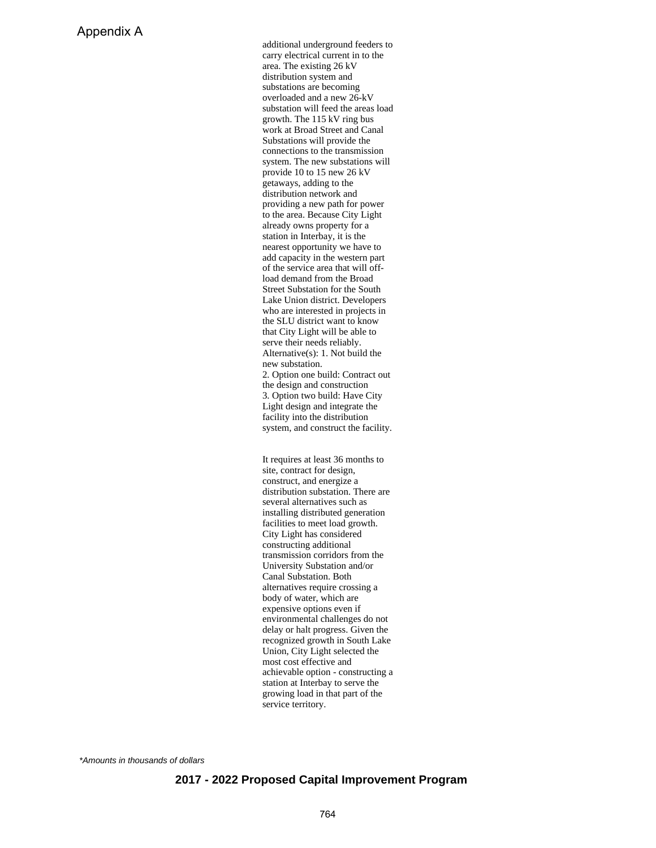additional underground feeders to carry electrical current in to the area. The existing 26 kV distribution system and substations are becoming overloaded and a new 26-kV substation will feed the areas load growth. The 115 kV ring bus work at Broad Street and Canal Substations will provide the connections to the transmission system. The new substations will provide 10 to 15 new 26 kV getaways, adding to the distribution network and providing a new path for power to the area. Because City Light already owns property for a station in Interbay, it is the nearest opportunity we have to add capacity in the western part of the service area that will offload demand from the Broad Street Substation for the South Lake Union district. Developers who are interested in projects in the SLU district want to know that City Light will be able to serve their needs reliably. Alternative(s): 1. Not build the new substation. 2. Option one build: Contract out the design and construction 3. Option two build: Have City Light design and integrate the facility into the distribution system, and construct the facility.

It requires at least 36 months to site, contract for design, construct, and energize a distribution substation. There are several alternatives such as installing distributed generation facilities to meet load growth. City Light has considered constructing additional transmission corridors from the University Substation and/or Canal Substation. Both alternatives require crossing a body of water, which are expensive options even if environmental challenges do not delay or halt progress. Given the recognized growth in South Lake Union, City Light selected the most cost effective and achievable option - constructing a station at Interbay to serve the growing load in that part of the service territory.

\*Amounts in thousands of dollars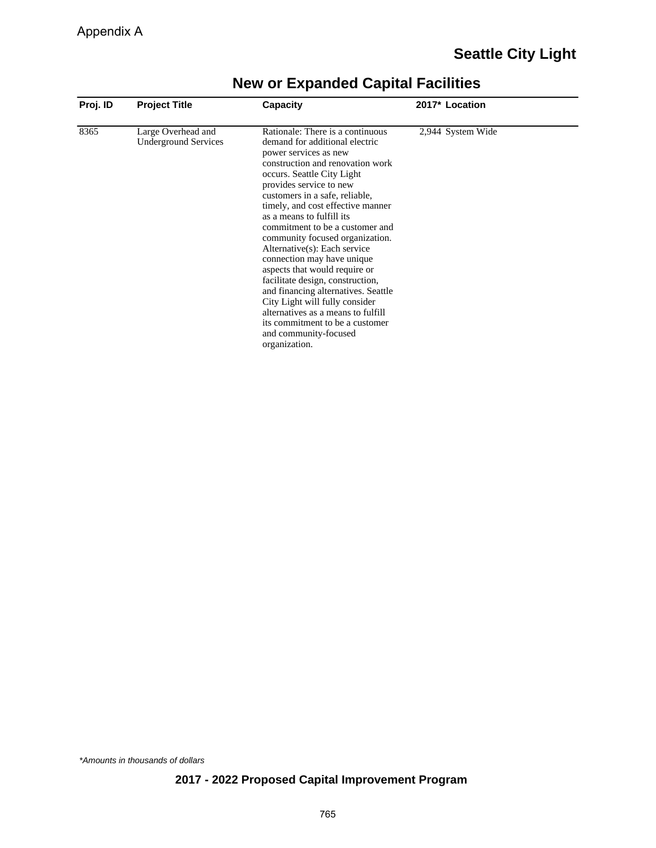| Proj. ID | <b>Project Title</b>                              | Capacity                                                                                                                                                                                                                                                                                                                                                                                                                                                                                                                                                                                                                                                                                          | 2017* Location    |  |
|----------|---------------------------------------------------|---------------------------------------------------------------------------------------------------------------------------------------------------------------------------------------------------------------------------------------------------------------------------------------------------------------------------------------------------------------------------------------------------------------------------------------------------------------------------------------------------------------------------------------------------------------------------------------------------------------------------------------------------------------------------------------------------|-------------------|--|
| 8365     | Large Overhead and<br><b>Underground Services</b> | Rationale: There is a continuous<br>demand for additional electric<br>power services as new<br>construction and renovation work<br>occurs. Seattle City Light<br>provides service to new<br>customers in a safe, reliable,<br>timely, and cost effective manner<br>as a means to fulfill its<br>commitment to be a customer and<br>community focused organization.<br>Alternative(s): Each service<br>connection may have unique<br>aspects that would require or<br>facilitate design, construction,<br>and financing alternatives. Seattle<br>City Light will fully consider<br>alternatives as a means to fulfill<br>its commitment to be a customer<br>and community-focused<br>organization. | 2,944 System Wide |  |

\*Amounts in thousands of dollars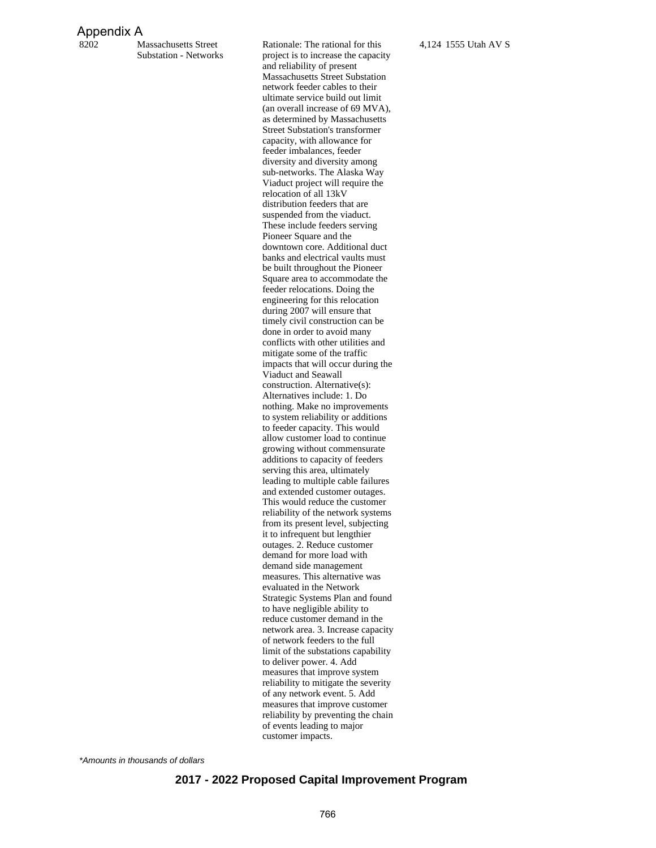#### Appendix A

8202 Massachusetts Street Substation - Networks Rationale: The rational for this project is to increase the capacity and reliability of present Massachusetts Street Substation network feeder cables to their ultimate service build out limit (an overall increase of 69 MVA), as determined by Massachusetts Street Substation's transformer capacity, with allowance for feeder imbalances, feeder diversity and diversity among sub-networks. The Alaska Way Viaduct project will require the relocation of all 13kV distribution feeders that are suspended from the viaduct. These include feeders serving Pioneer Square and the downtown core. Additional duct banks and electrical vaults must be built throughout the Pioneer Square area to accommodate the feeder relocations. Doing the engineering for this relocation during 2007 will ensure that timely civil construction can be done in order to avoid many conflicts with other utilities and mitigate some of the traffic impacts that will occur during the Viaduct and Seawall construction. Alternative(s): Alternatives include: 1. Do nothing. Make no improvements to system reliability or additions to feeder capacity. This would allow customer load to continue growing without commensurate additions to capacity of feeders serving this area, ultimately leading to multiple cable failures and extended customer outages. This would reduce the customer reliability of the network systems from its present level, subjecting it to infrequent but lengthier outages. 2. Reduce customer demand for more load with demand side management measures. This alternative was evaluated in the Network Strategic Systems Plan and found to have negligible ability to reduce customer demand in the network area. 3. Increase capacity of network feeders to the full limit of the substations capability to deliver power. 4. Add measures that improve system reliability to mitigate the severity of any network event. 5. Add measures that improve customer reliability by preventing the chain of events leading to major customer impacts.

4,124 1555 Utah AV S

\*Amounts in thousands of dollars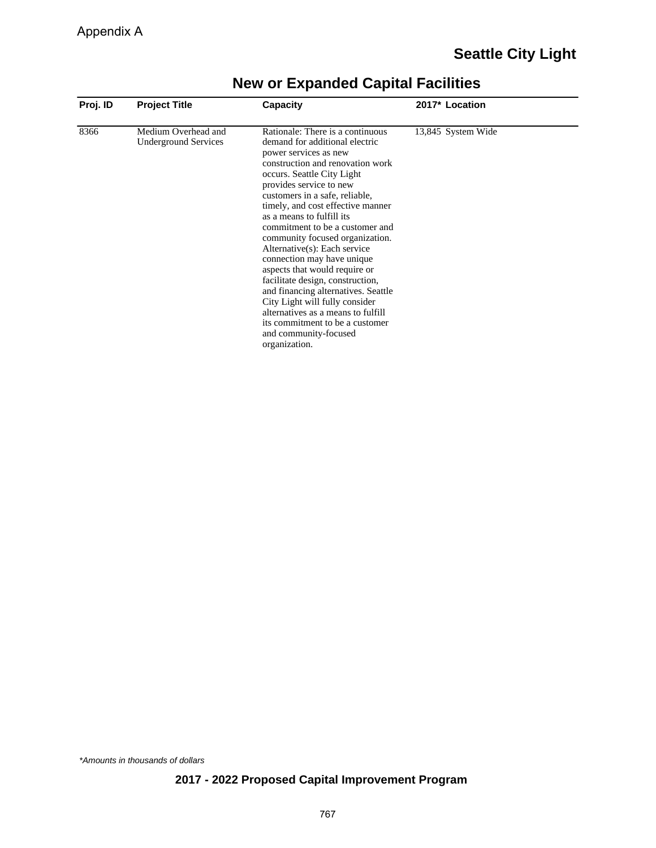| Proj. ID | <b>Project Title</b>                               | <b>Capacity</b>                                                                                                                                                                                                                                                                                                                                                                                                                                                                                                                                                                                                                                                                                   | 2017* Location     |  |
|----------|----------------------------------------------------|---------------------------------------------------------------------------------------------------------------------------------------------------------------------------------------------------------------------------------------------------------------------------------------------------------------------------------------------------------------------------------------------------------------------------------------------------------------------------------------------------------------------------------------------------------------------------------------------------------------------------------------------------------------------------------------------------|--------------------|--|
| 8366     | Medium Overhead and<br><b>Underground Services</b> | Rationale: There is a continuous<br>demand for additional electric<br>power services as new<br>construction and renovation work<br>occurs. Seattle City Light<br>provides service to new<br>customers in a safe, reliable,<br>timely, and cost effective manner<br>as a means to fulfill its<br>commitment to be a customer and<br>community focused organization.<br>Alternative(s): Each service<br>connection may have unique<br>aspects that would require or<br>facilitate design, construction,<br>and financing alternatives. Seattle<br>City Light will fully consider<br>alternatives as a means to fulfill<br>its commitment to be a customer<br>and community-focused<br>organization. | 13,845 System Wide |  |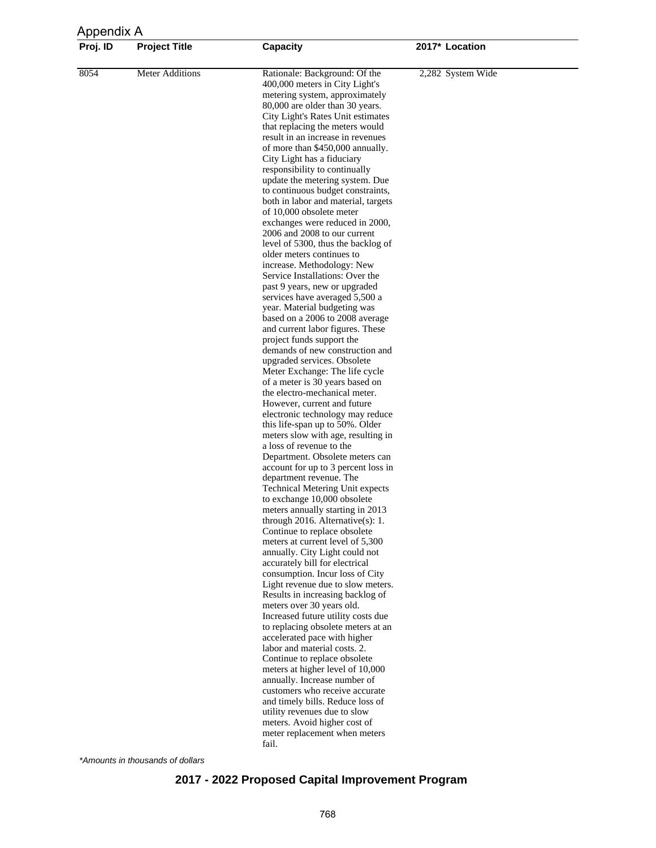| Appendix A |                        |                                                                                                                                                                                                                                                                                                                                                                                                                                                                                                                                                                                                                                                                                                                                                                                                                                              |                   |  |
|------------|------------------------|----------------------------------------------------------------------------------------------------------------------------------------------------------------------------------------------------------------------------------------------------------------------------------------------------------------------------------------------------------------------------------------------------------------------------------------------------------------------------------------------------------------------------------------------------------------------------------------------------------------------------------------------------------------------------------------------------------------------------------------------------------------------------------------------------------------------------------------------|-------------------|--|
| Proj. ID   | <b>Project Title</b>   | Capacity                                                                                                                                                                                                                                                                                                                                                                                                                                                                                                                                                                                                                                                                                                                                                                                                                                     | 2017* Location    |  |
| 8054       | <b>Meter Additions</b> | Rationale: Background: Of the<br>400,000 meters in City Light's<br>metering system, approximately<br>80,000 are older than 30 years.<br>City Light's Rates Unit estimates<br>that replacing the meters would<br>result in an increase in revenues<br>of more than \$450,000 annually.<br>City Light has a fiduciary<br>responsibility to continually<br>update the metering system. Due<br>to continuous budget constraints,<br>both in labor and material, targets<br>of 10,000 obsolete meter<br>exchanges were reduced in 2000,<br>2006 and 2008 to our current<br>level of 5300, thus the backlog of<br>older meters continues to<br>increase. Methodology: New<br>Service Installations: Over the<br>past 9 years, new or upgraded<br>services have averaged 5,500 a<br>year. Material budgeting was<br>based on a 2006 to 2008 average | 2,282 System Wide |  |
|            |                        | and current labor figures. These<br>project funds support the<br>demands of new construction and<br>upgraded services. Obsolete<br>Meter Exchange: The life cycle<br>of a meter is 30 years based on                                                                                                                                                                                                                                                                                                                                                                                                                                                                                                                                                                                                                                         |                   |  |
|            |                        | the electro-mechanical meter.<br>However, current and future<br>electronic technology may reduce<br>this life-span up to 50%. Older<br>meters slow with age, resulting in<br>a loss of revenue to the                                                                                                                                                                                                                                                                                                                                                                                                                                                                                                                                                                                                                                        |                   |  |
|            |                        | Department. Obsolete meters can<br>account for up to 3 percent loss in<br>department revenue. The<br><b>Technical Metering Unit expects</b><br>to exchange 10,000 obsolete<br>meters annually starting in 2013                                                                                                                                                                                                                                                                                                                                                                                                                                                                                                                                                                                                                               |                   |  |
|            |                        | through 2016. Alternative $(s)$ : 1.<br>Continue to replace obsolete<br>meters at current level of 5,300<br>annually. City Light could not<br>accurately bill for electrical                                                                                                                                                                                                                                                                                                                                                                                                                                                                                                                                                                                                                                                                 |                   |  |
|            |                        | consumption. Incur loss of City<br>Light revenue due to slow meters.<br>Results in increasing backlog of<br>meters over 30 years old.<br>Increased future utility costs due                                                                                                                                                                                                                                                                                                                                                                                                                                                                                                                                                                                                                                                                  |                   |  |
|            |                        | to replacing obsolete meters at an<br>accelerated pace with higher<br>labor and material costs. 2.<br>Continue to replace obsolete<br>meters at higher level of 10,000                                                                                                                                                                                                                                                                                                                                                                                                                                                                                                                                                                                                                                                                       |                   |  |
|            |                        | annually. Increase number of<br>customers who receive accurate<br>and timely bills. Reduce loss of<br>utility revenues due to slow                                                                                                                                                                                                                                                                                                                                                                                                                                                                                                                                                                                                                                                                                                           |                   |  |
|            |                        | meters. Avoid higher cost of<br>meter replacement when meters<br>fail.                                                                                                                                                                                                                                                                                                                                                                                                                                                                                                                                                                                                                                                                                                                                                                       |                   |  |

\*Amounts in thousands of dollars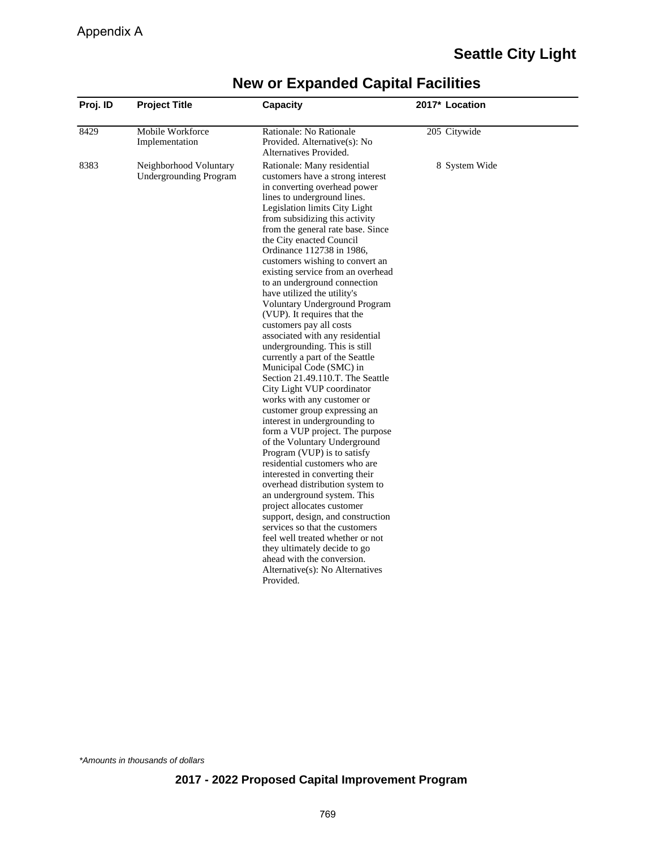| Proj. ID | <b>Project Title</b>                                    | Capacity                                                                                                                                                                                                                                                                                                                                                                                                                                                                                                                                                                                                                                                                                                                                                                                                                                                                                                                                                                                                                                                                                                                                                                                                                                                                                                                           | 2017* Location |
|----------|---------------------------------------------------------|------------------------------------------------------------------------------------------------------------------------------------------------------------------------------------------------------------------------------------------------------------------------------------------------------------------------------------------------------------------------------------------------------------------------------------------------------------------------------------------------------------------------------------------------------------------------------------------------------------------------------------------------------------------------------------------------------------------------------------------------------------------------------------------------------------------------------------------------------------------------------------------------------------------------------------------------------------------------------------------------------------------------------------------------------------------------------------------------------------------------------------------------------------------------------------------------------------------------------------------------------------------------------------------------------------------------------------|----------------|
| 8429     | Mobile Workforce<br>Implementation                      | Rationale: No Rationale<br>Provided. Alternative(s): No<br>Alternatives Provided.                                                                                                                                                                                                                                                                                                                                                                                                                                                                                                                                                                                                                                                                                                                                                                                                                                                                                                                                                                                                                                                                                                                                                                                                                                                  | 205 Citywide   |
| 8383     | Neighborhood Voluntary<br><b>Undergrounding Program</b> | Rationale: Many residential<br>customers have a strong interest<br>in converting overhead power<br>lines to underground lines.<br>Legislation limits City Light<br>from subsidizing this activity<br>from the general rate base. Since<br>the City enacted Council<br>Ordinance 112738 in 1986,<br>customers wishing to convert an<br>existing service from an overhead<br>to an underground connection<br>have utilized the utility's<br>Voluntary Underground Program<br>(VUP). It requires that the<br>customers pay all costs<br>associated with any residential<br>undergrounding. This is still<br>currently a part of the Seattle<br>Municipal Code (SMC) in<br>Section 21.49.110.T. The Seattle<br>City Light VUP coordinator<br>works with any customer or<br>customer group expressing an<br>interest in undergrounding to<br>form a VUP project. The purpose<br>of the Voluntary Underground<br>Program (VUP) is to satisfy<br>residential customers who are<br>interested in converting their<br>overhead distribution system to<br>an underground system. This<br>project allocates customer<br>support, design, and construction<br>services so that the customers<br>feel well treated whether or not<br>they ultimately decide to go<br>ahead with the conversion.<br>Alternative(s): No Alternatives<br>Provided. | 8 System Wide  |

\*Amounts in thousands of dollars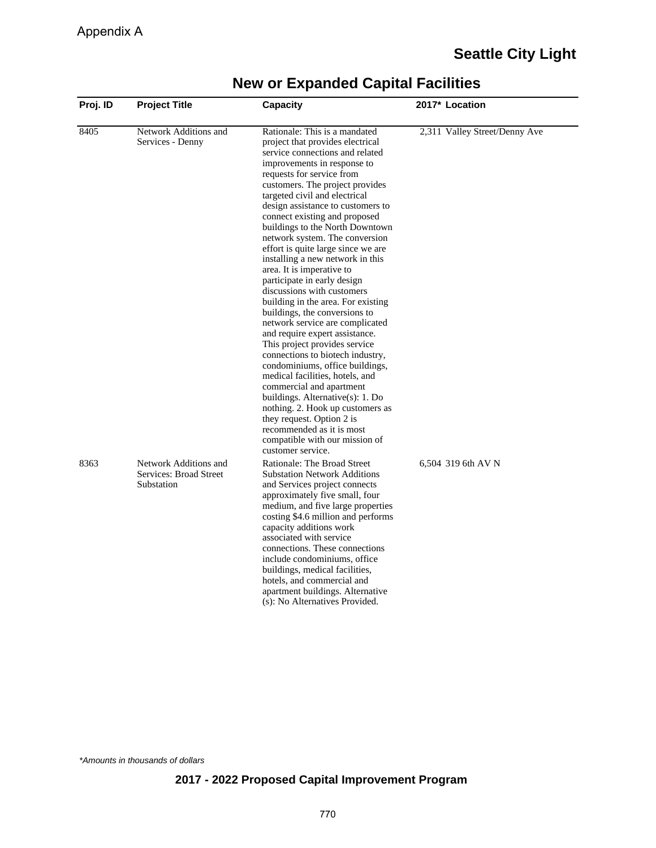|  | <b>New or Expanded Capital Facilities</b> |  |  |
|--|-------------------------------------------|--|--|
|--|-------------------------------------------|--|--|

| Proj. ID | <b>Project Title</b>                                          | Capacity                                                                                                                                                                                                                                                                                                                                                                                                                                                                                                                                                                                                                                                                                                                                                                                                                                                                                                                                                                                                                                   | 2017* Location                |
|----------|---------------------------------------------------------------|--------------------------------------------------------------------------------------------------------------------------------------------------------------------------------------------------------------------------------------------------------------------------------------------------------------------------------------------------------------------------------------------------------------------------------------------------------------------------------------------------------------------------------------------------------------------------------------------------------------------------------------------------------------------------------------------------------------------------------------------------------------------------------------------------------------------------------------------------------------------------------------------------------------------------------------------------------------------------------------------------------------------------------------------|-------------------------------|
| 8405     | Network Additions and<br>Services - Denny                     | Rationale: This is a mandated<br>project that provides electrical<br>service connections and related<br>improvements in response to<br>requests for service from<br>customers. The project provides<br>targeted civil and electrical<br>design assistance to customers to<br>connect existing and proposed<br>buildings to the North Downtown<br>network system. The conversion<br>effort is quite large since we are<br>installing a new network in this<br>area. It is imperative to<br>participate in early design<br>discussions with customers<br>building in the area. For existing<br>buildings, the conversions to<br>network service are complicated<br>and require expert assistance.<br>This project provides service<br>connections to biotech industry,<br>condominiums, office buildings,<br>medical facilities, hotels, and<br>commercial and apartment<br>buildings. Alternative(s): 1. Do<br>nothing. 2. Hook up customers as<br>they request. Option 2 is<br>recommended as it is most<br>compatible with our mission of | 2,311 Valley Street/Denny Ave |
| 8363     | Network Additions and<br>Services: Broad Street<br>Substation | customer service.<br>Rationale: The Broad Street<br><b>Substation Network Additions</b><br>and Services project connects<br>approximately five small, four<br>medium, and five large properties<br>costing \$4.6 million and performs<br>capacity additions work<br>associated with service<br>connections. These connections<br>include condominiums, office<br>buildings, medical facilities,<br>hotels, and commercial and<br>apartment buildings. Alternative<br>(s): No Alternatives Provided.                                                                                                                                                                                                                                                                                                                                                                                                                                                                                                                                        | 6,504 319 6th AV N            |

\*Amounts in thousands of dollars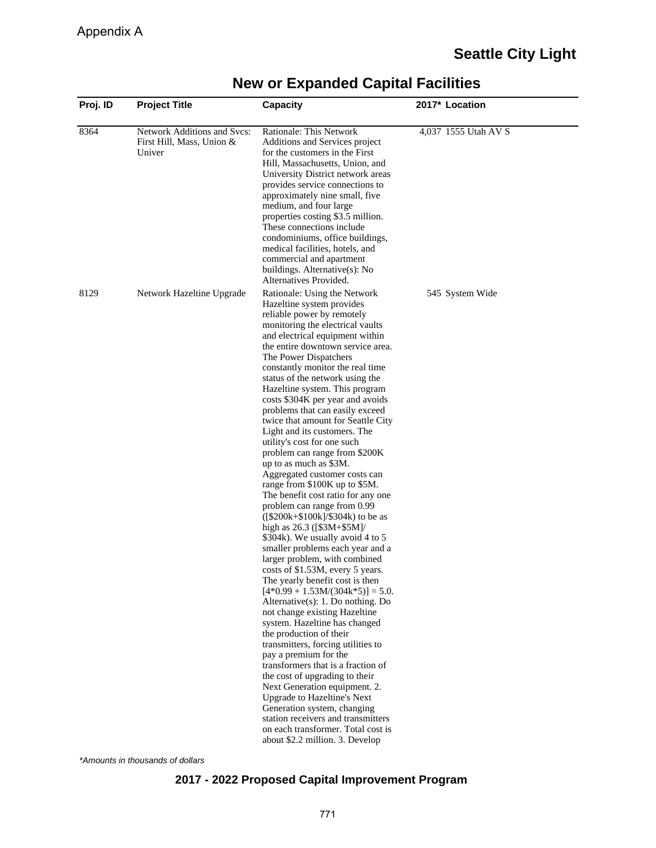| Proj. ID | <b>Project Title</b>                                               | Capacity                                                                                                                                                                                                                                                                                                                                                                                                                                                                                                                                                                                                                                                                                                                                                                                                                                                                                                                                                                                                                                                                                                                                                                                                                                                                                                                                                                                                                                                               | 2017* Location       |
|----------|--------------------------------------------------------------------|------------------------------------------------------------------------------------------------------------------------------------------------------------------------------------------------------------------------------------------------------------------------------------------------------------------------------------------------------------------------------------------------------------------------------------------------------------------------------------------------------------------------------------------------------------------------------------------------------------------------------------------------------------------------------------------------------------------------------------------------------------------------------------------------------------------------------------------------------------------------------------------------------------------------------------------------------------------------------------------------------------------------------------------------------------------------------------------------------------------------------------------------------------------------------------------------------------------------------------------------------------------------------------------------------------------------------------------------------------------------------------------------------------------------------------------------------------------------|----------------------|
| 8364     | Network Additions and Svcs:<br>First Hill, Mass, Union &<br>Univer | Rationale: This Network<br>Additions and Services project<br>for the customers in the First<br>Hill, Massachusetts, Union, and<br>University District network areas<br>provides service connections to<br>approximately nine small, five<br>medium, and four large<br>properties costing \$3.5 million.<br>These connections include<br>condominiums, office buildings,<br>medical facilities, hotels, and<br>commercial and apartment<br>buildings. Alternative(s): No<br>Alternatives Provided.                                                                                                                                                                                                                                                                                                                                                                                                                                                                                                                                                                                                                                                                                                                                                                                                                                                                                                                                                                      | 4,037 1555 Utah AV S |
| 8129     | Network Hazeltine Upgrade                                          | Rationale: Using the Network<br>Hazeltine system provides<br>reliable power by remotely<br>monitoring the electrical vaults<br>and electrical equipment within<br>the entire downtown service area.<br>The Power Dispatchers<br>constantly monitor the real time<br>status of the network using the<br>Hazeltine system. This program<br>costs \$304K per year and avoids<br>problems that can easily exceed<br>twice that amount for Seattle City<br>Light and its customers. The<br>utility's cost for one such<br>problem can range from \$200K<br>up to as much as \$3M.<br>Aggregated customer costs can<br>range from \$100K up to \$5M.<br>The benefit cost ratio for any one<br>problem can range from 0.99<br>$([\$200k+\$100k]/\$304k)$ to be as<br>high as 26.3 ([\$3M+\$5M]/<br>\$304k). We usually avoid 4 to 5<br>smaller problems each year and a<br>larger problem, with combined<br>costs of \$1.53M, every 5 years.<br>The yearly benefit cost is then<br>$[4*0.99 + 1.53M/(304k*5)] = 5.0.$<br>Alternative $(s)$ : 1. Do nothing. Do<br>not change existing Hazeltine<br>system. Hazeltine has changed<br>the production of their<br>transmitters, forcing utilities to<br>pay a premium for the<br>transformers that is a fraction of<br>the cost of upgrading to their<br>Next Generation equipment. 2.<br>Upgrade to Hazeltine's Next<br>Generation system, changing<br>station receivers and transmitters<br>on each transformer. Total cost is | 545 System Wide      |

\*Amounts in thousands of dollars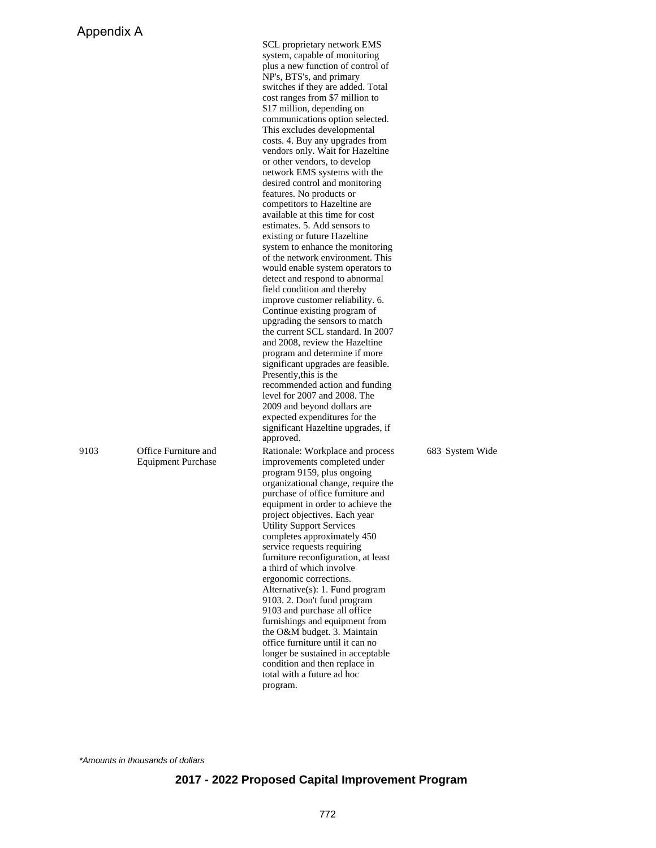|      |                                                   | cost ranges from \$7 million to<br>\$17 million, depending on<br>communications option selected.<br>This excludes developmental<br>costs. 4. Buy any upgrades from<br>vendors only. Wait for Hazeltine<br>or other vendors, to develop<br>network EMS systems with the<br>desired control and monitoring<br>features. No products or<br>competitors to Hazeltine are<br>available at this time for cost<br>estimates. 5. Add sensors to<br>existing or future Hazeltine<br>system to enhance the monitoring<br>of the network environment. This<br>would enable system operators to<br>detect and respond to abnormal<br>field condition and thereby<br>improve customer reliability. 6.<br>Continue existing program of<br>upgrading the sensors to match<br>the current SCL standard. In 2007<br>and 2008, review the Hazeltine<br>program and determine if more<br>significant upgrades are feasible.<br>Presently, this is the<br>recommended action and funding<br>level for 2007 and 2008. The<br>2009 and beyond dollars are<br>expected expenditures for the |                 |
|------|---------------------------------------------------|----------------------------------------------------------------------------------------------------------------------------------------------------------------------------------------------------------------------------------------------------------------------------------------------------------------------------------------------------------------------------------------------------------------------------------------------------------------------------------------------------------------------------------------------------------------------------------------------------------------------------------------------------------------------------------------------------------------------------------------------------------------------------------------------------------------------------------------------------------------------------------------------------------------------------------------------------------------------------------------------------------------------------------------------------------------------|-----------------|
| 9103 | Office Furniture and<br><b>Equipment Purchase</b> | significant Hazeltine upgrades, if<br>approved.<br>Rationale: Workplace and process<br>improvements completed under<br>program 9159, plus ongoing<br>organizational change, require the<br>purchase of office furniture and<br>equipment in order to achieve the<br>project objectives. Each year<br><b>Utility Support Services</b><br>completes approximately 450<br>service requests requiring<br>furniture reconfiguration, at least<br>a third of which involve<br>ergonomic corrections.<br>Alternative(s): 1. Fund program<br>9103. 2. Don't fund program<br>9103 and purchase all office<br>furnishings and equipment from<br>the O&M budget. 3. Maintain<br>office furniture until it can no<br>longer be sustained in acceptable<br>condition and then replace in<br>total with a future ad hoc<br>program.                                                                                                                                                                                                                                                | 683 System Wide |

SCL proprietary network EMS system, capable of monitoring plus a new function of control of NP's, BTS's, and primary switches if they are added. Total

\*Amounts in thousands of dollars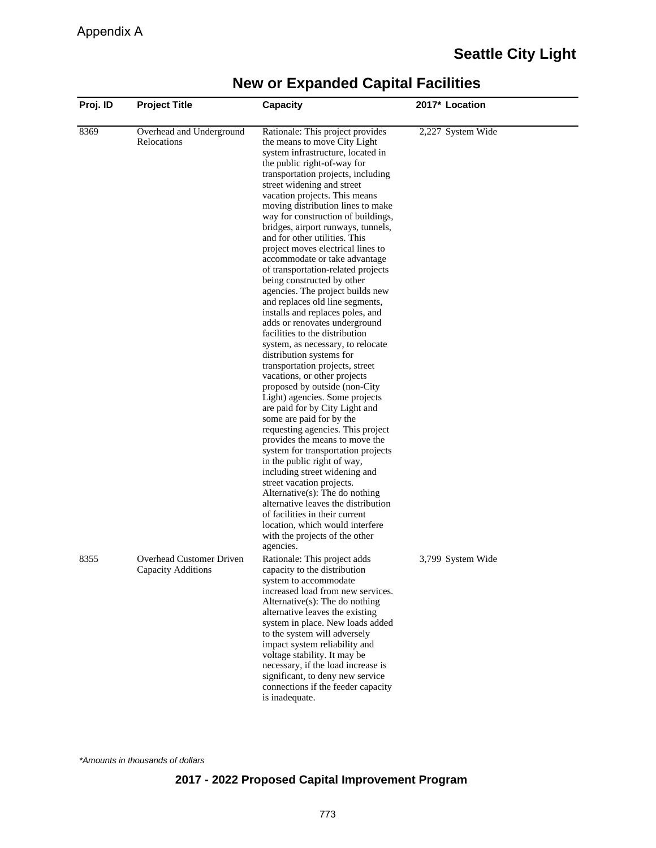| Proj. ID | <b>Project Title</b>                           | Capacity                                                                                                                                                                                                                                                                                                                                                                                                                                                                                                                                                                                                                                                                                                                                                                                                                                                                                                                                                                                                                                                                                                                                                                                                                                                                                                                                                                                        | 2017* Location    |  |
|----------|------------------------------------------------|-------------------------------------------------------------------------------------------------------------------------------------------------------------------------------------------------------------------------------------------------------------------------------------------------------------------------------------------------------------------------------------------------------------------------------------------------------------------------------------------------------------------------------------------------------------------------------------------------------------------------------------------------------------------------------------------------------------------------------------------------------------------------------------------------------------------------------------------------------------------------------------------------------------------------------------------------------------------------------------------------------------------------------------------------------------------------------------------------------------------------------------------------------------------------------------------------------------------------------------------------------------------------------------------------------------------------------------------------------------------------------------------------|-------------------|--|
| 8369     | Overhead and Underground<br>Relocations        | Rationale: This project provides<br>the means to move City Light<br>system infrastructure, located in<br>the public right-of-way for<br>transportation projects, including<br>street widening and street<br>vacation projects. This means<br>moving distribution lines to make<br>way for construction of buildings,<br>bridges, airport runways, tunnels,<br>and for other utilities. This<br>project moves electrical lines to<br>accommodate or take advantage<br>of transportation-related projects<br>being constructed by other<br>agencies. The project builds new<br>and replaces old line segments,<br>installs and replaces poles, and<br>adds or renovates underground<br>facilities to the distribution<br>system, as necessary, to relocate<br>distribution systems for<br>transportation projects, street<br>vacations, or other projects<br>proposed by outside (non-City<br>Light) agencies. Some projects<br>are paid for by City Light and<br>some are paid for by the<br>requesting agencies. This project<br>provides the means to move the<br>system for transportation projects<br>in the public right of way,<br>including street widening and<br>street vacation projects.<br>Alternative(s): The do nothing<br>alternative leaves the distribution<br>of facilities in their current<br>location, which would interfere<br>with the projects of the other<br>agencies. | 2,227 System Wide |  |
| 8355     | Overhead Customer Driven<br>Capacity Additions | Rationale: This project adds<br>capacity to the distribution<br>system to accommodate<br>increased load from new services.<br>Alternative $(s)$ : The do nothing<br>alternative leaves the existing<br>system in place. New loads added<br>to the system will adversely<br>impact system reliability and<br>voltage stability. It may be<br>necessary, if the load increase is<br>significant, to deny new service<br>connections if the feeder capacity<br>is inadequate.                                                                                                                                                                                                                                                                                                                                                                                                                                                                                                                                                                                                                                                                                                                                                                                                                                                                                                                      | 3,799 System Wide |  |

\*Amounts in thousands of dollars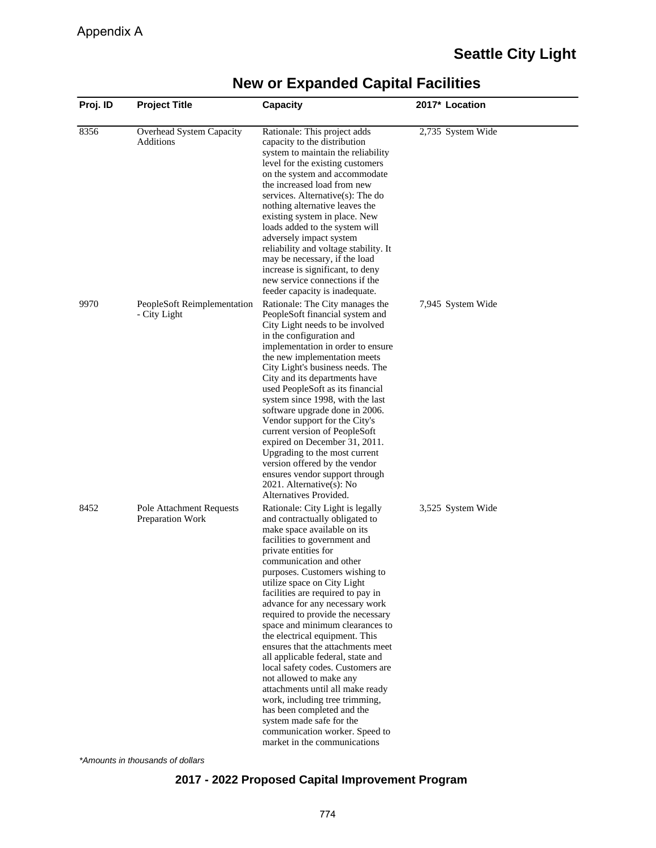| Proj. ID | <b>Project Title</b>                         | <b>Capacity</b>                                                                                                                                                                                                                                                                                                                                                                                                                                                                                                                                                                                                                                                                                                                                                                    | 2017* Location    |
|----------|----------------------------------------------|------------------------------------------------------------------------------------------------------------------------------------------------------------------------------------------------------------------------------------------------------------------------------------------------------------------------------------------------------------------------------------------------------------------------------------------------------------------------------------------------------------------------------------------------------------------------------------------------------------------------------------------------------------------------------------------------------------------------------------------------------------------------------------|-------------------|
| 8356     | Overhead System Capacity<br>Additions        | Rationale: This project adds<br>capacity to the distribution<br>system to maintain the reliability<br>level for the existing customers<br>on the system and accommodate<br>the increased load from new<br>services. Alternative $(s)$ : The do<br>nothing alternative leaves the<br>existing system in place. New<br>loads added to the system will<br>adversely impact system<br>reliability and voltage stability. It<br>may be necessary, if the load<br>increase is significant, to deny<br>new service connections if the<br>feeder capacity is inadequate.                                                                                                                                                                                                                   | 2,735 System Wide |
| 9970     | PeopleSoft Reimplementation<br>- City Light  | Rationale: The City manages the<br>PeopleSoft financial system and<br>City Light needs to be involved<br>in the configuration and<br>implementation in order to ensure<br>the new implementation meets<br>City Light's business needs. The<br>City and its departments have<br>used PeopleSoft as its financial<br>system since 1998, with the last<br>software upgrade done in 2006.<br>Vendor support for the City's<br>current version of PeopleSoft<br>expired on December 31, 2011.<br>Upgrading to the most current<br>version offered by the vendor<br>ensures vendor support through<br>2021. Alternative(s): No<br>Alternatives Provided.                                                                                                                                 | 7,945 System Wide |
| 8452     | Pole Attachment Requests<br>Preparation Work | Rationale: City Light is legally<br>and contractually obligated to<br>make space available on its<br>facilities to government and<br>private entities for<br>communication and other<br>purposes. Customers wishing to<br>utilize space on City Light<br>facilities are required to pay in<br>advance for any necessary work<br>required to provide the necessary<br>space and minimum clearances to<br>the electrical equipment. This<br>ensures that the attachments meet<br>all applicable federal, state and<br>local safety codes. Customers are<br>not allowed to make any<br>attachments until all make ready<br>work, including tree trimming,<br>has been completed and the<br>system made safe for the<br>communication worker. Speed to<br>market in the communications | 3,525 System Wide |

\*Amounts in thousands of dollars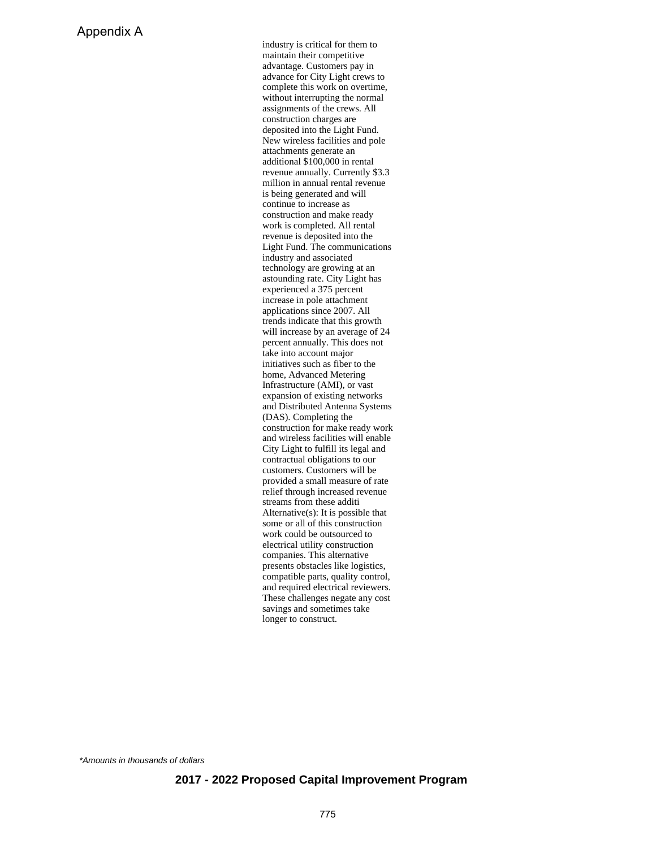industry is critical for them to maintain their competitive advantage. Customers pay in advance for City Light crews to complete this work on overtime, without interrupting the normal assignments of the crews. All construction charges are deposited into the Light Fund. New wireless facilities and pole attachments generate an additional \$100,000 in rental revenue annually. Currently \$3.3 million in annual rental revenue is being generated and will continue to increase as construction and make ready work is completed. All rental revenue is deposited into the Light Fund. The communications industry and associated technology are growing at an astounding rate. City Light has experienced a 375 percent increase in pole attachment applications since 2007. All trends indicate that this growth will increase by an average of 24 percent annually. This does not take into account major initiatives such as fiber to the home, Advanced Metering Infrastructure (AMI), or vast expansion of existing networks and Distributed Antenna Systems (DAS). Completing the construction for make ready work and wireless facilities will enable City Light to fulfill its legal and contractual obligations to our customers. Customers will be provided a small measure of rate relief through increased revenue streams from these additi Alternative(s): It is possible that some or all of this construction work could be outsourced to electrical utility construction companies. This alternative presents obstacles like logistics, compatible parts, quality control, and required electrical reviewers. These challenges negate any cost savings and sometimes take longer to construct.

\*Amounts in thousands of dollars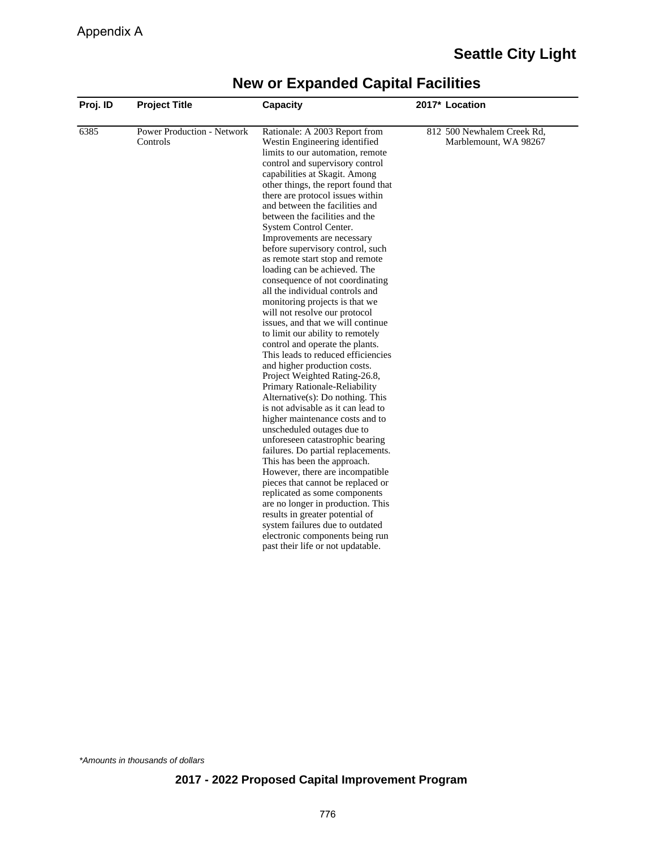| Proj. ID | <b>Project Title</b>                          | Capacity                                                                                                                                                                                                                                                                                                                                                                                                                                                                                                                                                                                                                                                                                                                                                                                                                                                                                                                                                                                                                                                                                                                                                                                                                                                                                                                                                                                                                            | 2017* Location                                      |
|----------|-----------------------------------------------|-------------------------------------------------------------------------------------------------------------------------------------------------------------------------------------------------------------------------------------------------------------------------------------------------------------------------------------------------------------------------------------------------------------------------------------------------------------------------------------------------------------------------------------------------------------------------------------------------------------------------------------------------------------------------------------------------------------------------------------------------------------------------------------------------------------------------------------------------------------------------------------------------------------------------------------------------------------------------------------------------------------------------------------------------------------------------------------------------------------------------------------------------------------------------------------------------------------------------------------------------------------------------------------------------------------------------------------------------------------------------------------------------------------------------------------|-----------------------------------------------------|
| 6385     | <b>Power Production - Network</b><br>Controls | Rationale: A 2003 Report from<br>Westin Engineering identified<br>limits to our automation, remote<br>control and supervisory control<br>capabilities at Skagit. Among<br>other things, the report found that<br>there are protocol issues within<br>and between the facilities and<br>between the facilities and the<br>System Control Center.<br>Improvements are necessary<br>before supervisory control, such<br>as remote start stop and remote<br>loading can be achieved. The<br>consequence of not coordinating<br>all the individual controls and<br>monitoring projects is that we<br>will not resolve our protocol<br>issues, and that we will continue<br>to limit our ability to remotely<br>control and operate the plants.<br>This leads to reduced efficiencies<br>and higher production costs.<br>Project Weighted Rating-26.8,<br>Primary Rationale-Reliability<br>$Alternative(s)$ : Do nothing. This<br>is not advisable as it can lead to<br>higher maintenance costs and to<br>unscheduled outages due to<br>unforeseen catastrophic bearing<br>failures. Do partial replacements.<br>This has been the approach.<br>However, there are incompatible<br>pieces that cannot be replaced or<br>replicated as some components<br>are no longer in production. This<br>results in greater potential of<br>system failures due to outdated<br>electronic components being run<br>past their life or not updatable. | 812 500 Newhalem Creek Rd,<br>Marblemount, WA 98267 |

\*Amounts in thousands of dollars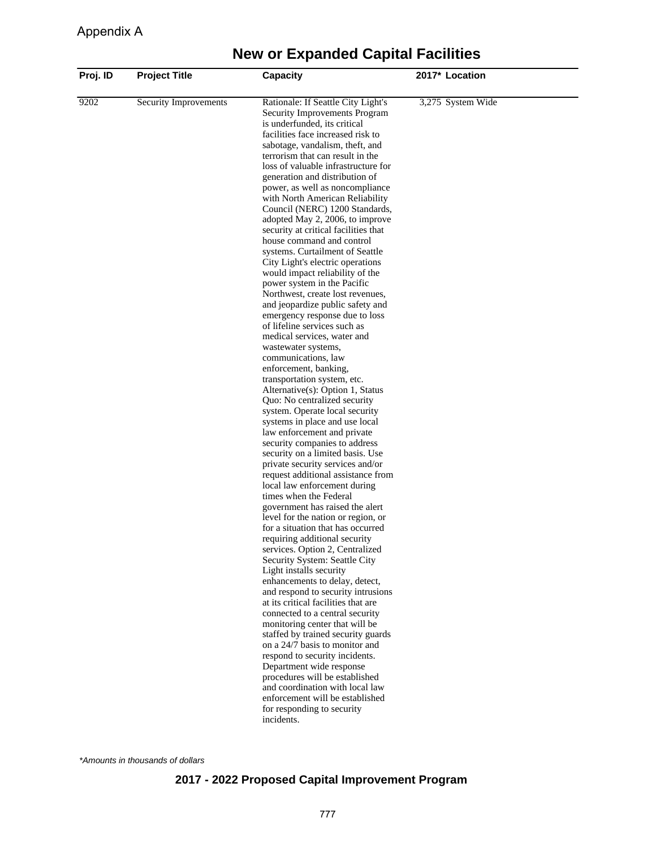| 9202<br>Security Improvements | Rationale: If Seattle City Light's                                                                                                                                                                                                                                                                                                                                                                                                                                                                                                                                                                                                                                                                                                                                                                                                                                                                                                                                                                                                                                                                                                                                                                                                                                                                                                                                                                                                                                                                                                                                                                                                                                                                                                                                                                                                                                                                                                                         |                   |
|-------------------------------|------------------------------------------------------------------------------------------------------------------------------------------------------------------------------------------------------------------------------------------------------------------------------------------------------------------------------------------------------------------------------------------------------------------------------------------------------------------------------------------------------------------------------------------------------------------------------------------------------------------------------------------------------------------------------------------------------------------------------------------------------------------------------------------------------------------------------------------------------------------------------------------------------------------------------------------------------------------------------------------------------------------------------------------------------------------------------------------------------------------------------------------------------------------------------------------------------------------------------------------------------------------------------------------------------------------------------------------------------------------------------------------------------------------------------------------------------------------------------------------------------------------------------------------------------------------------------------------------------------------------------------------------------------------------------------------------------------------------------------------------------------------------------------------------------------------------------------------------------------------------------------------------------------------------------------------------------------|-------------------|
|                               | Security Improvements Program<br>is underfunded, its critical<br>facilities face increased risk to<br>sabotage, vandalism, theft, and<br>terrorism that can result in the<br>loss of valuable infrastructure for<br>generation and distribution of<br>power, as well as noncompliance<br>with North American Reliability<br>Council (NERC) 1200 Standards,<br>adopted May 2, 2006, to improve<br>security at critical facilities that<br>house command and control<br>systems. Curtailment of Seattle<br>City Light's electric operations<br>would impact reliability of the<br>power system in the Pacific<br>Northwest, create lost revenues,<br>and jeopardize public safety and<br>emergency response due to loss<br>of lifeline services such as<br>medical services, water and<br>wastewater systems,<br>communications, law<br>enforcement, banking,<br>transportation system, etc.<br>Alternative(s): Option 1, Status<br>Quo: No centralized security<br>system. Operate local security<br>systems in place and use local<br>law enforcement and private<br>security companies to address<br>security on a limited basis. Use<br>private security services and/or<br>request additional assistance from<br>local law enforcement during<br>times when the Federal<br>government has raised the alert<br>level for the nation or region, or<br>for a situation that has occurred<br>requiring additional security<br>services. Option 2, Centralized<br>Security System: Seattle City<br>Light installs security<br>enhancements to delay, detect,<br>and respond to security intrusions<br>at its critical facilities that are<br>connected to a central security<br>monitoring center that will be<br>staffed by trained security guards<br>on a 24/7 basis to monitor and<br>respond to security incidents.<br>Department wide response<br>procedures will be established<br>and coordination with local law<br>enforcement will be established | 3,275 System Wide |

\*Amounts in thousands of dollars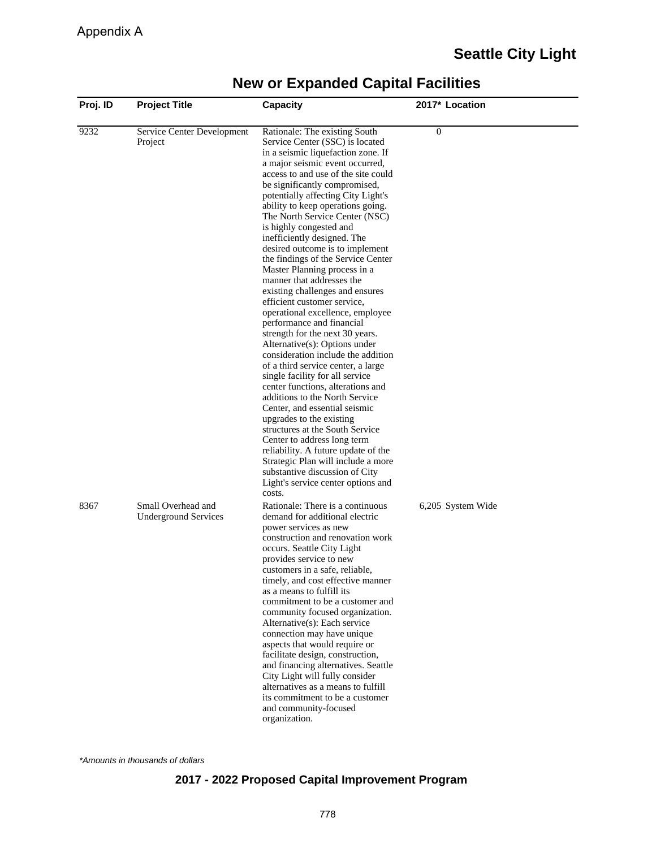| Proj. ID | <b>Project Title</b>                              | <b>Capacity</b>                                                                                                                                                                                                                                                                                                                                                                                                                                                                                                                                                                                                                                                                                                                                                                                                                                                                                                                                                                                                                                                                                                                                                                                                           | 2017* Location    |
|----------|---------------------------------------------------|---------------------------------------------------------------------------------------------------------------------------------------------------------------------------------------------------------------------------------------------------------------------------------------------------------------------------------------------------------------------------------------------------------------------------------------------------------------------------------------------------------------------------------------------------------------------------------------------------------------------------------------------------------------------------------------------------------------------------------------------------------------------------------------------------------------------------------------------------------------------------------------------------------------------------------------------------------------------------------------------------------------------------------------------------------------------------------------------------------------------------------------------------------------------------------------------------------------------------|-------------------|
| 9232     | Service Center Development<br>Project             | Rationale: The existing South<br>Service Center (SSC) is located<br>in a seismic liquefaction zone. If<br>a major seismic event occurred,<br>access to and use of the site could<br>be significantly compromised,<br>potentially affecting City Light's<br>ability to keep operations going.<br>The North Service Center (NSC)<br>is highly congested and<br>inefficiently designed. The<br>desired outcome is to implement<br>the findings of the Service Center<br>Master Planning process in a<br>manner that addresses the<br>existing challenges and ensures<br>efficient customer service,<br>operational excellence, employee<br>performance and financial<br>strength for the next 30 years.<br>Alternative(s): Options under<br>consideration include the addition<br>of a third service center, a large<br>single facility for all service<br>center functions, alterations and<br>additions to the North Service<br>Center, and essential seismic<br>upgrades to the existing<br>structures at the South Service<br>Center to address long term<br>reliability. A future update of the<br>Strategic Plan will include a more<br>substantive discussion of City<br>Light's service center options and<br>costs. | $\overline{0}$    |
| 8367     | Small Overhead and<br><b>Underground Services</b> | Rationale: There is a continuous<br>demand for additional electric<br>power services as new<br>construction and renovation work<br>occurs. Seattle City Light<br>provides service to new<br>customers in a safe, reliable,<br>timely, and cost effective manner<br>as a means to fulfill its<br>commitment to be a customer and<br>community focused organization.<br>Alternative(s): Each service<br>connection may have unique<br>aspects that would require or<br>facilitate design, construction,<br>and financing alternatives. Seattle<br>City Light will fully consider<br>alternatives as a means to fulfill<br>its commitment to be a customer<br>and community-focused<br>organization.                                                                                                                                                                                                                                                                                                                                                                                                                                                                                                                         | 6,205 System Wide |

\*Amounts in thousands of dollars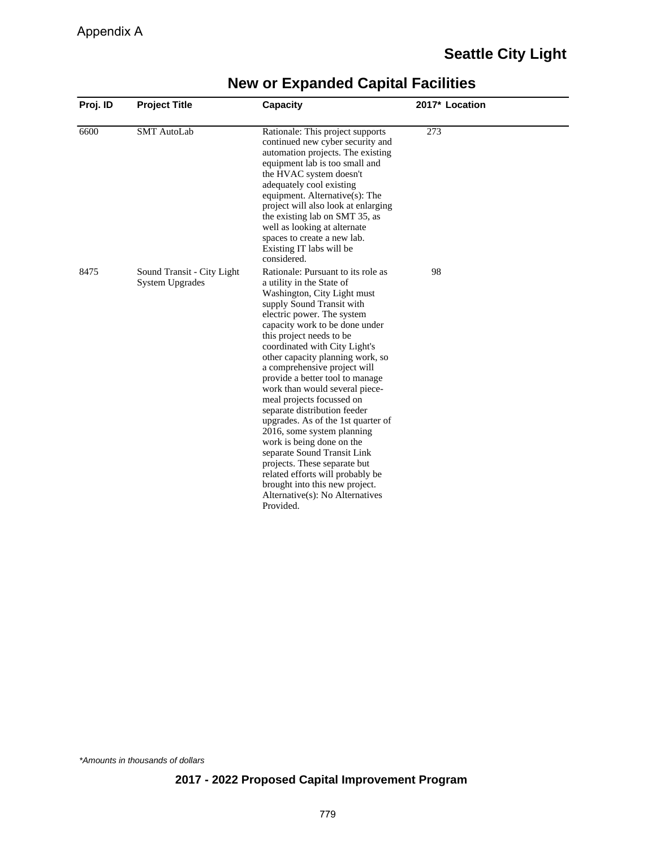| Proj. ID | <b>Project Title</b>                                 | <b>Capacity</b>                                                                                                                                                                                                                                                                                                                                                                                                                                                                                                                                                                                                                                                                                                                                      | 2017* Location |  |
|----------|------------------------------------------------------|------------------------------------------------------------------------------------------------------------------------------------------------------------------------------------------------------------------------------------------------------------------------------------------------------------------------------------------------------------------------------------------------------------------------------------------------------------------------------------------------------------------------------------------------------------------------------------------------------------------------------------------------------------------------------------------------------------------------------------------------------|----------------|--|
| 6600     | <b>SMT</b> AutoLab                                   | Rationale: This project supports<br>continued new cyber security and<br>automation projects. The existing<br>equipment lab is too small and<br>the HVAC system doesn't<br>adequately cool existing<br>equipment. Alternative(s): The<br>project will also look at enlarging<br>the existing lab on SMT 35, as<br>well as looking at alternate<br>spaces to create a new lab.<br>Existing IT labs will be<br>considered.                                                                                                                                                                                                                                                                                                                              | 273            |  |
| 8475     | Sound Transit - City Light<br><b>System Upgrades</b> | Rationale: Pursuant to its role as<br>a utility in the State of<br>Washington, City Light must<br>supply Sound Transit with<br>electric power. The system<br>capacity work to be done under<br>this project needs to be<br>coordinated with City Light's<br>other capacity planning work, so<br>a comprehensive project will<br>provide a better tool to manage<br>work than would several piece-<br>meal projects focussed on<br>separate distribution feeder<br>upgrades. As of the 1st quarter of<br>2016, some system planning<br>work is being done on the<br>separate Sound Transit Link<br>projects. These separate but<br>related efforts will probably be<br>brought into this new project.<br>Alternative(s): No Alternatives<br>Provided. | 98             |  |

\*Amounts in thousands of dollars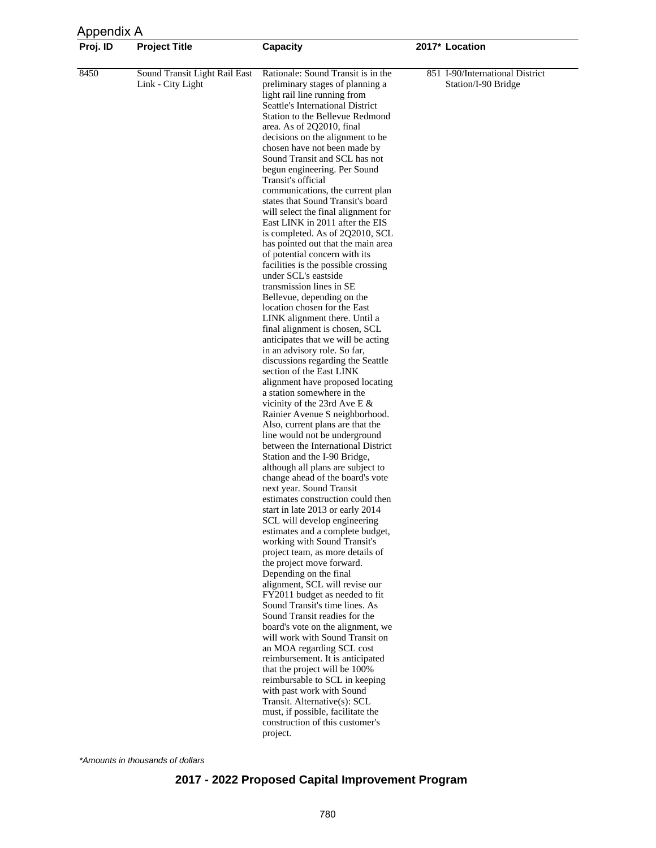| Appendix A |                                                    |                                                                                                                                                                                                                                                                                                                                                                                                                                                                                                                                                                                                                                                                                                                                                                                                                                                                                                                                                                                                                                                                                                                                                                                                                                                                                                                                                                                                                                                                                                                                                                                                                                                                                                                                                                                                                                                                                                                                                                                                                                                                                                                                                                          |                                                        |  |
|------------|----------------------------------------------------|--------------------------------------------------------------------------------------------------------------------------------------------------------------------------------------------------------------------------------------------------------------------------------------------------------------------------------------------------------------------------------------------------------------------------------------------------------------------------------------------------------------------------------------------------------------------------------------------------------------------------------------------------------------------------------------------------------------------------------------------------------------------------------------------------------------------------------------------------------------------------------------------------------------------------------------------------------------------------------------------------------------------------------------------------------------------------------------------------------------------------------------------------------------------------------------------------------------------------------------------------------------------------------------------------------------------------------------------------------------------------------------------------------------------------------------------------------------------------------------------------------------------------------------------------------------------------------------------------------------------------------------------------------------------------------------------------------------------------------------------------------------------------------------------------------------------------------------------------------------------------------------------------------------------------------------------------------------------------------------------------------------------------------------------------------------------------------------------------------------------------------------------------------------------------|--------------------------------------------------------|--|
| Proj. ID   | <b>Project Title</b>                               | <b>Capacity</b>                                                                                                                                                                                                                                                                                                                                                                                                                                                                                                                                                                                                                                                                                                                                                                                                                                                                                                                                                                                                                                                                                                                                                                                                                                                                                                                                                                                                                                                                                                                                                                                                                                                                                                                                                                                                                                                                                                                                                                                                                                                                                                                                                          | 2017* Location                                         |  |
| 8450       | Sound Transit Light Rail East<br>Link - City Light | Rationale: Sound Transit is in the<br>preliminary stages of planning a<br>light rail line running from<br>Seattle's International District<br>Station to the Bellevue Redmond<br>area. As of 2Q2010, final<br>decisions on the alignment to be<br>chosen have not been made by<br>Sound Transit and SCL has not<br>begun engineering. Per Sound<br>Transit's official<br>communications, the current plan<br>states that Sound Transit's board<br>will select the final alignment for<br>East LINK in 2011 after the EIS<br>is completed. As of 2Q2010, SCL<br>has pointed out that the main area<br>of potential concern with its<br>facilities is the possible crossing<br>under SCL's eastside<br>transmission lines in SE<br>Bellevue, depending on the<br>location chosen for the East<br>LINK alignment there. Until a<br>final alignment is chosen, SCL<br>anticipates that we will be acting<br>in an advisory role. So far,<br>discussions regarding the Seattle<br>section of the East LINK<br>alignment have proposed locating<br>a station somewhere in the<br>vicinity of the 23rd Ave E $\&$<br>Rainier Avenue S neighborhood.<br>Also, current plans are that the<br>line would not be underground<br>between the International District<br>Station and the I-90 Bridge,<br>although all plans are subject to<br>change ahead of the board's vote<br>next year. Sound Transit<br>estimates construction could then<br>start in late 2013 or early 2014<br>SCL will develop engineering<br>estimates and a complete budget,<br>working with Sound Transit's<br>project team, as more details of<br>the project move forward.<br>Depending on the final<br>alignment, SCL will revise our<br>FY2011 budget as needed to fit<br>Sound Transit's time lines. As<br>Sound Transit readies for the<br>board's vote on the alignment, we<br>will work with Sound Transit on<br>an MOA regarding SCL cost<br>reimbursement. It is anticipated<br>that the project will be 100%<br>reimbursable to SCL in keeping<br>with past work with Sound<br>Transit. Alternative(s): SCL<br>must, if possible, facilitate the<br>construction of this customer's<br>project. | 851 I-90/International District<br>Station/I-90 Bridge |  |

\*Amounts in thousands of dollars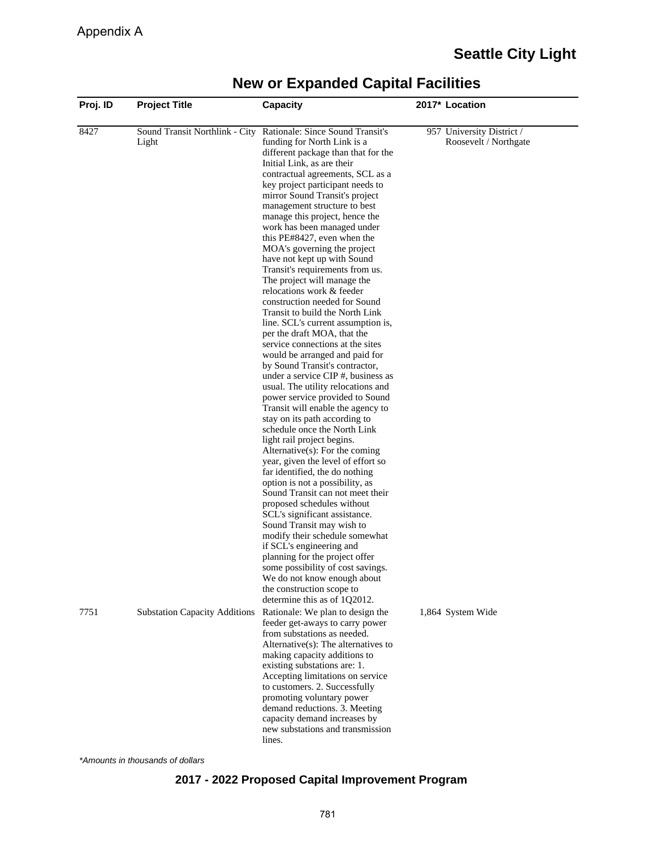#### **Proj. ID Project Title Capacity 2017\* Location** 8427 Sound Transit Northlink - City Rationale: Since Sound Transit's Light funding for North Link is a different package than that for the Initial Link, as are their contractual agreements, SCL as a key project participant needs to mirror Sound Transit's project management structure to best manage this project, hence the work has been managed under this PE#8427, even when the MOA's governing the project have not kept up with Sound Transit's requirements from us. The project will manage the relocations work & feeder construction needed for Sound Transit to build the North Link line. SCL's current assumption is, per the draft MOA, that the service connections at the sites would be arranged and paid for by Sound Transit's contractor, under a service CIP #, business as usual. The utility relocations and power service provided to Sound Transit will enable the agency to stay on its path according to schedule once the North Link light rail project begins. Alternative(s): For the coming year, given the level of effort so far identified, the do nothing option is not a possibility, as Sound Transit can not meet their proposed schedules without SCL's significant assistance. Sound Transit may wish to modify their schedule somewhat if SCL's engineering and planning for the project offer some possibility of cost savings. We do not know enough about the construction scope to determine this as of 1Q2012. 957 University District / Roosevelt / Northgate 7751 Substation Capacity Additions Rationale: We plan to design the feeder get-aways to carry power from substations as needed. Alternative(s): The alternatives to making capacity additions to existing substations are: 1. Accepting limitations on service to customers. 2. Successfully promoting voluntary power demand reductions. 3. Meeting capacity demand increases by new substations and transmission **lines**. 1,864 System Wide

### **New or Expanded Capital Facilities**

\*Amounts in thousands of dollars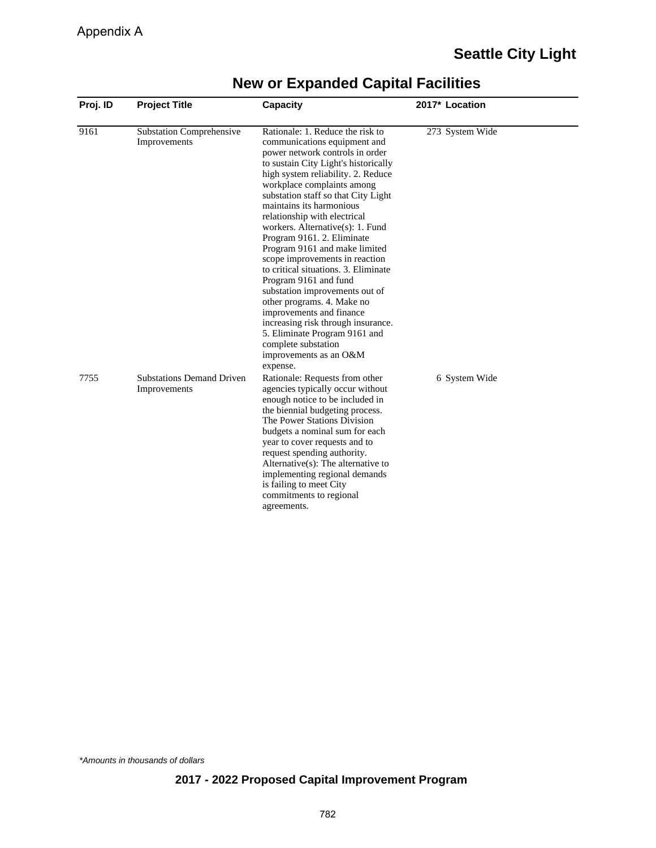| Proj. ID | <b>Project Title</b>                             | Capacity                                                                                                                                                                                                                                                                                                                                                                                                                                                                                                                                                                                                                                                                                                                                                 | 2017* Location  |  |
|----------|--------------------------------------------------|----------------------------------------------------------------------------------------------------------------------------------------------------------------------------------------------------------------------------------------------------------------------------------------------------------------------------------------------------------------------------------------------------------------------------------------------------------------------------------------------------------------------------------------------------------------------------------------------------------------------------------------------------------------------------------------------------------------------------------------------------------|-----------------|--|
| 9161     | <b>Substation Comprehensive</b><br>Improvements  | Rationale: 1. Reduce the risk to<br>communications equipment and<br>power network controls in order<br>to sustain City Light's historically<br>high system reliability. 2. Reduce<br>workplace complaints among<br>substation staff so that City Light<br>maintains its harmonious<br>relationship with electrical<br>workers. Alternative(s): 1. Fund<br>Program 9161. 2. Eliminate<br>Program 9161 and make limited<br>scope improvements in reaction<br>to critical situations. 3. Eliminate<br>Program 9161 and fund<br>substation improvements out of<br>other programs. 4. Make no<br>improvements and finance<br>increasing risk through insurance.<br>5. Eliminate Program 9161 and<br>complete substation<br>improvements as an O&M<br>expense. | 273 System Wide |  |
| 7755     | <b>Substations Demand Driven</b><br>Improvements | Rationale: Requests from other<br>agencies typically occur without<br>enough notice to be included in<br>the biennial budgeting process.<br>The Power Stations Division<br>budgets a nominal sum for each<br>year to cover requests and to<br>request spending authority.<br>Alternative $(s)$ : The alternative to<br>implementing regional demands<br>is failing to meet City<br>commitments to regional<br>agreements.                                                                                                                                                                                                                                                                                                                                | 6 System Wide   |  |

\*Amounts in thousands of dollars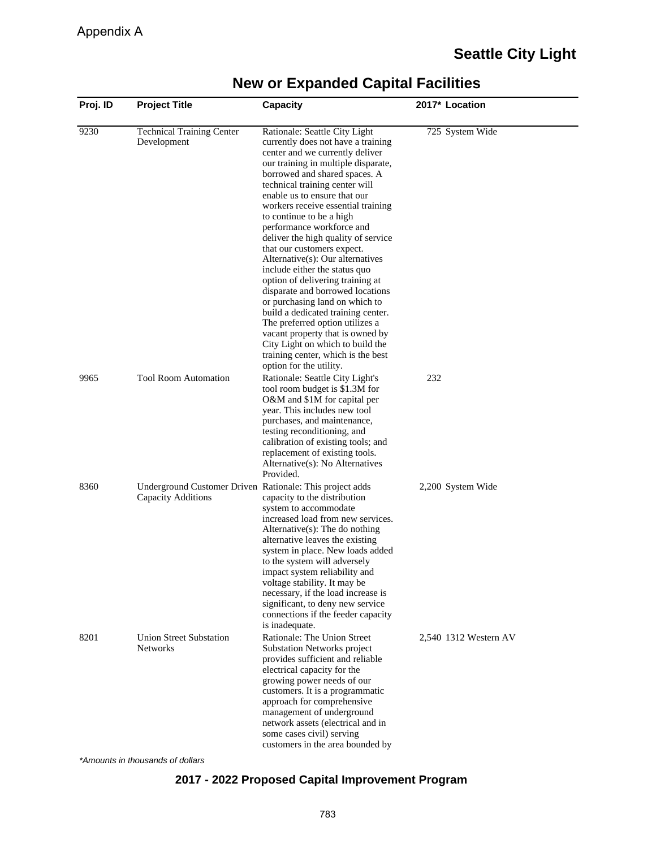| Proj. ID | <b>Project Title</b>                                                           | Capacity                                                                                                                                                                                                                                                                                                                                                                                                                                                                                                                                                                                                                                                                                                                                                                                                              | 2017* Location        |  |
|----------|--------------------------------------------------------------------------------|-----------------------------------------------------------------------------------------------------------------------------------------------------------------------------------------------------------------------------------------------------------------------------------------------------------------------------------------------------------------------------------------------------------------------------------------------------------------------------------------------------------------------------------------------------------------------------------------------------------------------------------------------------------------------------------------------------------------------------------------------------------------------------------------------------------------------|-----------------------|--|
| 9230     | <b>Technical Training Center</b><br>Development                                | Rationale: Seattle City Light<br>currently does not have a training<br>center and we currently deliver<br>our training in multiple disparate,<br>borrowed and shared spaces. A<br>technical training center will<br>enable us to ensure that our<br>workers receive essential training<br>to continue to be a high<br>performance workforce and<br>deliver the high quality of service<br>that our customers expect.<br>Alternative(s): Our alternatives<br>include either the status quo<br>option of delivering training at<br>disparate and borrowed locations<br>or purchasing land on which to<br>build a dedicated training center.<br>The preferred option utilizes a<br>vacant property that is owned by<br>City Light on which to build the<br>training center, which is the best<br>option for the utility. | 725 System Wide       |  |
| 9965     | <b>Tool Room Automation</b>                                                    | Rationale: Seattle City Light's<br>tool room budget is \$1.3M for<br>O&M and \$1M for capital per<br>year. This includes new tool<br>purchases, and maintenance,<br>testing reconditioning, and<br>calibration of existing tools; and<br>replacement of existing tools.<br>Alternative(s): No Alternatives<br>Provided.                                                                                                                                                                                                                                                                                                                                                                                                                                                                                               | 232                   |  |
| 8360     | Underground Customer Driven Rationale: This project adds<br>Capacity Additions | capacity to the distribution<br>system to accommodate<br>increased load from new services.<br>Alternative(s): The do nothing<br>alternative leaves the existing<br>system in place. New loads added<br>to the system will adversely<br>impact system reliability and<br>voltage stability. It may be<br>necessary, if the load increase is<br>significant, to deny new service<br>connections if the feeder capacity<br>is inadequate.                                                                                                                                                                                                                                                                                                                                                                                | 2,200 System Wide     |  |
| 8201     | <b>Union Street Substation</b><br><b>Networks</b>                              | Rationale: The Union Street<br><b>Substation Networks project</b><br>provides sufficient and reliable<br>electrical capacity for the<br>growing power needs of our<br>customers. It is a programmatic<br>approach for comprehensive<br>management of underground<br>network assets (electrical and in<br>some cases civil) serving<br>customers in the area bounded by                                                                                                                                                                                                                                                                                                                                                                                                                                                | 2,540 1312 Western AV |  |

\*Amounts in thousands of dollars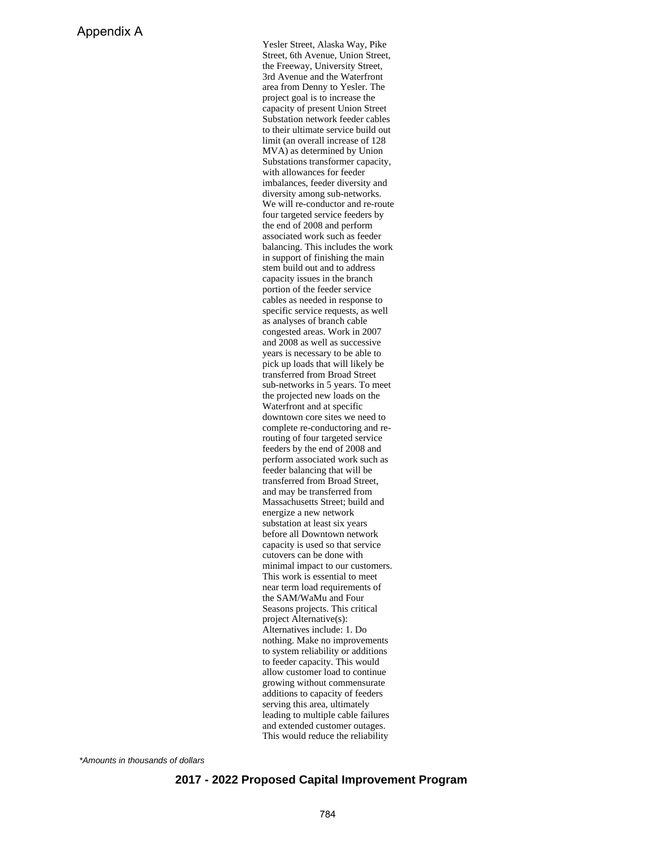Yesler Street, Alaska Way, Pike Street, 6th Avenue, Union Street, the Freeway, University Street, 3rd Avenue and the Waterfront area from Denny to Yesler. The project goal is to increase the capacity of present Union Street Substation network feeder cables to their ultimate service build out limit (an overall increase of 128 MVA) as determined by Union Substations transformer capacity, with allowances for feeder imbalances, feeder diversity and diversity among sub-networks. We will re-conductor and re-route four targeted service feeders by the end of 2008 and perform associated work such as feeder balancing. This includes the work in support of finishing the main stem build out and to address capacity issues in the branch portion of the feeder service cables as needed in response to specific service requests, as well as analyses of branch cable congested areas. Work in 2007 and 2008 as well as successive years is necessary to be able to pick up loads that will likely be transferred from Broad Street sub-networks in 5 years. To meet the projected new loads on the Waterfront and at specific downtown core sites we need to complete re-conductoring and rerouting of four targeted service feeders by the end of 2008 and perform associated work such as feeder balancing that will be transferred from Broad Street, and may be transferred from Massachusetts Street; build and energize a new network substation at least six years before all Downtown network capacity is used so that service cutovers can be done with minimal impact to our customers. This work is essential to meet near term load requirements of the SAM/WaMu and Four Seasons projects. This critical project Alternative(s): Alternatives include: 1. Do nothing. Make no improvements to system reliability or additions to feeder capacity. This would allow customer load to continue growing without commensurate additions to capacity of feeders serving this area, ultimately leading to multiple cable failures and extended customer outages. This would reduce the reliability

\*Amounts in thousands of dollars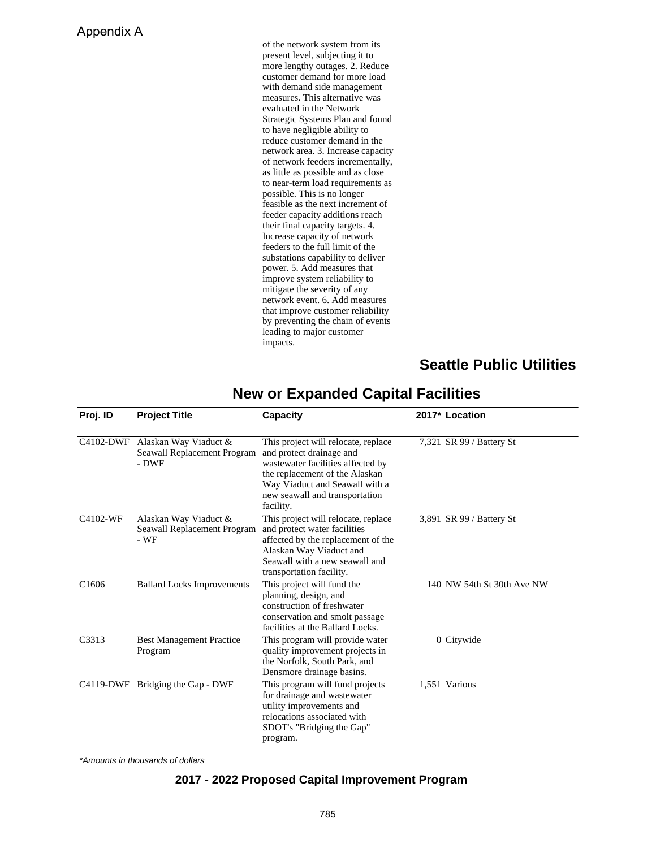### Appendix A

of the network system from its present level, subjecting it to more lengthy outages. 2. Reduce customer demand for more load with demand side management measures. This alternative was evaluated in the Network Strategic Systems Plan and found to have negligible ability to reduce customer demand in the network area. 3. Increase capacity of network feeders incrementally, as little as possible and as close to near-term load requirements as possible. This is no longer feasible as the next increment of feeder capacity additions reach their final capacity targets. 4. Increase capacity of network feeders to the full limit of the substations capability to deliver power. 5. Add measures that improve system reliability to mitigate the severity of any network event. 6. Add measures that improve customer reliability by preventing the chain of events leading to major customer impacts.

## **Seattle Public Utilities**

| Proj. ID          | <b>Project Title</b>                                                    | Capacity                                                                                                                                                                                                                | 2017* Location             |
|-------------------|-------------------------------------------------------------------------|-------------------------------------------------------------------------------------------------------------------------------------------------------------------------------------------------------------------------|----------------------------|
|                   | C4102-DWF Alaskan Way Viaduct &<br>Seawall Replacement Program<br>- DWF | This project will relocate, replace<br>and protect drainage and<br>wastewater facilities affected by<br>the replacement of the Alaskan<br>Way Viaduct and Seawall with a<br>new seawall and transportation<br>facility. | 7,321 SR 99 / Battery St   |
| C4102-WF          | Alaskan Way Viaduct &<br>Seawall Replacement Program<br>- WF            | This project will relocate, replace<br>and protect water facilities<br>affected by the replacement of the<br>Alaskan Way Viaduct and<br>Seawall with a new seawall and<br>transportation facility.                      | 3,891 SR 99 / Battery St   |
| C <sub>1606</sub> | <b>Ballard Locks Improvements</b>                                       | This project will fund the<br>planning, design, and<br>construction of freshwater<br>conservation and smolt passage<br>facilities at the Ballard Locks.                                                                 | 140 NW 54th St 30th Ave NW |
| C3313             | <b>Best Management Practice</b><br>Program                              | This program will provide water<br>quality improvement projects in<br>the Norfolk, South Park, and<br>Densmore drainage basins.                                                                                         | 0 Citywide                 |
|                   | C4119-DWF Bridging the Gap - DWF                                        | This program will fund projects<br>for drainage and wastewater<br>utility improvements and<br>relocations associated with<br>SDOT's "Bridging the Gap"<br>program.                                                      | 1,551 Various              |

### **New or Expanded Capital Facilities**

\*Amounts in thousands of dollars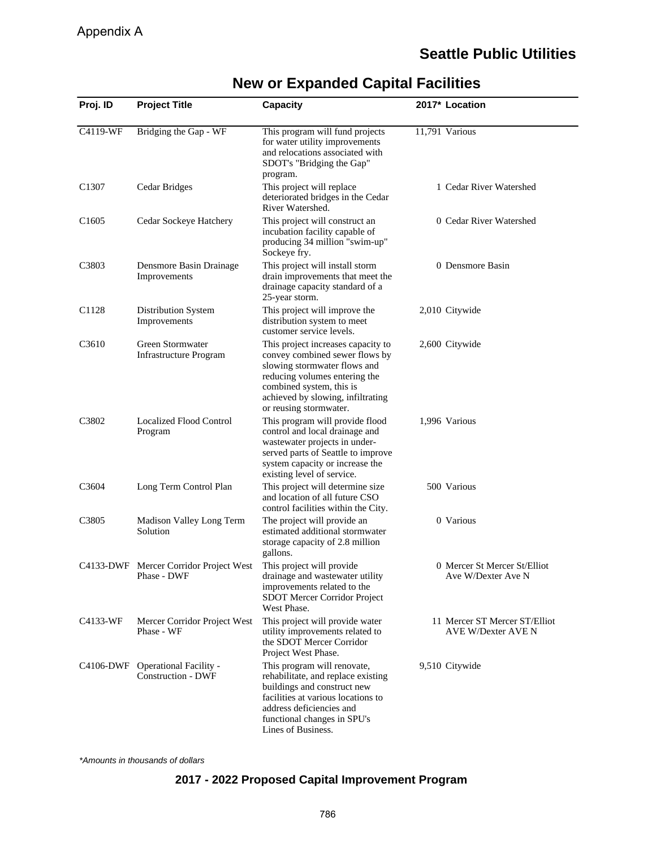| Proj. ID          | <b>Project Title</b>                                       | <b>Capacity</b>                                                                                                                                                                                                                  | 2017* Location                                             |
|-------------------|------------------------------------------------------------|----------------------------------------------------------------------------------------------------------------------------------------------------------------------------------------------------------------------------------|------------------------------------------------------------|
| C4119-WF          | Bridging the Gap - WF                                      | This program will fund projects<br>for water utility improvements<br>and relocations associated with<br>SDOT's "Bridging the Gap"<br>program.                                                                                    | 11,791 Various                                             |
| C <sub>1307</sub> | Cedar Bridges                                              | This project will replace<br>deteriorated bridges in the Cedar<br>River Watershed.                                                                                                                                               | 1 Cedar River Watershed                                    |
| C <sub>1605</sub> | Cedar Sockeye Hatchery                                     | This project will construct an<br>incubation facility capable of<br>producing 34 million "swim-up"<br>Sockeye fry.                                                                                                               | 0 Cedar River Watershed                                    |
| C3803             | Densmore Basin Drainage<br>Improvements                    | This project will install storm<br>drain improvements that meet the<br>drainage capacity standard of a<br>25-year storm.                                                                                                         | 0 Densmore Basin                                           |
| C1128             | Distribution System<br>Improvements                        | This project will improve the<br>distribution system to meet<br>customer service levels.                                                                                                                                         | 2,010 Citywide                                             |
| C3610             | Green Stormwater<br>Infrastructure Program                 | This project increases capacity to<br>convey combined sewer flows by<br>slowing stormwater flows and<br>reducing volumes entering the<br>combined system, this is<br>achieved by slowing, infiltrating<br>or reusing stormwater. | 2,600 Citywide                                             |
| C3802             | <b>Localized Flood Control</b><br>Program                  | This program will provide flood<br>control and local drainage and<br>wastewater projects in under-<br>served parts of Seattle to improve<br>system capacity or increase the<br>existing level of service.                        | 1,996 Various                                              |
| C3604             | Long Term Control Plan                                     | This project will determine size.<br>and location of all future CSO<br>control facilities within the City.                                                                                                                       | 500 Various                                                |
| C <sub>3805</sub> | Madison Valley Long Term<br>Solution                       | The project will provide an<br>estimated additional stormwater<br>storage capacity of 2.8 million<br>gallons.                                                                                                                    | 0 Various                                                  |
|                   | C4133-DWF Mercer Corridor Project West<br>Phase - DWF      | This project will provide<br>drainage and wastewater utility<br>improvements related to the<br>SDOT Mercer Corridor Project<br>West Phase.                                                                                       | 0 Mercer St Mercer St/Elliot<br>Ave W/Dexter Ave N         |
| C4133-WF          | Mercer Corridor Project West<br>Phase - WF                 | This project will provide water<br>utility improvements related to<br>the SDOT Mercer Corridor<br>Project West Phase.                                                                                                            | 11 Mercer ST Mercer ST/Elliot<br><b>AVE W/Dexter AVE N</b> |
| C4106-DWF         | <b>Operational Facility -</b><br><b>Construction - DWF</b> | This program will renovate,<br>rehabilitate, and replace existing<br>buildings and construct new<br>facilities at various locations to<br>address deficiencies and<br>functional changes in SPU's<br>Lines of Business.          | 9,510 Citywide                                             |

# **New or Expanded Capital Facilities**

\*Amounts in thousands of dollars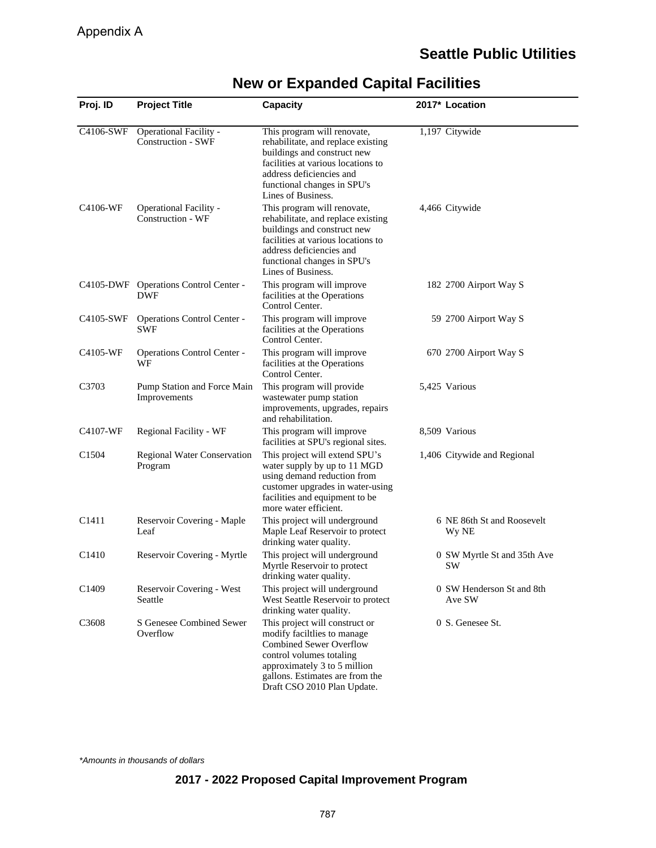| Proj. ID          | <b>Project Title</b>                                | <b>Capacity</b>                                                                                                                                                                                                               | 2017* Location                      |
|-------------------|-----------------------------------------------------|-------------------------------------------------------------------------------------------------------------------------------------------------------------------------------------------------------------------------------|-------------------------------------|
| C4106-SWF         | Operational Facility -<br><b>Construction - SWF</b> | This program will renovate,<br>rehabilitate, and replace existing<br>buildings and construct new<br>facilities at various locations to<br>address deficiencies and<br>functional changes in SPU's<br>Lines of Business.       | 1,197 Citywide                      |
| C4106-WF          | Operational Facility -<br>Construction - WF         | This program will renovate,<br>rehabilitate, and replace existing<br>buildings and construct new<br>facilities at various locations to<br>address deficiencies and<br>functional changes in SPU's<br>Lines of Business.       | 4,466 Citywide                      |
|                   | C4105-DWF Operations Control Center -<br><b>DWF</b> | This program will improve<br>facilities at the Operations<br>Control Center.                                                                                                                                                  | 182 2700 Airport Way S              |
| C4105-SWF         | Operations Control Center -<br><b>SWF</b>           | This program will improve<br>facilities at the Operations<br>Control Center.                                                                                                                                                  | 59 2700 Airport Way S               |
| C4105-WF          | Operations Control Center -<br>WF                   | This program will improve<br>facilities at the Operations<br>Control Center.                                                                                                                                                  | 670 2700 Airport Way S              |
| C3703             | Pump Station and Force Main<br>Improvements         | This program will provide<br>wastewater pump station<br>improvements, upgrades, repairs<br>and rehabilitation.                                                                                                                | 5,425 Various                       |
| C4107-WF          | Regional Facility - WF                              | This program will improve<br>facilities at SPU's regional sites.                                                                                                                                                              | 8,509 Various                       |
| C <sub>1504</sub> | <b>Regional Water Conservation</b><br>Program       | This project will extend SPU's<br>water supply by up to 11 MGD<br>using demand reduction from<br>customer upgrades in water-using<br>facilities and equipment to be<br>more water efficient.                                  | 1,406 Citywide and Regional         |
| C1411             | Reservoir Covering - Maple<br>Leaf                  | This project will underground<br>Maple Leaf Reservoir to protect<br>drinking water quality.                                                                                                                                   | 6 NE 86th St and Roosevelt<br>Wy NE |
| C <sub>1410</sub> | Reservoir Covering - Myrtle                         | This project will underground<br>Myrtle Reservoir to protect<br>drinking water quality.                                                                                                                                       | 0 SW Myrtle St and 35th Ave<br>SW   |
| C1409             | Reservoir Covering - West<br>Seattle                | This project will underground<br>West Seattle Reservoir to protect<br>drinking water quality.                                                                                                                                 | 0 SW Henderson St and 8th<br>Ave SW |
| C3608             | S Genesee Combined Sewer<br>Overflow                | This project will construct or<br>modify facililies to manage<br><b>Combined Sewer Overflow</b><br>control volumes totaling<br>approximately 3 to 5 million<br>gallons. Estimates are from the<br>Draft CSO 2010 Plan Update. | 0 S. Genesee St.                    |

## **New or Expanded Capital Facilities**

\*Amounts in thousands of dollars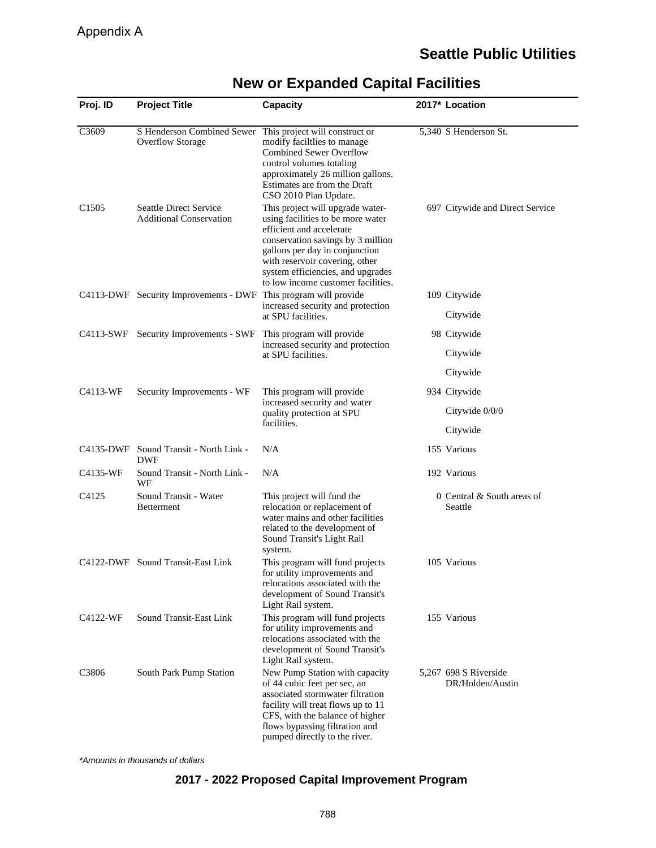| Proj. ID          | <b>Project Title</b>                                            | <b>Capacity</b>                                                                                                                                                                                                                                                                       | 2017* Location                            |
|-------------------|-----------------------------------------------------------------|---------------------------------------------------------------------------------------------------------------------------------------------------------------------------------------------------------------------------------------------------------------------------------------|-------------------------------------------|
| C3609             | S Henderson Combined Sewer<br><b>Overflow Storage</b>           | This project will construct or<br>modify facililies to manage<br><b>Combined Sewer Overflow</b><br>control volumes totaling<br>approximately 26 million gallons.<br>Estimates are from the Draft<br>CSO 2010 Plan Update.                                                             | 5,340 S Henderson St.                     |
| C1505             | <b>Seattle Direct Service</b><br><b>Additional Conservation</b> | This project will upgrade water-<br>using facilities to be more water<br>efficient and accelerate<br>conservation savings by 3 million<br>gallons per day in conjunction<br>with reservoir covering, other<br>system efficiencies, and upgrades<br>to low income customer facilities. | 697 Citywide and Direct Service           |
|                   | C4113-DWF Security Improvements - DWF This program will provide | increased security and protection<br>at SPU facilities.                                                                                                                                                                                                                               | 109 Citywide<br>Citywide                  |
| C4113-SWF         | Security Improvements - SWF                                     | This program will provide                                                                                                                                                                                                                                                             | 98 Citywide                               |
|                   |                                                                 | increased security and protection<br>at SPU facilities.                                                                                                                                                                                                                               | Citywide                                  |
|                   |                                                                 |                                                                                                                                                                                                                                                                                       | Citywide                                  |
| C4113-WF          | Security Improvements - WF                                      | This program will provide<br>increased security and water<br>quality protection at SPU<br>facilities.                                                                                                                                                                                 | 934 Citywide                              |
|                   |                                                                 |                                                                                                                                                                                                                                                                                       | Citywide $0/0/0$                          |
|                   |                                                                 |                                                                                                                                                                                                                                                                                       | Citywide                                  |
| C4135-DWF         | Sound Transit - North Link -<br><b>DWF</b>                      | N/A                                                                                                                                                                                                                                                                                   | 155 Various                               |
| C4135-WF          | Sound Transit - North Link -<br>WF                              | N/A                                                                                                                                                                                                                                                                                   | 192 Various                               |
| C4125             | Sound Transit - Water<br><b>Betterment</b>                      | This project will fund the<br>relocation or replacement of<br>water mains and other facilities<br>related to the development of<br>Sound Transit's Light Rail<br>system.                                                                                                              | 0 Central & South areas of<br>Seattle     |
|                   | C4122-DWF Sound Transit-East Link                               | This program will fund projects<br>for utility improvements and<br>relocations associated with the<br>development of Sound Transit's<br>Light Rail system.                                                                                                                            | 105 Various                               |
| C4122-WF          | Sound Transit-East Link                                         | This program will fund projects<br>for utility improvements and<br>relocations associated with the<br>development of Sound Transit's<br>Light Rail system.                                                                                                                            | 155 Various                               |
| C <sub>3806</sub> | South Park Pump Station                                         | New Pump Station with capacity<br>of 44 cubic feet per sec, an<br>associated stormwater filtration<br>facility will treat flows up to 11<br>CFS, with the balance of higher<br>flows bypassing filtration and<br>pumped directly to the river.                                        | 5,267 698 S Riverside<br>DR/Holden/Austin |

## **New or Expanded Capital Facilities**

\*Amounts in thousands of dollars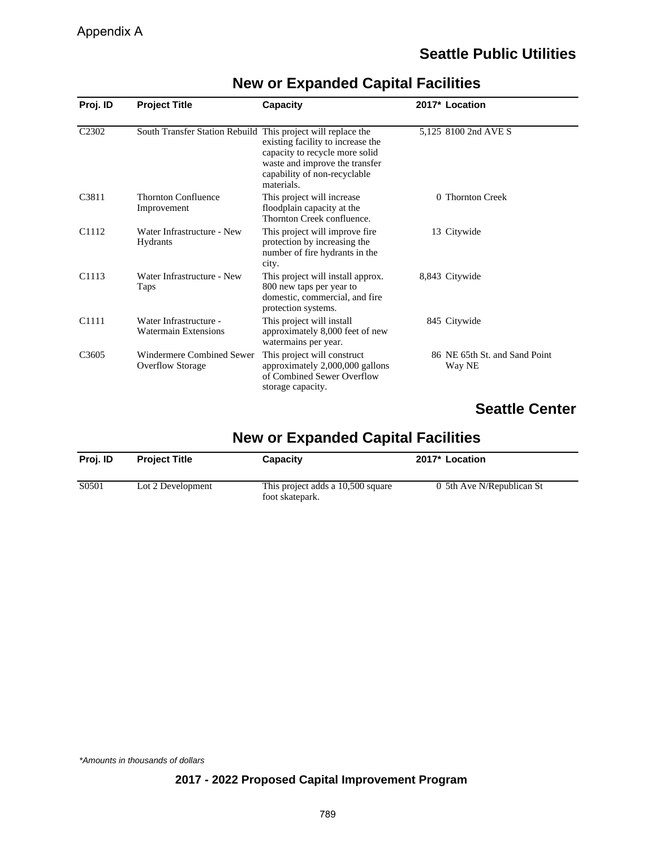| Proj. ID          | <b>Project Title</b>                                         | Capacity                                                                                                                                            | 2017* Location                          |
|-------------------|--------------------------------------------------------------|-----------------------------------------------------------------------------------------------------------------------------------------------------|-----------------------------------------|
| C <sub>2302</sub> | South Transfer Station Rebuild This project will replace the | existing facility to increase the<br>capacity to recycle more solid<br>waste and improve the transfer<br>capability of non-recyclable<br>materials. | 5,125 8100 2nd AVE S                    |
| C <sub>3811</sub> | <b>Thornton Confluence</b><br>Improvement                    | This project will increase<br>floodplain capacity at the<br>Thornton Creek confluence.                                                              | 0 Thornton Creek                        |
| C <sub>1112</sub> | Water Infrastructure - New<br><b>Hydrants</b>                | This project will improve fire.<br>protection by increasing the<br>number of fire hydrants in the<br>city.                                          | 13 Citywide                             |
| C <sub>1113</sub> | Water Infrastructure - New<br>Taps                           | This project will install approx.<br>800 new taps per year to<br>domestic, commercial, and fire<br>protection systems.                              | 8,843 Citywide                          |
| C1111             | Water Infrastructure -<br><b>Watermain Extensions</b>        | This project will install<br>approximately 8,000 feet of new<br>watermains per year.                                                                | 845 Citywide                            |
| C3605             | Windermere Combined Sewer<br><b>Overflow Storage</b>         | This project will construct<br>approximately 2,000,000 gallons<br>of Combined Sewer Overflow<br>storage capacity.                                   | 86 NE 65th St. and Sand Point<br>Way NE |

## **New or Expanded Capital Facilities**

## **Seattle Center**

## **New or Expanded Capital Facilities**

| Proi. ID | <b>Project Title</b> | Capacity                                             | 2017* Location            |
|----------|----------------------|------------------------------------------------------|---------------------------|
| S0501    | Lot 2 Development    | This project adds a 10,500 square<br>foot skatepark. | 0 5th Ave N/Republican St |

#### \*Amounts in thousands of dollars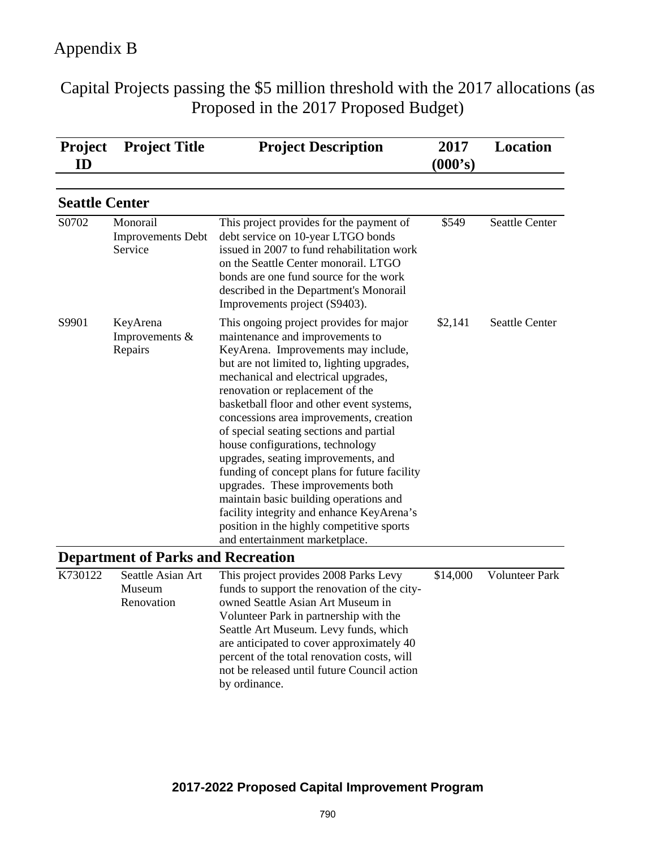Capital Projects passing the \$5 million threshold with the 2017 allocations (as Proposed in the 2017 Proposed Budget)

| <b>Project</b><br>ID  | <b>Project Title</b>                            | <b>Project Description</b>                                                                                                                                                                                                                                                                                                                                                                                                                                                                                                                                                                                                                                                                                          | 2017<br>(000's) | <b>Location</b>       |
|-----------------------|-------------------------------------------------|---------------------------------------------------------------------------------------------------------------------------------------------------------------------------------------------------------------------------------------------------------------------------------------------------------------------------------------------------------------------------------------------------------------------------------------------------------------------------------------------------------------------------------------------------------------------------------------------------------------------------------------------------------------------------------------------------------------------|-----------------|-----------------------|
| <b>Seattle Center</b> |                                                 |                                                                                                                                                                                                                                                                                                                                                                                                                                                                                                                                                                                                                                                                                                                     |                 |                       |
| S0702                 | Monorail<br><b>Improvements</b> Debt<br>Service | This project provides for the payment of<br>debt service on 10-year LTGO bonds<br>issued in 2007 to fund rehabilitation work<br>on the Seattle Center monorail. LTGO<br>bonds are one fund source for the work<br>described in the Department's Monorail<br>Improvements project (S9403).                                                                                                                                                                                                                                                                                                                                                                                                                           | \$549           | <b>Seattle Center</b> |
| S9901                 | KeyArena<br>Improvements $&$<br>Repairs         | This ongoing project provides for major<br>maintenance and improvements to<br>KeyArena. Improvements may include,<br>but are not limited to, lighting upgrades,<br>mechanical and electrical upgrades,<br>renovation or replacement of the<br>basketball floor and other event systems,<br>concessions area improvements, creation<br>of special seating sections and partial<br>house configurations, technology<br>upgrades, seating improvements, and<br>funding of concept plans for future facility<br>upgrades. These improvements both<br>maintain basic building operations and<br>facility integrity and enhance KeyArena's<br>position in the highly competitive sports<br>and entertainment marketplace. | \$2,141         | Seattle Center        |
|                       | <b>Department of Parks and Recreation</b>       |                                                                                                                                                                                                                                                                                                                                                                                                                                                                                                                                                                                                                                                                                                                     |                 |                       |
| K730122               | Seattle Asian Art<br>Museum<br>Renovation       | This project provides 2008 Parks Levy<br>funds to support the renovation of the city-<br>owned Seattle Asian Art Museum in<br>Volunteer Park in partnership with the<br>Seattle Art Museum. Levy funds, which<br>are anticipated to cover approximately 40<br>percent of the total renovation costs, will<br>not be released until future Council action<br>by ordinance.                                                                                                                                                                                                                                                                                                                                           | \$14,000        | <b>Volunteer Park</b> |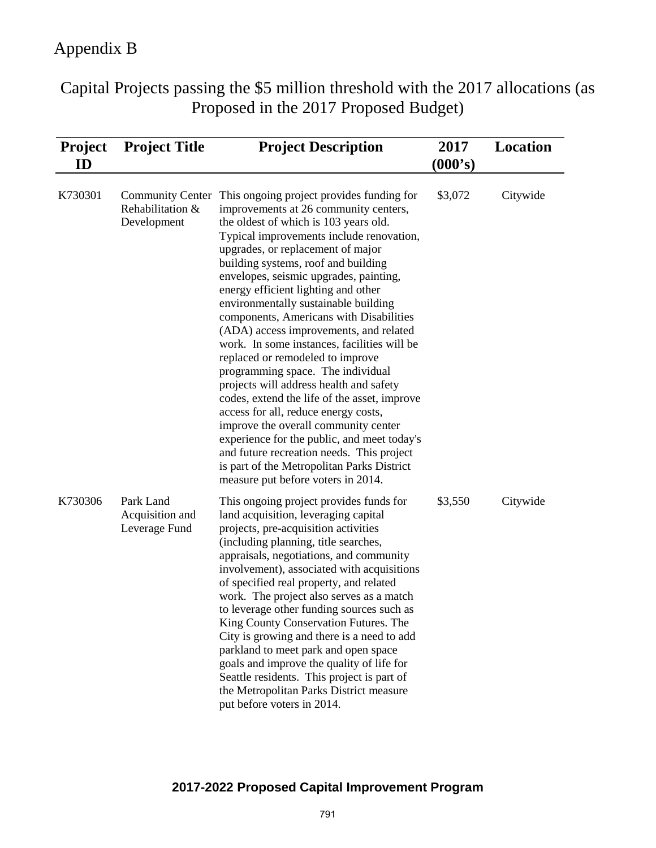Capital Projects passing the \$5 million threshold with the 2017 allocations (as Proposed in the 2017 Proposed Budget)

| <b>Project</b><br>ID | <b>Project Title</b>                                       | <b>Project Description</b>                                                                                                                                                                                                                                                                                                                                                                                                                                                                                                                                                                                                                                                                                                                                                                                                                                                                                                                           | 2017<br>(000's) | <b>Location</b> |
|----------------------|------------------------------------------------------------|------------------------------------------------------------------------------------------------------------------------------------------------------------------------------------------------------------------------------------------------------------------------------------------------------------------------------------------------------------------------------------------------------------------------------------------------------------------------------------------------------------------------------------------------------------------------------------------------------------------------------------------------------------------------------------------------------------------------------------------------------------------------------------------------------------------------------------------------------------------------------------------------------------------------------------------------------|-----------------|-----------------|
| K730301              | <b>Community Center</b><br>Rehabilitation &<br>Development | This ongoing project provides funding for<br>improvements at 26 community centers,<br>the oldest of which is 103 years old.<br>Typical improvements include renovation,<br>upgrades, or replacement of major<br>building systems, roof and building<br>envelopes, seismic upgrades, painting,<br>energy efficient lighting and other<br>environmentally sustainable building<br>components, Americans with Disabilities<br>(ADA) access improvements, and related<br>work. In some instances, facilities will be<br>replaced or remodeled to improve<br>programming space. The individual<br>projects will address health and safety<br>codes, extend the life of the asset, improve<br>access for all, reduce energy costs,<br>improve the overall community center<br>experience for the public, and meet today's<br>and future recreation needs. This project<br>is part of the Metropolitan Parks District<br>measure put before voters in 2014. | \$3,072         | Citywide        |
| K730306              | Park Land<br>Acquisition and<br>Leverage Fund              | This ongoing project provides funds for<br>land acquisition, leveraging capital<br>projects, pre-acquisition activities<br>(including planning, title searches,<br>appraisals, negotiations, and community<br>involvement), associated with acquisitions<br>of specified real property, and related<br>work. The project also serves as a match<br>to leverage other funding sources such as<br>King County Conservation Futures. The<br>City is growing and there is a need to add<br>parkland to meet park and open space<br>goals and improve the quality of life for<br>Seattle residents. This project is part of<br>the Metropolitan Parks District measure<br>put before voters in 2014.                                                                                                                                                                                                                                                      | \$3,550         | Citywide        |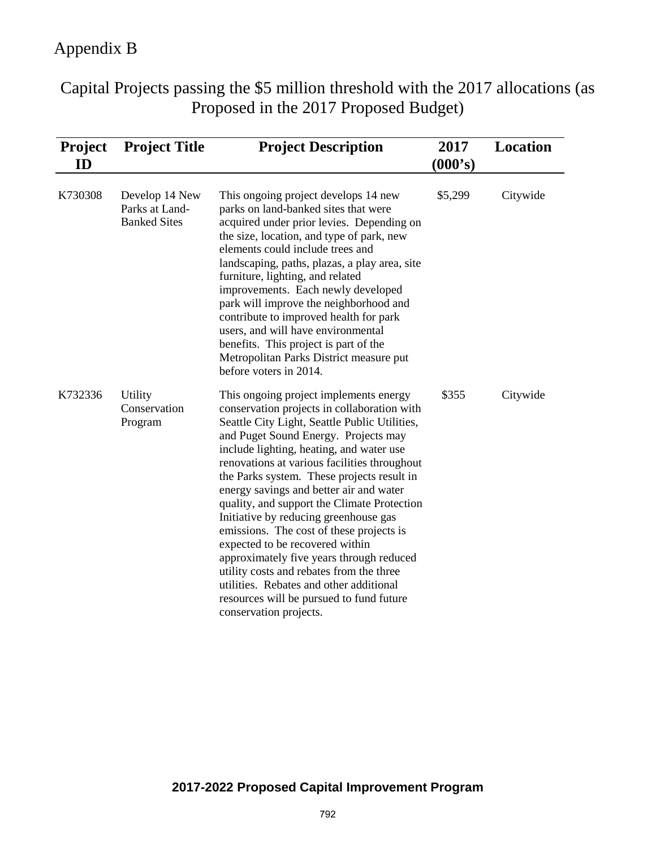Capital Projects passing the \$5 million threshold with the 2017 allocations (as Proposed in the 2017 Proposed Budget)

| <b>Project</b><br>ID | <b>Project Title</b>                                    | <b>Project Description</b>                                                                                                                                                                                                                                                                                                                                                                                                                                                                                                                                                                                                                                                                                                                          | 2017<br>(000's) | <b>Location</b> |
|----------------------|---------------------------------------------------------|-----------------------------------------------------------------------------------------------------------------------------------------------------------------------------------------------------------------------------------------------------------------------------------------------------------------------------------------------------------------------------------------------------------------------------------------------------------------------------------------------------------------------------------------------------------------------------------------------------------------------------------------------------------------------------------------------------------------------------------------------------|-----------------|-----------------|
| K730308              | Develop 14 New<br>Parks at Land-<br><b>Banked Sites</b> | This ongoing project develops 14 new<br>parks on land-banked sites that were<br>acquired under prior levies. Depending on<br>the size, location, and type of park, new<br>elements could include trees and<br>landscaping, paths, plazas, a play area, site<br>furniture, lighting, and related<br>improvements. Each newly developed<br>park will improve the neighborhood and<br>contribute to improved health for park<br>users, and will have environmental<br>benefits. This project is part of the<br>Metropolitan Parks District measure put<br>before voters in 2014.                                                                                                                                                                       | \$5,299         | Citywide        |
| K732336              | Utility<br>Conservation<br>Program                      | This ongoing project implements energy<br>conservation projects in collaboration with<br>Seattle City Light, Seattle Public Utilities,<br>and Puget Sound Energy. Projects may<br>include lighting, heating, and water use<br>renovations at various facilities throughout<br>the Parks system. These projects result in<br>energy savings and better air and water<br>quality, and support the Climate Protection<br>Initiative by reducing greenhouse gas<br>emissions. The cost of these projects is<br>expected to be recovered within<br>approximately five years through reduced<br>utility costs and rebates from the three<br>utilities. Rebates and other additional<br>resources will be pursued to fund future<br>conservation projects. | \$355           | Citywide        |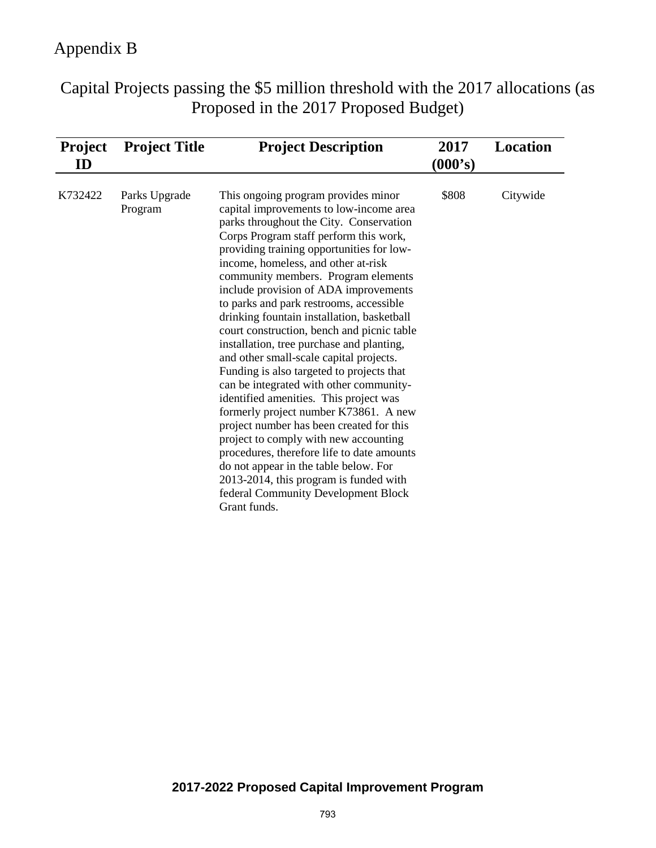Capital Projects passing the \$5 million threshold with the 2017 allocations (as Proposed in the 2017 Proposed Budget)

| <b>Project</b><br>ID | <b>Project Title</b>     | <b>Project Description</b>                                                                                                                                                                                                                                                                                                                                                                                                                                                                                                                                                                                                                                                                                                                                                                                                                                                                                                                                                                                                     | 2017<br>(000's) | <b>Location</b> |
|----------------------|--------------------------|--------------------------------------------------------------------------------------------------------------------------------------------------------------------------------------------------------------------------------------------------------------------------------------------------------------------------------------------------------------------------------------------------------------------------------------------------------------------------------------------------------------------------------------------------------------------------------------------------------------------------------------------------------------------------------------------------------------------------------------------------------------------------------------------------------------------------------------------------------------------------------------------------------------------------------------------------------------------------------------------------------------------------------|-----------------|-----------------|
| K732422              | Parks Upgrade<br>Program | This ongoing program provides minor<br>capital improvements to low-income area<br>parks throughout the City. Conservation<br>Corps Program staff perform this work,<br>providing training opportunities for low-<br>income, homeless, and other at-risk<br>community members. Program elements<br>include provision of ADA improvements<br>to parks and park restrooms, accessible<br>drinking fountain installation, basketball<br>court construction, bench and picnic table<br>installation, tree purchase and planting,<br>and other small-scale capital projects.<br>Funding is also targeted to projects that<br>can be integrated with other community-<br>identified amenities. This project was<br>formerly project number K73861. A new<br>project number has been created for this<br>project to comply with new accounting<br>procedures, therefore life to date amounts<br>do not appear in the table below. For<br>2013-2014, this program is funded with<br>federal Community Development Block<br>Grant funds. | \$808           | Citywide        |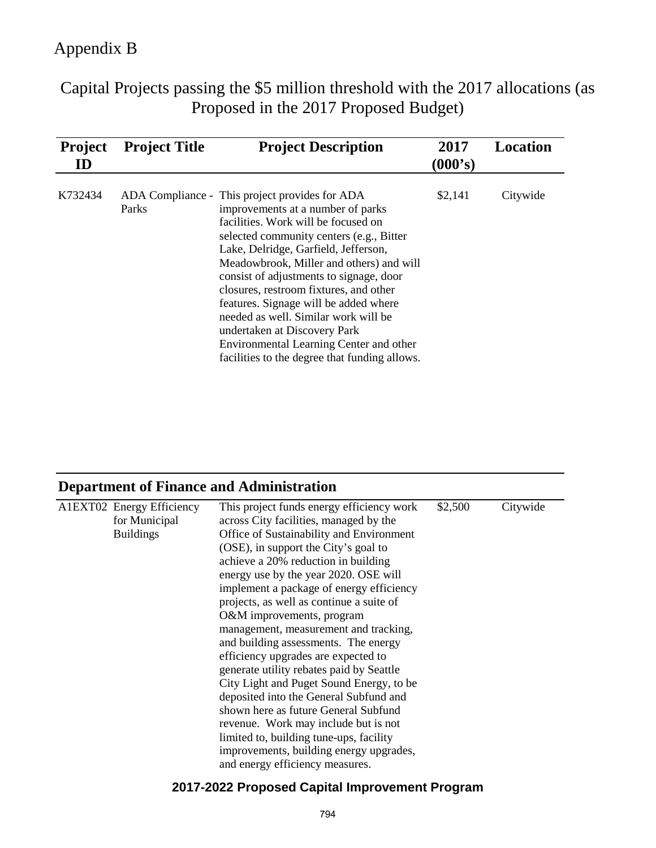Capital Projects passing the \$5 million threshold with the 2017 allocations (as Proposed in the 2017 Proposed Budget)

| <b>Project</b><br>ID | <b>Project Title</b> | <b>Project Description</b>                                                                                                                                                                                                                                                                                                                                                                                                                                                                                                                                   | 2017<br>(000's) | <b>Location</b> |
|----------------------|----------------------|--------------------------------------------------------------------------------------------------------------------------------------------------------------------------------------------------------------------------------------------------------------------------------------------------------------------------------------------------------------------------------------------------------------------------------------------------------------------------------------------------------------------------------------------------------------|-----------------|-----------------|
| K732434              | Parks                | ADA Compliance - This project provides for ADA<br>improvements at a number of parks<br>facilities. Work will be focused on<br>selected community centers (e.g., Bitter<br>Lake, Delridge, Garfield, Jefferson,<br>Meadowbrook, Miller and others) and will<br>consist of adjustments to signage, door<br>closures, restroom fixtures, and other<br>features. Signage will be added where<br>needed as well. Similar work will be<br>undertaken at Discovery Park<br>Environmental Learning Center and other<br>facilities to the degree that funding allows. | \$2,141         | Citywide        |

# **Department of Finance and Administration**

| A1EXT02 Energy Efficiency<br>for Municipal | This project funds energy efficiency work<br>across City facilities, managed by the | \$2,500 | Citywide |
|--------------------------------------------|-------------------------------------------------------------------------------------|---------|----------|
|                                            |                                                                                     |         |          |
| <b>Buildings</b>                           | Office of Sustainability and Environment                                            |         |          |
|                                            | (OSE), in support the City's goal to                                                |         |          |
|                                            | achieve a 20% reduction in building                                                 |         |          |
|                                            | energy use by the year 2020. OSE will                                               |         |          |
|                                            | implement a package of energy efficiency                                            |         |          |
|                                            | projects, as well as continue a suite of                                            |         |          |
|                                            | O&M improvements, program                                                           |         |          |
|                                            | management, measurement and tracking,                                               |         |          |
|                                            | and building assessments. The energy                                                |         |          |
|                                            | efficiency upgrades are expected to                                                 |         |          |
|                                            | generate utility rebates paid by Seattle                                            |         |          |
|                                            | City Light and Puget Sound Energy, to be                                            |         |          |
|                                            | deposited into the General Subfund and                                              |         |          |
|                                            | shown here as future General Subfund                                                |         |          |
|                                            | revenue. Work may include but is not                                                |         |          |
|                                            |                                                                                     |         |          |
|                                            | limited to, building tune-ups, facility                                             |         |          |
|                                            | improvements, building energy upgrades,                                             |         |          |
|                                            | and energy efficiency measures.                                                     |         |          |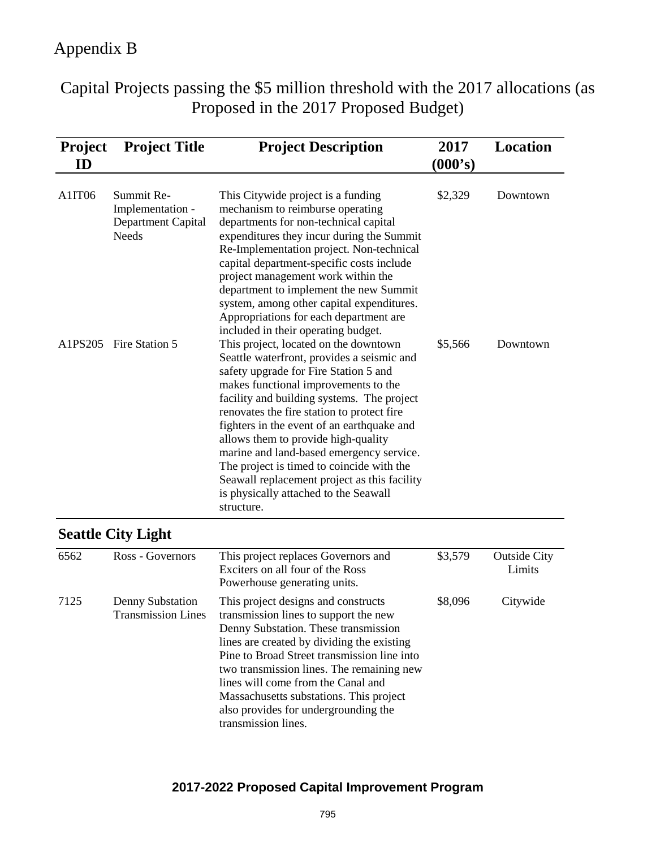Capital Projects passing the \$5 million threshold with the 2017 allocations (as Proposed in the 2017 Proposed Budget)

| <b>Project</b><br>ID | <b>Project Title</b>                                                 | <b>Project Description</b>                                                                                                                                                                                                                                                                                                                                                                                                                                                                                                                            | 2017<br>(000's) | Location                      |
|----------------------|----------------------------------------------------------------------|-------------------------------------------------------------------------------------------------------------------------------------------------------------------------------------------------------------------------------------------------------------------------------------------------------------------------------------------------------------------------------------------------------------------------------------------------------------------------------------------------------------------------------------------------------|-----------------|-------------------------------|
| A1IT06               | Summit Re-<br>Implementation -<br>Department Capital<br><b>Needs</b> | This Citywide project is a funding<br>mechanism to reimburse operating<br>departments for non-technical capital<br>expenditures they incur during the Summit<br>Re-Implementation project. Non-technical<br>capital department-specific costs include<br>project management work within the<br>department to implement the new Summit<br>system, among other capital expenditures.<br>Appropriations for each department are<br>included in their operating budget.                                                                                   | \$2,329         | Downtown                      |
| A1PS205              | Fire Station 5                                                       | This project, located on the downtown<br>Seattle waterfront, provides a seismic and<br>safety upgrade for Fire Station 5 and<br>makes functional improvements to the<br>facility and building systems. The project<br>renovates the fire station to protect fire<br>fighters in the event of an earthquake and<br>allows them to provide high-quality<br>marine and land-based emergency service.<br>The project is timed to coincide with the<br>Seawall replacement project as this facility<br>is physically attached to the Seawall<br>structure. | \$5,566         | Downtown                      |
|                      | <b>Seattle City Light</b>                                            |                                                                                                                                                                                                                                                                                                                                                                                                                                                                                                                                                       |                 |                               |
| 6562                 | Ross - Governors                                                     | This project replaces Governors and<br>Exciters on all four of the Ross<br>Powerhouse generating units.                                                                                                                                                                                                                                                                                                                                                                                                                                               | \$3,579         | <b>Outside City</b><br>Limits |
| 7125                 | Denny Substation<br><b>Transmission Lines</b>                        | This project designs and constructs<br>transmission lines to support the new<br>Denny Substation. These transmission<br>lines are created by dividing the existing<br>Pine to Broad Street transmission line into<br>two transmission lines. The remaining new<br>lines will come from the Canal and<br>Massachusetts substations. This project<br>also provides for undergrounding the                                                                                                                                                               | \$8,096         | Citywide                      |

### **2017-2022 Proposed Capital Improvement Program**

transmission lines.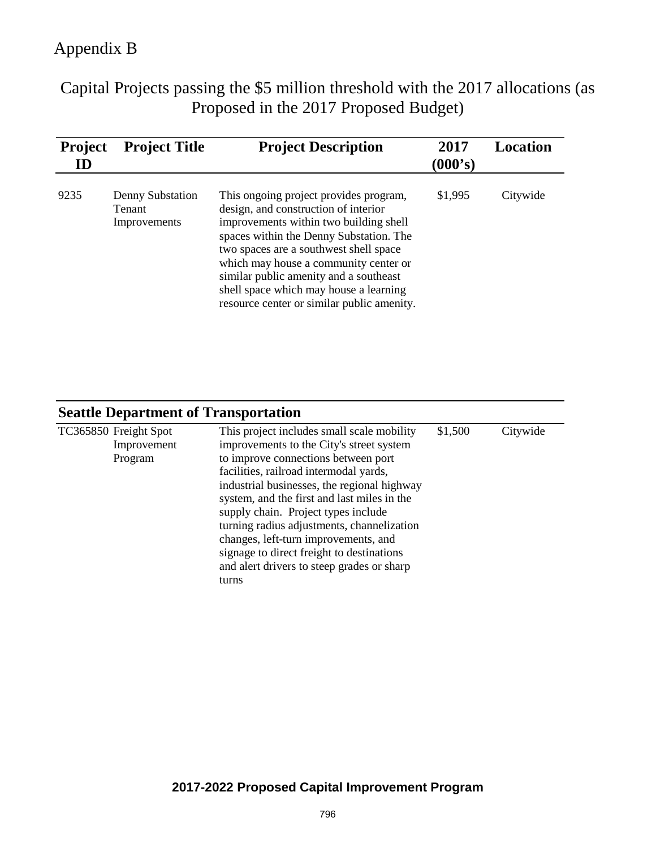Capital Projects passing the \$5 million threshold with the 2017 allocations (as Proposed in the 2017 Proposed Budget)

| <b>Project</b><br>ID | <b>Project Title</b>                              | <b>Project Description</b>                                                                                                                                                                                                                                                                                                                                                               | 2017<br>(000's) | <b>Location</b> |
|----------------------|---------------------------------------------------|------------------------------------------------------------------------------------------------------------------------------------------------------------------------------------------------------------------------------------------------------------------------------------------------------------------------------------------------------------------------------------------|-----------------|-----------------|
| 9235                 | Denny Substation<br><b>Tenant</b><br>Improvements | This ongoing project provides program,<br>design, and construction of interior<br>improvements within two building shell<br>spaces within the Denny Substation. The<br>two spaces are a southwest shell space<br>which may house a community center or<br>similar public amenity and a southeast<br>shell space which may house a learning<br>resource center or similar public amenity. | \$1,995         | Citywide        |

| <b>Seattle Department of Transportation</b> |
|---------------------------------------------|
|---------------------------------------------|

| TC365850 Freight Spot | This project includes small scale mobility  | \$1,500 | Citywide |
|-----------------------|---------------------------------------------|---------|----------|
| Improvement           | improvements to the City's street system    |         |          |
| Program               | to improve connections between port         |         |          |
|                       | facilities, railroad intermodal yards,      |         |          |
|                       | industrial businesses, the regional highway |         |          |
|                       | system, and the first and last miles in the |         |          |
|                       | supply chain. Project types include         |         |          |
|                       | turning radius adjustments, channelization  |         |          |
|                       | changes, left-turn improvements, and        |         |          |
|                       | signage to direct freight to destinations   |         |          |
|                       | and alert drivers to steep grades or sharp  |         |          |
|                       | turns                                       |         |          |
|                       |                                             |         |          |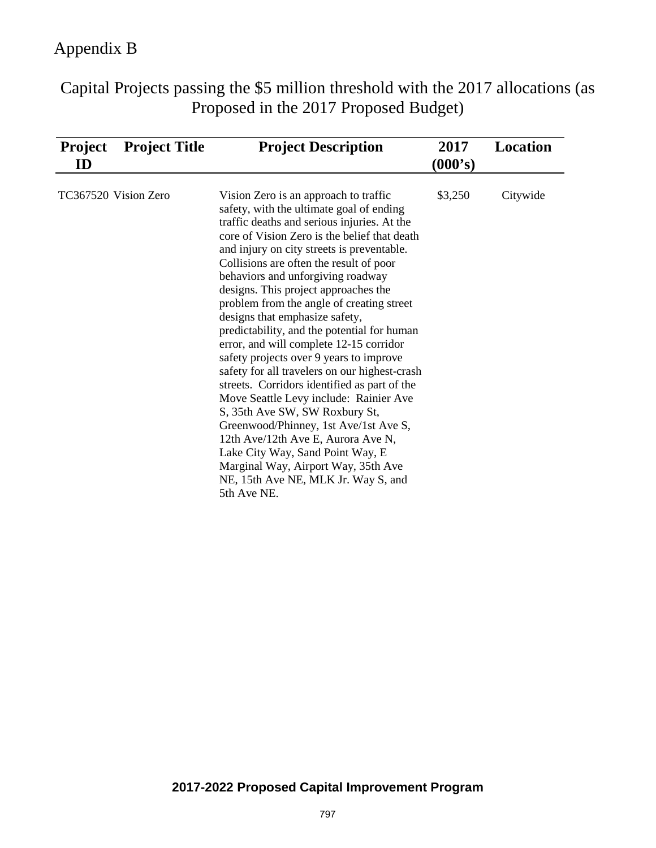Capital Projects passing the \$5 million threshold with the 2017 allocations (as Proposed in the 2017 Proposed Budget)

| <b>Project</b><br>ID | <b>Project Title</b> | <b>Project Description</b>                                                                                                                                                                                                                                                                                                                                                                                                                                                                                                                                                                                                                                                                                                                                                                                                                                                                                                                                              | 2017<br>(000's) | Location |
|----------------------|----------------------|-------------------------------------------------------------------------------------------------------------------------------------------------------------------------------------------------------------------------------------------------------------------------------------------------------------------------------------------------------------------------------------------------------------------------------------------------------------------------------------------------------------------------------------------------------------------------------------------------------------------------------------------------------------------------------------------------------------------------------------------------------------------------------------------------------------------------------------------------------------------------------------------------------------------------------------------------------------------------|-----------------|----------|
|                      | TC367520 Vision Zero | Vision Zero is an approach to traffic<br>safety, with the ultimate goal of ending<br>traffic deaths and serious injuries. At the<br>core of Vision Zero is the belief that death<br>and injury on city streets is preventable.<br>Collisions are often the result of poor<br>behaviors and unforgiving roadway<br>designs. This project approaches the<br>problem from the angle of creating street<br>designs that emphasize safety,<br>predictability, and the potential for human<br>error, and will complete 12-15 corridor<br>safety projects over 9 years to improve<br>safety for all travelers on our highest-crash<br>streets. Corridors identified as part of the<br>Move Seattle Levy include: Rainier Ave<br>S, 35th Ave SW, SW Roxbury St,<br>Greenwood/Phinney, 1st Ave/1st Ave S,<br>12th Ave/12th Ave E, Aurora Ave N,<br>Lake City Way, Sand Point Way, E<br>Marginal Way, Airport Way, 35th Ave<br>NE, 15th Ave NE, MLK Jr. Way S, and<br>5th Ave NE. | \$3,250         | Citywide |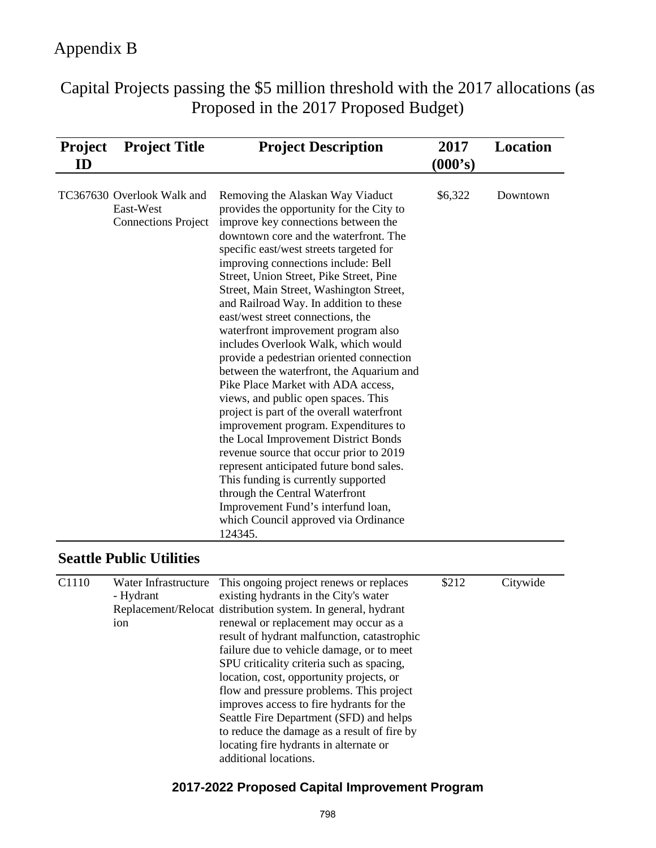Capital Projects passing the \$5 million threshold with the 2017 allocations (as Proposed in the 2017 Proposed Budget)

| <b>Project</b><br>ID | <b>Project Title</b>                                                  | <b>Project Description</b>                                                                                                                                                                                                                                                                                                                                                                                                                                                                                                                                                                                                                                                                                                                                                                                                                                                                                                                                                                                                                                   | 2017<br>(000's) | Location |
|----------------------|-----------------------------------------------------------------------|--------------------------------------------------------------------------------------------------------------------------------------------------------------------------------------------------------------------------------------------------------------------------------------------------------------------------------------------------------------------------------------------------------------------------------------------------------------------------------------------------------------------------------------------------------------------------------------------------------------------------------------------------------------------------------------------------------------------------------------------------------------------------------------------------------------------------------------------------------------------------------------------------------------------------------------------------------------------------------------------------------------------------------------------------------------|-----------------|----------|
|                      | TC367630 Overlook Walk and<br>East-West<br><b>Connections Project</b> | Removing the Alaskan Way Viaduct<br>provides the opportunity for the City to<br>improve key connections between the<br>downtown core and the waterfront. The<br>specific east/west streets targeted for<br>improving connections include: Bell<br>Street, Union Street, Pike Street, Pine<br>Street, Main Street, Washington Street,<br>and Railroad Way. In addition to these<br>east/west street connections, the<br>waterfront improvement program also<br>includes Overlook Walk, which would<br>provide a pedestrian oriented connection<br>between the waterfront, the Aquarium and<br>Pike Place Market with ADA access,<br>views, and public open spaces. This<br>project is part of the overall waterfront<br>improvement program. Expenditures to<br>the Local Improvement District Bonds<br>revenue source that occur prior to 2019<br>represent anticipated future bond sales.<br>This funding is currently supported<br>through the Central Waterfront<br>Improvement Fund's interfund loan,<br>which Council approved via Ordinance<br>124345. | \$6,322         | Downtown |

### **Seattle Public Utilities**

| C1110 | Water Infrastructure | This ongoing project renews or replaces                      | \$212 | Citywide |
|-------|----------------------|--------------------------------------------------------------|-------|----------|
|       | - Hydrant            | existing hydrants in the City's water                        |       |          |
|       |                      | Replacement/Relocat distribution system. In general, hydrant |       |          |
|       | ion                  | renewal or replacement may occur as a                        |       |          |
|       |                      | result of hydrant malfunction, catastrophic                  |       |          |
|       |                      | failure due to vehicle damage, or to meet                    |       |          |
|       |                      | SPU criticality criteria such as spacing,                    |       |          |
|       |                      | location, cost, opportunity projects, or                     |       |          |
|       |                      | flow and pressure problems. This project                     |       |          |
|       |                      | improves access to fire hydrants for the                     |       |          |
|       |                      | Seattle Fire Department (SFD) and helps                      |       |          |
|       |                      | to reduce the damage as a result of fire by                  |       |          |
|       |                      | locating fire hydrants in alternate or                       |       |          |
|       |                      | additional locations.                                        |       |          |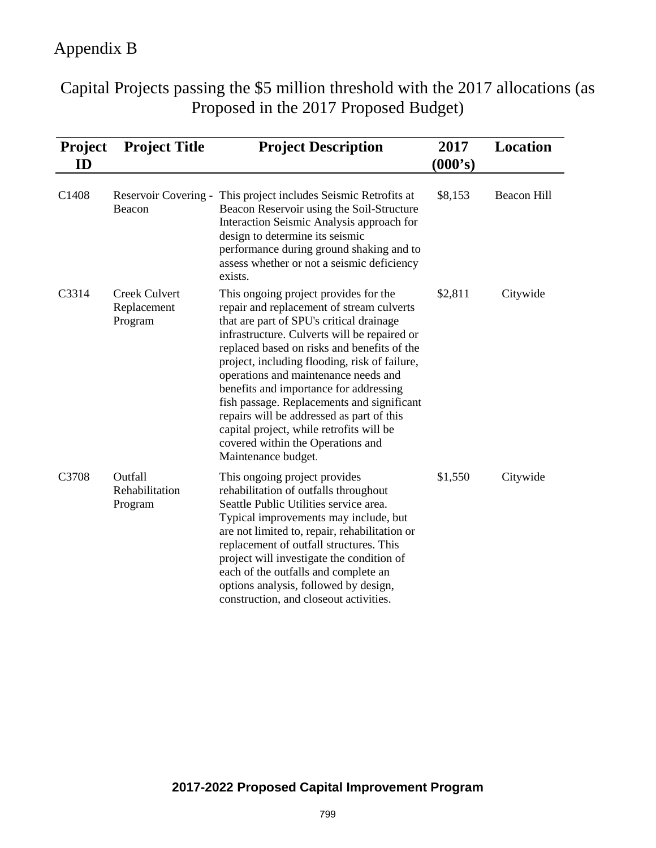Capital Projects passing the \$5 million threshold with the 2017 allocations (as Proposed in the 2017 Proposed Budget)

| <b>Project</b><br>ID | <b>Project Title</b>                    | <b>Project Description</b>                                                                                                                                                                                                                                                                                                                                                                                                                                                                                                                                          | 2017<br>(000's) | Location           |
|----------------------|-----------------------------------------|---------------------------------------------------------------------------------------------------------------------------------------------------------------------------------------------------------------------------------------------------------------------------------------------------------------------------------------------------------------------------------------------------------------------------------------------------------------------------------------------------------------------------------------------------------------------|-----------------|--------------------|
| C1408                | Beacon                                  | Reservoir Covering - This project includes Seismic Retrofits at<br>Beacon Reservoir using the Soil-Structure<br>Interaction Seismic Analysis approach for<br>design to determine its seismic<br>performance during ground shaking and to<br>assess whether or not a seismic deficiency<br>exists.                                                                                                                                                                                                                                                                   | \$8,153         | <b>Beacon Hill</b> |
| C3314                | Creek Culvert<br>Replacement<br>Program | This ongoing project provides for the<br>repair and replacement of stream culverts<br>that are part of SPU's critical drainage<br>infrastructure. Culverts will be repaired or<br>replaced based on risks and benefits of the<br>project, including flooding, risk of failure,<br>operations and maintenance needs and<br>benefits and importance for addressing<br>fish passage. Replacements and significant<br>repairs will be addressed as part of this<br>capital project, while retrofits will be<br>covered within the Operations and<br>Maintenance budget. | \$2,811         | Citywide           |
| C3708                | Outfall<br>Rehabilitation<br>Program    | This ongoing project provides<br>rehabilitation of outfalls throughout<br>Seattle Public Utilities service area.<br>Typical improvements may include, but<br>are not limited to, repair, rehabilitation or<br>replacement of outfall structures. This<br>project will investigate the condition of<br>each of the outfalls and complete an<br>options analysis, followed by design,<br>construction, and closeout activities.                                                                                                                                       | \$1,550         | Citywide           |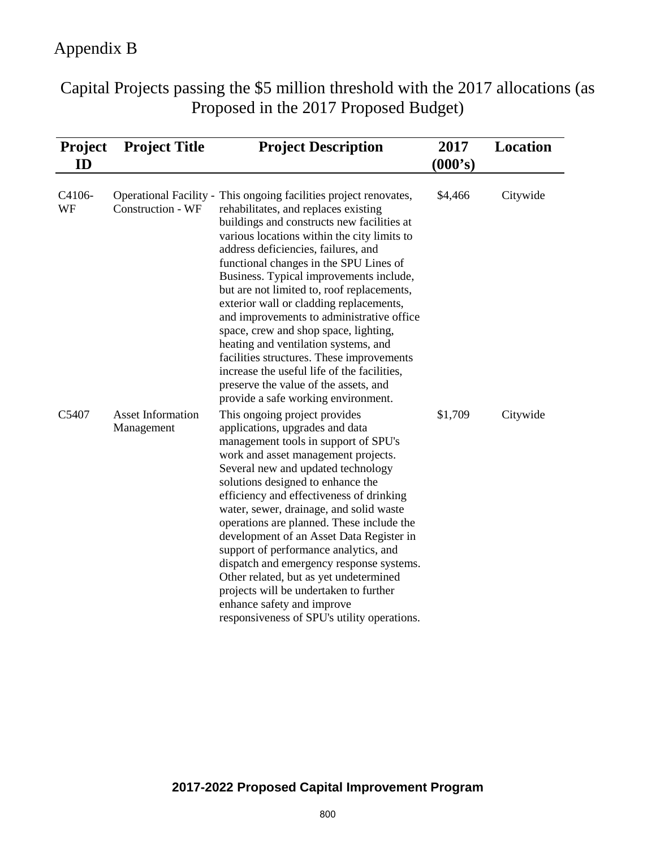Capital Projects passing the \$5 million threshold with the 2017 allocations (as Proposed in the 2017 Proposed Budget)

| <b>Project</b><br>ID | <b>Project Title</b>                   | <b>Project Description</b>                                                                                                                                                                                                                                                                                                                                                                                                                                                                                                                                                                                                                                                                                                            | 2017<br>(000's) | Location |
|----------------------|----------------------------------------|---------------------------------------------------------------------------------------------------------------------------------------------------------------------------------------------------------------------------------------------------------------------------------------------------------------------------------------------------------------------------------------------------------------------------------------------------------------------------------------------------------------------------------------------------------------------------------------------------------------------------------------------------------------------------------------------------------------------------------------|-----------------|----------|
| C4106-<br>WF         | <b>Construction - WF</b>               | Operational Facility - This ongoing facilities project renovates,<br>rehabilitates, and replaces existing<br>buildings and constructs new facilities at<br>various locations within the city limits to<br>address deficiencies, failures, and<br>functional changes in the SPU Lines of<br>Business. Typical improvements include,<br>but are not limited to, roof replacements,<br>exterior wall or cladding replacements,<br>and improvements to administrative office<br>space, crew and shop space, lighting,<br>heating and ventilation systems, and<br>facilities structures. These improvements<br>increase the useful life of the facilities,<br>preserve the value of the assets, and<br>provide a safe working environment. | \$4,466         | Citywide |
| C5407                | <b>Asset Information</b><br>Management | This ongoing project provides<br>applications, upgrades and data<br>management tools in support of SPU's<br>work and asset management projects.<br>Several new and updated technology<br>solutions designed to enhance the<br>efficiency and effectiveness of drinking<br>water, sewer, drainage, and solid waste<br>operations are planned. These include the<br>development of an Asset Data Register in<br>support of performance analytics, and<br>dispatch and emergency response systems.<br>Other related, but as yet undetermined<br>projects will be undertaken to further<br>enhance safety and improve<br>responsiveness of SPU's utility operations.                                                                      | \$1,709         | Citywide |